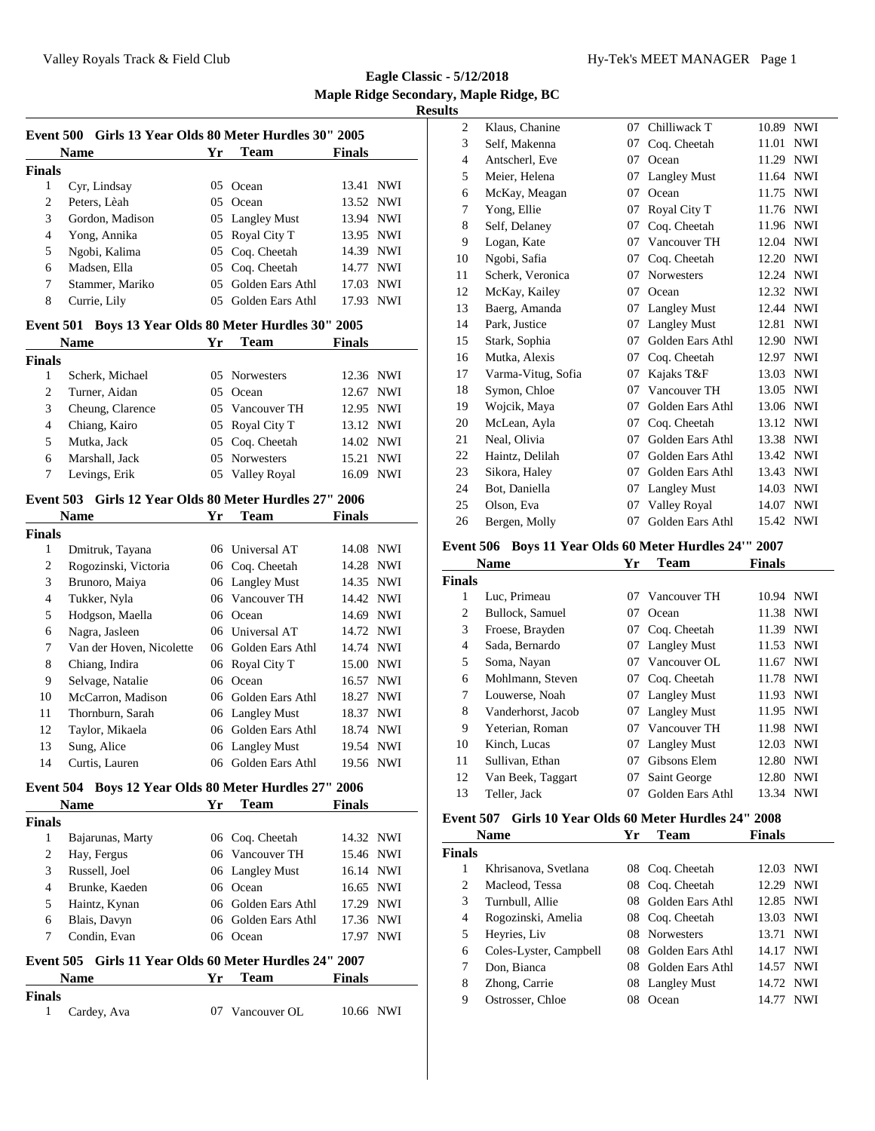**Eagle Classic - 5/12/2018 Maple Ridge Secondary, Maple Ridge, BC Results**

|                  | Event 500 Girls 13 Year Olds 80 Meter Hurdles 30" 2005 |    |                     |               |            |
|------------------|--------------------------------------------------------|----|---------------------|---------------|------------|
|                  | <b>Name</b>                                            | Yr | <b>Team</b>         | <b>Finals</b> |            |
| <b>Finals</b>    |                                                        |    |                     |               |            |
| 1                | Cyr, Lindsay                                           | 05 | Ocean               | 13.41         | <b>NWI</b> |
| 2                | Peters, Lèah                                           |    | 05 Ocean            | 13.52         | <b>NWI</b> |
| 3                | Gordon, Madison                                        |    | 05 Langley Must     | 13.94 NWI     |            |
| 4                | Yong, Annika                                           |    | 05 Royal City T     | 13.95 NWI     |            |
| 5                | Ngobi, Kalima                                          |    | 05 Coq. Cheetah     | 14.39 NWI     |            |
| 6                | Madsen, Ella                                           | 05 | Coq. Cheetah        | 14.77         | <b>NWI</b> |
| 7                | Stammer, Mariko                                        | 05 | Golden Ears Athl    | 17.03         | <b>NWI</b> |
| 8                | Currie, Lily                                           |    | 05 Golden Ears Athl | 17.93 NWI     |            |
| <b>Event 501</b> | Boys 13 Year Olds 80 Meter Hurdles 30" 2005            |    |                     |               |            |
|                  | <b>Name</b>                                            | Yr | <b>Team</b>         | <b>Finals</b> |            |
| <b>Finals</b>    |                                                        |    |                     |               |            |
| $\mathbf{1}$     | Scherk, Michael                                        |    | 05 Norwesters       | 12.36 NWI     |            |
| 2                | Turner, Aidan                                          |    | 05 Ocean            | 12.67         | <b>NWI</b> |
| 3                | Cheung, Clarence                                       |    | 05 Vancouver TH     | 12.95         | <b>NWI</b> |
| 4                | Chiang, Kairo                                          |    | 05 Royal City T     | 13.12 NWI     |            |
| 5                | Mutka, Jack                                            | 05 | Coq. Cheetah        | 14.02         | NWI        |
| 6                | Marshall, Jack                                         | 05 | Norwesters          | 15.21         | <b>NWI</b> |
| 7                | Levings, Erik                                          |    | 05 Valley Royal     | 16.09 NWI     |            |
|                  | Event 503 Girls 12 Year Olds 80 Meter Hurdles 27" 2006 |    |                     |               |            |
|                  | <b>Name</b>                                            | Yr | <b>Team</b>         | Finals        |            |
| <b>Finals</b>    |                                                        |    |                     |               |            |
| $\mathbf{1}$     | Dmitruk, Tayana                                        |    | 06 Universal AT     | 14.08 NWI     |            |
| 2                | Rogozinski, Victoria                                   |    | 06 Coq. Cheetah     | 14.28         | <b>NWI</b> |
| 3                | Brunoro, Maiya                                         |    | 06 Langley Must     | 14.35 NWI     |            |
| 4                | Tukker, Nyla                                           |    | 06 Vancouver TH     | 14.42 NWI     |            |
| 5                | Hodgson, Maella                                        |    | 06 Ocean            | 14.69 NWI     |            |
| 6                | Nagra, Jasleen                                         |    | 06 Universal AT     | 14.72 NWI     |            |
| 7                | Van der Hoven, Nicolette                               |    | 06 Golden Ears Athl | 14.74 NWI     |            |
| 8                | Chiang, Indira                                         |    | 06 Royal City T     | 15.00 NWI     |            |
| 9                | Selvage, Natalie                                       |    | 06 Ocean            | 16.57 NWI     |            |
| 10               | McCarron, Madison                                      |    | 06 Golden Ears Athl | 18.27 NWI     |            |
| 11               | Thornburn, Sarah                                       |    | 06 Langley Must     | 18.37 NWI     |            |
| 12               | Taylor, Mikaela                                        |    | 06 Golden Ears Athl | 18.74 NWI     |            |
| 13               | Sung, Alice                                            |    | 06 Langley Must     | 19.54 NWI     |            |
| 14               | Curtis, Lauren                                         |    | 06 Golden Ears Athl | 19.56 NWI     |            |
|                  | Event 504 Boys 12 Year Olds 80 Meter Hurdles 27" 2006  |    |                     |               |            |

#### **Event 504 Boys 12 Year Olds 80 Meter Hurdles 27" 2006**

| <b>Name</b>   |                                                        | Yг            | <b>Team</b>         | <b>Finals</b> |     |
|---------------|--------------------------------------------------------|---------------|---------------------|---------------|-----|
| <b>Finals</b> |                                                        |               |                     |               |     |
| 1             | Bajarunas, Marty                                       |               | 06 Coq. Cheetah     | 14.32 NWI     |     |
| 2             | Hay, Fergus                                            |               | 06 Vancouver TH     | 15.46 NWI     |     |
| 3             | Russell, Joel                                          |               | 06 Langley Must     | 16.14 NWI     |     |
| 4             | Brunke, Kaeden                                         |               | 06 Ocean            | 16.65 NWI     |     |
| 5             | Haintz, Kynan                                          |               | 06 Golden Ears Athl | 17.29 NWI     |     |
| 6             | Blais, Davyn                                           |               | 06 Golden Ears Athl | 17.36 NWI     |     |
| 7             | Condin, Evan                                           |               | 06 Ocean            | 17.97 NWI     |     |
|               | Event 505 Girls 11 Year Olds 60 Meter Hurdles 24" 2007 |               |                     |               |     |
| <b>Name</b>   |                                                        | Yr            | <b>Team</b>         | <b>Finals</b> |     |
| <b>Finals</b> |                                                        |               |                     |               |     |
| 1             | Cardey, Ava                                            | $\frac{1}{2}$ | Vancouver OL        | 10.66         | NWI |

| . .            |                    |    |                     |       |            |
|----------------|--------------------|----|---------------------|-------|------------|
| $\overline{c}$ | Klaus, Chanine     | 07 | Chilliwack T        | 10.89 | <b>NWI</b> |
| 3              | Self, Makenna      | 07 | Coq. Cheetah        | 11.01 | <b>NWI</b> |
| 4              | Antscherl, Eve     | 07 | Ocean               | 11.29 | <b>NWI</b> |
| 5              | Meier, Helena      | 07 | <b>Langley Must</b> | 11.64 | <b>NWI</b> |
| 6              | McKay, Meagan      | 07 | Ocean               | 11.75 | <b>NWI</b> |
| 7              | Yong, Ellie        | 07 | Royal City T        | 11.76 | <b>NWI</b> |
| 8              | Self, Delaney      | 07 | Coq. Cheetah        | 11.96 | <b>NWI</b> |
| 9              | Logan, Kate        | 07 | Vancouver TH        | 12.04 | <b>NWI</b> |
| 10             | Ngobi, Safia       | 07 | Coq. Cheetah        | 12.20 | <b>NWI</b> |
| 11             | Scherk, Veronica   | 07 | <b>Norwesters</b>   | 12.24 | <b>NWI</b> |
| 12             | McKay, Kailey      | 07 | Ocean               | 12.32 | <b>NWI</b> |
| 13             | Baerg, Amanda      | 07 | <b>Langley Must</b> | 12.44 | <b>NWI</b> |
| 14             | Park, Justice      | 07 | <b>Langley Must</b> | 12.81 | <b>NWI</b> |
| 15             | Stark, Sophia      | 07 | Golden Ears Athl    | 12.90 | <b>NWI</b> |
| 16             | Mutka, Alexis      | 07 | Coq. Cheetah        | 12.97 | <b>NWI</b> |
| 17             | Varma-Vitug, Sofia | 07 | Kajaks T&F          | 13.03 | <b>NWI</b> |
| 18             | Symon, Chloe       | 07 | Vancouver TH        | 13.05 | <b>NWI</b> |
| 19             | Wojcik, Maya       | 07 | Golden Ears Athl    | 13.06 | <b>NWI</b> |
| 20             | McLean, Ayla       | 07 | Coq. Cheetah        | 13.12 | <b>NWI</b> |
| 21             | Neal, Olivia       | 07 | Golden Ears Athl    | 13.38 | <b>NWI</b> |
| 22             | Haintz, Delilah    | 07 | Golden Ears Athl    | 13.42 | <b>NWI</b> |
| 23             | Sikora, Haley      | 07 | Golden Ears Athl    | 13.43 | <b>NWI</b> |
| 24             | Bot, Daniella      | 07 | <b>Langley Must</b> | 14.03 | <b>NWI</b> |
| 25             | Olson, Eva         | 07 | Valley Royal        | 14.07 | <b>NWI</b> |
| 26             | Bergen, Molly      | 07 | Golden Ears Athl    | 15.42 | <b>NWI</b> |
|                |                    |    |                     |       |            |

# **Event 506 Boys 11 Year Olds 60 Meter Hurdles 24'" 2007**

|                | <b>Name</b>        | Yr | <b>Team</b>         | <b>Finals</b>       |
|----------------|--------------------|----|---------------------|---------------------|
| <b>Finals</b>  |                    |    |                     |                     |
| 1              | Luc, Primeau       | 07 | Vancouver TH        | 10.94 NWI           |
| 2              | Bullock, Samuel    | 07 | Ocean               | 11.38 NWI           |
| 3              | Froese, Brayden    | 07 | Coq. Cheetah        | 11.39 NWI           |
| $\overline{4}$ | Sada, Bernardo     | 07 | <b>Langley Must</b> | 11.53 NWI           |
| 5              | Soma, Nayan        | 07 | Vancouver OL        | 11.67 NWI           |
| 6              | Mohlmann, Steven   | 07 | Coq. Cheetah        | 11.78 NWI           |
| 7              | Louwerse, Noah     | 07 | <b>Langley Must</b> | 11.93 NWI           |
| 8              | Vanderhorst, Jacob | 07 | <b>Langley Must</b> | 11.95 NWI           |
| 9              | Yeterian, Roman    | 07 | Vancouver TH        | 11.98 NWI           |
| 10             | Kinch, Lucas       | 07 | <b>Langley Must</b> | <b>NWI</b><br>12.03 |
| 11             | Sullivan, Ethan    | 07 | Gibsons Elem        | <b>NWI</b><br>12.80 |
| 12             | Van Beek, Taggart  | 07 | Saint George        | 12.80<br><b>NWI</b> |
| 13             | Teller, Jack       | 07 | Golden Ears Athl    | NWI<br>13.34        |
|                |                    |    |                     |                     |

# **Event 507 Girls 10 Year Olds 60 Meter Hurdles 24" 2008**

| Name          |                        | Yr  | Team                | <b>Finals</b> |            |
|---------------|------------------------|-----|---------------------|---------------|------------|
| <b>Finals</b> |                        |     |                     |               |            |
| 1             | Khrisanova, Svetlana   | 08  | Coq. Cheetah        | 12.03         | <b>NWI</b> |
| 2             | Macleod, Tessa         |     | 08 Coq. Cheetah     | 12.29         | <b>NWI</b> |
| 3             | Turnbull, Allie        | 08. | Golden Ears Athl    | 12.85 NWI     |            |
| 4             | Rogozinski, Amelia     |     | 08 Coq. Cheetah     | 13.03 NWI     |            |
| 5             | Heyries, Liv           |     | 08 Norwesters       | 13.71         | <b>NWI</b> |
| 6             | Coles-Lyster, Campbell |     | 08 Golden Ears Athl | 14.17 NWI     |            |
| 7             | Don, Bianca            |     | 08 Golden Ears Athl | 14.57 NWI     |            |
| 8             | Zhong, Carrie          |     | 08 Langley Must     | 14.72 NWI     |            |
| 9             | Ostrosser, Chloe       | 08  | Ocean               | 14.77         | <b>NWI</b> |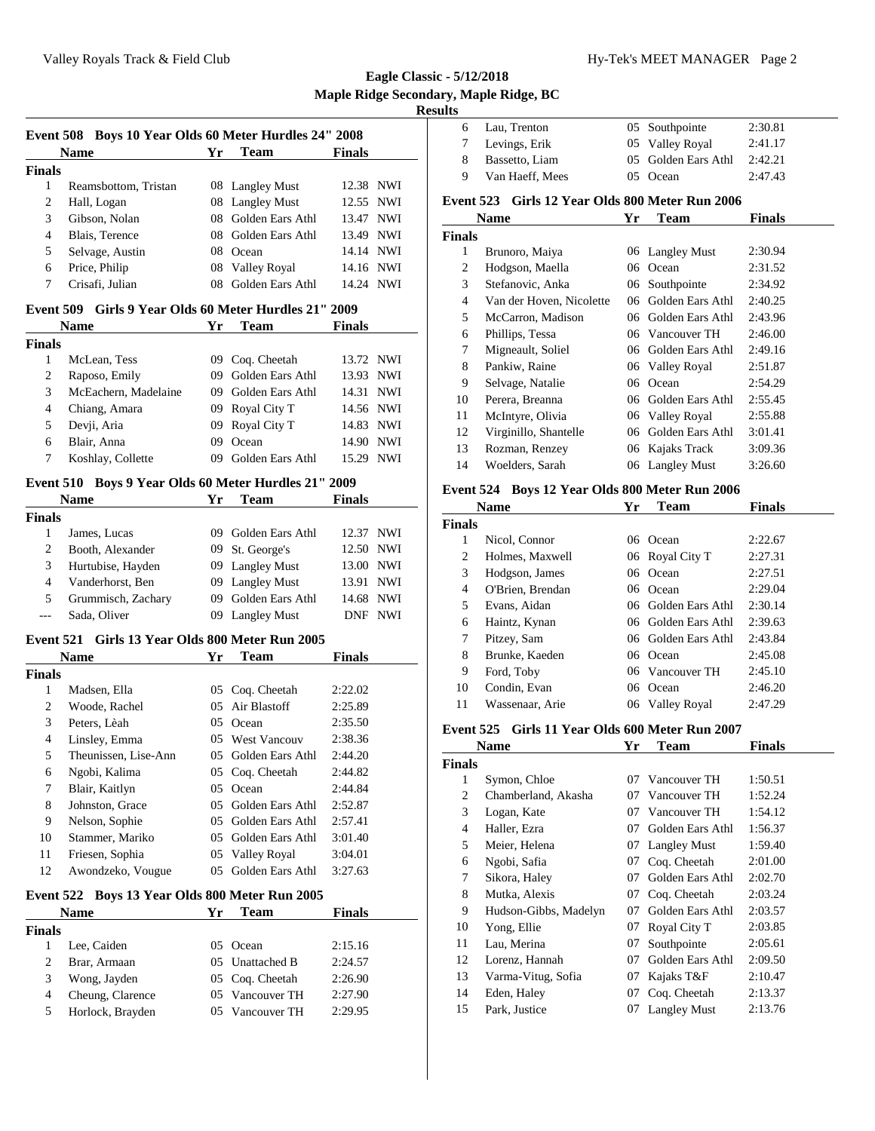| <b>Name</b>   |                      | Yг  | <b>Team</b>         | <b>Finals</b> |  |
|---------------|----------------------|-----|---------------------|---------------|--|
| <b>Finals</b> |                      |     |                     |               |  |
| 1             | Reamsbottom, Tristan |     | 08 Langley Must     | 12.38 NWI     |  |
| 2             | Hall, Logan          |     | 08 Langley Must     | 12.55 NWI     |  |
| 3             | Gibson, Nolan        | 08. | Golden Ears Athl    | 13.47 NWI     |  |
| 4             | Blais, Terence       | 08. | Golden Ears Athl    | 13.49 NWI     |  |
| 5             | Selvage, Austin      | 08  | Ocean               | 14.14 NWI     |  |
| 6             | Price, Philip        | 08  | <b>Valley Royal</b> | 14.16 NWI     |  |
| 7             | Crisafi, Julian      | 08. | Golden Ears Athl    | 14.24 NWI     |  |

## **Event 509 Girls 9 Year Olds 60 Meter Hurdles 21" 2009**

| <b>Name</b>   |                      | Yг  | Team             | <b>Finals</b> |            |
|---------------|----------------------|-----|------------------|---------------|------------|
| <b>Finals</b> |                      |     |                  |               |            |
|               | McLean, Tess         |     | 09 Cog. Cheetah  | 13.72 NWI     |            |
| 2             | Raposo, Emily        | 09  | Golden Ears Athl | 13.93 NWI     |            |
| 3             | McEachern, Madelaine | 09. | Golden Ears Athl | 14.31 NWI     |            |
| 4             | Chiang, Amara        |     | 09 Royal City T  | 14.56 NWI     |            |
| 5             | Devji, Aria          | 09. | Royal City T     | 14.83 NWI     |            |
| 6             | Blair, Anna          | 09  | Ocean            | 14.90         | <b>NWI</b> |
|               | Koshlay, Collette    | (19 | Golden Ears Athl | 15.29         | NWI        |

#### **Event 510 Boys 9 Year Olds 60 Meter Hurdles 21" 2009**

| <b>Name</b>   |                    | Yг | <b>Team</b>         | <b>Finals</b> |
|---------------|--------------------|----|---------------------|---------------|
| <b>Finals</b> |                    |    |                     |               |
|               | James, Lucas       |    | 09 Golden Ears Athl | 12.37 NWI     |
| 2             | Booth, Alexander   |    | 09 St. George's     | 12.50 NWI     |
| 3             | Hurtubise, Hayden  |    | 09 Langley Must     | 13.00 NWI     |
| 4             | Vanderhorst, Ben   |    | 09 Langley Must     | 13.91 NWI     |
| 5             | Grummisch, Zachary |    | 09 Golden Ears Athl | 14.68 NWI     |
|               | Sada, Oliver       |    | 09 Langley Must     | NWI<br>DNE    |

#### **Event 521 Girls 13 Year Olds 800 Meter Run 2005**

|               | <b>Name</b>                                    | Yr            | Team             | Finals  |  |
|---------------|------------------------------------------------|---------------|------------------|---------|--|
| <b>Finals</b> |                                                |               |                  |         |  |
| 1             | Madsen, Ella                                   | 05            | Coq. Cheetah     | 2:22.02 |  |
| 2             | Woode, Rachel                                  | 05            | Air Blastoff     | 2:25.89 |  |
| 3             | Peters, Lèah                                   | 05            | Ocean            | 2:35.50 |  |
| 4             | Linsley, Emma                                  | 05            | West Vancouv     | 2:38.36 |  |
| 5             | Theunissen, Lise-Ann                           | 05            | Golden Ears Athl | 2:44.20 |  |
| 6             | Ngobi, Kalima                                  | 05            | Cog. Cheetah     | 2:44.82 |  |
| 7             | Blair, Kaitlyn                                 | 05            | Ocean            | 2:44.84 |  |
| 8             | Johnston, Grace                                | 05            | Golden Ears Athl | 2:52.87 |  |
| 9             | Nelson, Sophie                                 | 05            | Golden Ears Athl | 2:57.41 |  |
| 10            | Stammer, Mariko                                | $0.5^{\circ}$ | Golden Ears Athl | 3:01.40 |  |
| 11            | Friesen, Sophia                                |               | 05 Valley Royal  | 3:04.01 |  |
| 12            | Awondzeko, Vougue                              | 05            | Golden Ears Athl | 3:27.63 |  |
|               | Event 522 Boys 13 Year Olds 800 Meter Run 2005 |               |                  |         |  |
|               | <b>Name</b>                                    | Yr            | Team             | Finals  |  |
| Finals        |                                                |               |                  |         |  |

| шаіз |                  |                 |         |
|------|------------------|-----------------|---------|
|      | Lee, Caiden      | 05 Ocean        | 2:15.16 |
|      | Brar, Armaan     | 05 Unattached B | 2:24.57 |
| 3    | Wong, Jayden     | 05 Coq. Cheetah | 2:26.90 |
|      | Cheung, Clarence | 05 Vancouver TH | 2:27.90 |
| 5    | Horlock, Brayden | 05 Vancouver TH | 2:29.95 |
|      |                  |                 |         |

| 6             | Lau, Trenton                                    | 05 | Southpointe      | 2:30.81       |
|---------------|-------------------------------------------------|----|------------------|---------------|
| 7             | Levings, Erik                                   | 05 | Valley Royal     | 2:41.17       |
| 8             | Bassetto, Liam                                  | 05 | Golden Ears Athl | 2:42.21       |
| 9             | Van Haeff, Mees                                 | 05 | Ocean            | 2:47.43       |
|               | Event 523 Girls 12 Year Olds 800 Meter Run 2006 |    |                  |               |
|               | Name                                            | Yr | Team             | <b>Finals</b> |
| <b>Finals</b> |                                                 |    |                  |               |
| 1             | Brunoro, Maiya                                  |    | 06 Langley Must  | 2:30.94       |
| 2             | Hodgson, Maella                                 | 06 | Ocean            | 2:31.52       |
| 3             | Stefanovic, Anka                                | 06 | Southpointe      | 2:34.92       |
| 4             | Van der Hoven, Nicolette                        | 06 | Golden Ears Athl | 2:40.25       |
| 5             | McCarron, Madison                               | 06 | Golden Ears Athl | 2:43.96       |
| 6             | Phillips, Tessa                                 | 06 | Vancouver TH     | 2:46.00       |
| 7             | Migneault, Soliel                               | 06 | Golden Ears Athl | 2:49.16       |
| 8             | Pankiw, Raine                                   | 06 | Valley Royal     | 2:51.87       |
| 9             | Selvage, Natalie                                | 06 | Ocean            | 2:54.29       |
| 10            | Perera, Breanna                                 | 06 | Golden Ears Athl | 2:55.45       |
| 11            | McIntyre, Olivia                                |    | 06 Valley Royal  | 2:55.88       |

#### **Event 524 Boys 12 Year Olds 800 Meter Run 2006**

 Virginillo, Shantelle 06 Golden Ears Athl 3:01.41 Rozman, Renzey 06 Kajaks Track 3:09.36 Woelders, Sarah 06 Langley Must 3:26.60

| <b>Name</b> |                  | Yr | Team                | <b>Finals</b> |  |
|-------------|------------------|----|---------------------|---------------|--|
| Finals      |                  |    |                     |               |  |
| 1           | Nicol, Connor    | 06 | Ocean               | 2:22.67       |  |
| 2           | Holmes, Maxwell  |    | 06 Royal City T     | 2:27.31       |  |
| 3           | Hodgson, James   |    | 06 Ocean            | 2:27.51       |  |
| 4           | O'Brien, Brendan |    | 06 Ocean            | 2:29.04       |  |
| 5           | Evans, Aidan     |    | 06 Golden Ears Athl | 2:30.14       |  |
| 6           | Haintz, Kynan    |    | 06 Golden Ears Athl | 2:39.63       |  |
| 7           | Pitzey, Sam      |    | 06 Golden Ears Athl | 2:43.84       |  |
| 8           | Brunke, Kaeden   |    | 06 Ocean            | 2:45.08       |  |
| 9           | Ford, Toby       |    | 06 Vancouver TH     | 2:45.10       |  |
| 10          | Condin, Evan     | 06 | Ocean               | 2:46.20       |  |
| 11          | Wassenaar, Arie  |    | 06 Valley Royal     | 2:47.29       |  |

#### **Event 525 Girls 11 Year Olds 600 Meter Run 2007**

|               | Name                  | Yr | Team                | <b>Finals</b> |  |
|---------------|-----------------------|----|---------------------|---------------|--|
| <b>Finals</b> |                       |    |                     |               |  |
| 1             | Symon, Chloe          | 07 | Vancouver TH        | 1:50.51       |  |
| 2             | Chamberland, Akasha   | 07 | Vancouver TH        | 1:52.24       |  |
| 3             | Logan, Kate           | 07 | Vancouver TH        | 1:54.12       |  |
| 4             | Haller, Ezra          | 07 | Golden Ears Athl    | 1:56.37       |  |
| 5             | Meier, Helena         | 07 | <b>Langley Must</b> | 1:59.40       |  |
| 6             | Ngobi, Safia          | 07 | Coq. Cheetah        | 2:01.00       |  |
| 7             | Sikora, Haley         | 07 | Golden Ears Athl    | 2:02.70       |  |
| 8             | Mutka, Alexis         | 07 | Coq. Cheetah        | 2:03.24       |  |
| 9             | Hudson-Gibbs, Madelyn | 07 | Golden Ears Athl    | 2:03.57       |  |
| 10            | Yong, Ellie           | 07 | Royal City T        | 2:03.85       |  |
| 11            | Lau, Merina           | 07 | Southpointe         | 2:05.61       |  |
| 12            | Lorenz, Hannah        | 07 | Golden Ears Athl    | 2:09.50       |  |
| 13            | Varma-Vitug, Sofia    | 07 | Kajaks T&F          | 2:10.47       |  |
| 14            | Eden, Haley           | 07 | Coq. Cheetah        | 2:13.37       |  |
| 15            | Park, Justice         | 07 | <b>Langley Must</b> | 2:13.76       |  |
|               |                       |    |                     |               |  |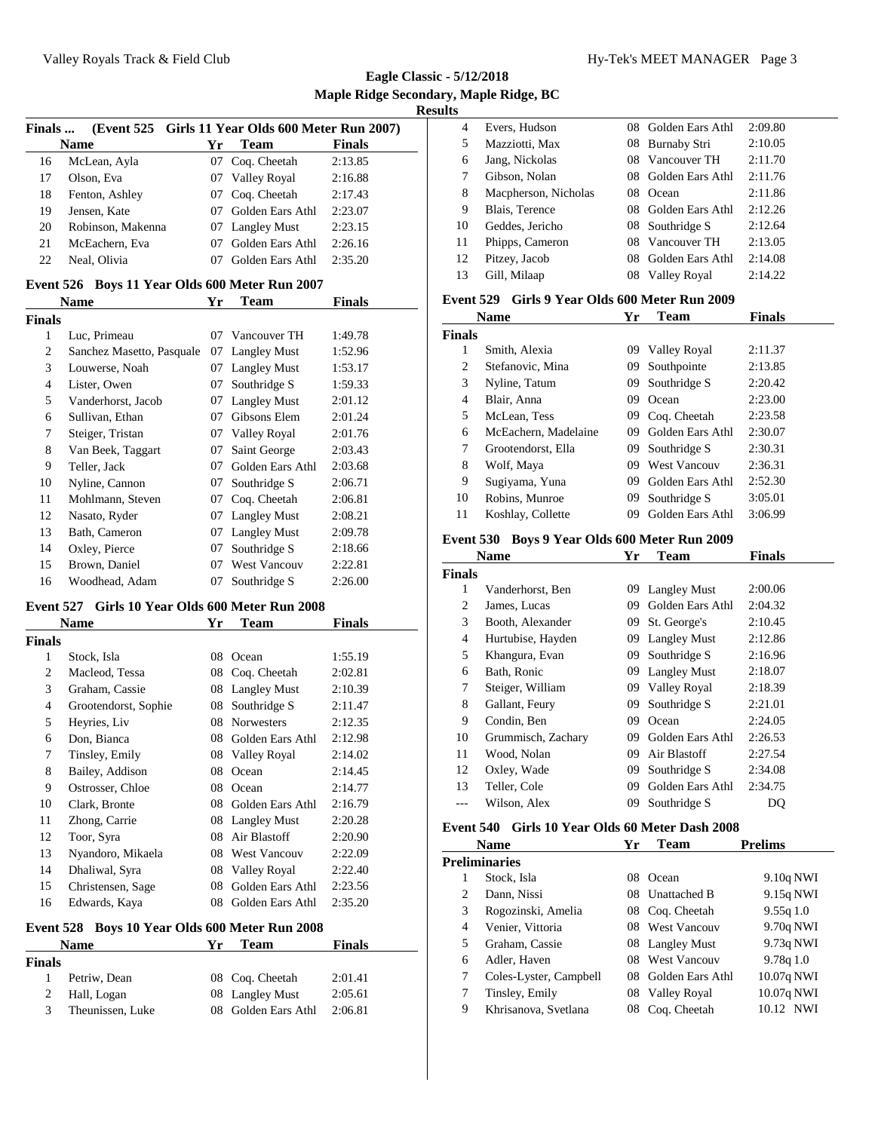**Eagle Classic - 5/12/2018 Maple Ridge Secondary, Maple Ridge, BC Results**

| Finals                                            | (Event 525 Girls 11 Year Olds 600 Meter Run 2007) |    |                     |               |  |
|---------------------------------------------------|---------------------------------------------------|----|---------------------|---------------|--|
|                                                   | <b>Name</b>                                       | Yr | <b>Team</b>         | <b>Finals</b> |  |
| 16                                                | McLean, Ayla                                      | 07 | Coq. Cheetah        | 2:13.85       |  |
| 17                                                | Olson, Eva                                        |    | 07 Valley Royal     | 2:16.88       |  |
| 18                                                | Fenton, Ashley                                    | 07 | Coq. Cheetah        | 2:17.43       |  |
| 19                                                | Jensen, Kate                                      | 07 | Golden Ears Athl    | 2:23.07       |  |
| 20                                                | Robinson, Makenna                                 |    | 07 Langley Must     | 2:23.15       |  |
| 21                                                | McEachern, Eva                                    |    | 07 Golden Ears Athl | 2:26.16       |  |
| 22                                                | Neal, Olivia                                      |    | 07 Golden Ears Athl | 2:35.20       |  |
| Event 526                                         | Boys 11 Year Olds 600 Meter Run 2007              |    |                     |               |  |
|                                                   | Name                                              | Yr | <b>Team</b>         | <b>Finals</b> |  |
| <b>Finals</b>                                     |                                                   |    |                     |               |  |
| $\mathbf{1}$                                      | Luc, Primeau                                      |    | 07 Vancouver TH     | 1:49.78       |  |
| 2                                                 | Sanchez Masetto, Pasquale                         |    | 07 Langley Must     | 1:52.96       |  |
| 3                                                 | Louwerse, Noah                                    |    | 07 Langley Must     | 1:53.17       |  |
| 4                                                 | Lister, Owen                                      | 07 | Southridge S        | 1:59.33       |  |
| 5                                                 | Vanderhorst, Jacob                                |    | 07 Langley Must     | 2:01.12       |  |
| 6                                                 | Sullivan, Ethan                                   |    | 07 Gibsons Elem     | 2:01.24       |  |
| 7                                                 | Steiger, Tristan                                  |    | 07 Valley Royal     | 2:01.76       |  |
| 8                                                 | Van Beek, Taggart                                 | 07 | Saint George        | 2:03.43       |  |
| 9                                                 | Teller, Jack                                      |    | 07 Golden Ears Athl | 2:03.68       |  |
| 10                                                | Nyline, Cannon                                    | 07 | Southridge S        | 2:06.71       |  |
| 11                                                | Mohlmann, Steven                                  |    | 07 Coq. Cheetah     | 2:06.81       |  |
| 12                                                | Nasato, Ryder                                     |    | 07 Langley Must     | 2:08.21       |  |
| 13                                                | Bath, Cameron                                     |    | 07 Langley Must     | 2:09.78       |  |
| 14                                                | Oxley, Pierce                                     | 07 | Southridge S        | 2:18.66       |  |
| 15                                                | Brown, Daniel                                     |    | 07 West Vancouv     | 2:22.81       |  |
| 16                                                | Woodhead, Adam                                    | 07 | Southridge S        | 2:26.00       |  |
|                                                   | Event 527 Girls 10 Year Olds 600 Meter Run 2008   |    |                     |               |  |
|                                                   | Name                                              | Yr | <b>Team</b>         | <b>Finals</b> |  |
| <b>Finals</b>                                     |                                                   |    |                     |               |  |
| 1                                                 | Stock, Isla                                       |    | 08 Ocean            | 1:55.19       |  |
| 2                                                 | Macleod, Tessa                                    |    | 08 Coq. Cheetah     | 2:02.81       |  |
| 3                                                 | Graham, Cassie                                    |    | 08 Langley Must     | 2:10.39       |  |
| 4                                                 | Grootendorst, Sophie                              |    | 08 Southridge S     | 2:11.47       |  |
| 5                                                 | Heyries, Liv                                      |    | 08 Norwesters       | 2:12.35       |  |
| 6                                                 | Don, Bianca                                       |    | 08 Golden Ears Athl | 2:12.98       |  |
| 7                                                 | Tinsley, Emily                                    |    | 08 Valley Royal     | 2:14.02       |  |
| 8                                                 | Bailey, Addison                                   |    | 08 Ocean            | 2:14.45       |  |
| 9                                                 | Ostrosser, Chloe                                  | 08 | Ocean               | 2:14.77       |  |
| 10                                                | Clark, Bronte                                     | 08 | Golden Ears Athl    | 2:16.79       |  |
| 11                                                | Zhong, Carrie                                     | 08 | <b>Langley Must</b> | 2:20.28       |  |
| 12                                                | Toor, Syra                                        | 08 | Air Blastoff        | 2:20.90       |  |
| 13                                                | Nyandoro, Mikaela                                 | 08 | West Vancouv        | 2:22.09       |  |
| 14                                                | Dhaliwal, Syra                                    |    | 08 Valley Royal     | 2:22.40       |  |
| 15                                                | Christensen, Sage                                 | 08 | Golden Ears Athl    | 2:23.56       |  |
| 16                                                | Edwards, Kaya                                     | 08 | Golden Ears Athl    | 2:35.20       |  |
| Event 528<br>Boys 10 Year Olds 600 Meter Run 2008 |                                                   |    |                     |               |  |

## **Name Yr Team Finals Finals** Petriw, Dean 08 Coq. Cheetah 2:01.41 2 Hall, Logan 08 Langley Must 2:05.61 Theunissen, Luke 08 Golden Ears Athl 2:06.81

| 4  | Evers, Hudson        |     | 08 Golden Ears Athl | 2:09.80 |
|----|----------------------|-----|---------------------|---------|
| 5  | Mazziotti, Max       |     | 08 Burnaby Stri     | 2:10.05 |
| 6  | Jang, Nickolas       | 08  | Vancouver TH        | 2:11.70 |
| 7  | Gibson, Nolan        | 08. | Golden Ears Athl    | 2:11.76 |
| 8  | Macpherson, Nicholas | 08  | Ocean               | 2:11.86 |
| 9  | Blais, Terence       |     | 08 Golden Ears Athl | 2:12.26 |
| 10 | Geddes, Jericho      |     | 08 Southridge S     | 2:12.64 |
| 11 | Phipps, Cameron      | 08  | Vancouver TH        | 2:13.05 |
| 12 | Pitzey, Jacob        | 08  | Golden Ears Athl    | 2:14.08 |
| 13 | Gill, Milaap         | 08  | <b>Valley Royal</b> | 2:14.22 |
|    |                      |     |                     |         |

#### **Event 529 Girls 9 Year Olds 600 Meter Run 2009**

| <b>Name</b>   |                      | Yr | Team                | <b>Finals</b> |
|---------------|----------------------|----|---------------------|---------------|
| <b>Finals</b> |                      |    |                     |               |
| 1             | Smith, Alexia        | 09 | <b>Valley Royal</b> | 2:11.37       |
| 2             | Stefanovic, Mina     | 09 | Southpointe         | 2:13.85       |
| 3             | Nyline, Tatum        | 09 | Southridge S        | 2:20.42       |
| 4             | Blair, Anna          | 09 | Ocean               | 2:23.00       |
| 5             | McLean, Tess         | 09 | Cog. Cheetah        | 2:23.58       |
| 6             | McEachern, Madelaine | 09 | Golden Ears Athl    | 2:30.07       |
| 7             | Grootendorst, Ella   | 09 | Southridge S        | 2:30.31       |
| 8             | Wolf, Maya           | 09 | <b>West Vancouv</b> | 2:36.31       |
| 9             | Sugiyama, Yuna       | 09 | Golden Ears Athl    | 2:52.30       |
| 10            | Robins, Munroe       | 09 | Southridge S        | 3:05.01       |
| 11            | Koshlay, Collette    | 09 | Golden Ears Athl    | 3:06.99       |

#### **Event 530 Boys 9 Year Olds 600 Meter Run 2009**

|               | <b>Name</b>        | Yr  | Team                | <b>Finals</b> |
|---------------|--------------------|-----|---------------------|---------------|
| <b>Finals</b> |                    |     |                     |               |
| 1             | Vanderhorst, Ben   | 09. | <b>Langley Must</b> | 2:00.06       |
| 2             | James, Lucas       | 09  | Golden Ears Athl    | 2:04.32       |
| 3             | Booth, Alexander   | 09  | St. George's        | 2:10.45       |
| 4             | Hurtubise, Hayden  | 09  | <b>Langley Must</b> | 2:12.86       |
| 5             | Khangura, Evan     | 09  | Southridge S        | 2:16.96       |
| 6             | Bath, Ronic        | 09  | <b>Langley Must</b> | 2:18.07       |
| 7             | Steiger, William   | 09  | Valley Royal        | 2:18.39       |
| 8             | Gallant, Feury     | 09  | Southridge S        | 2:21.01       |
| 9             | Condin, Ben        | 09  | Ocean               | 2:24.05       |
| 10            | Grummisch, Zachary | 09  | Golden Ears Athl    | 2:26.53       |
| 11            | Wood, Nolan        | 09  | Air Blastoff        | 2:27.54       |
| 12            | Oxley, Wade        | 09  | Southridge S        | 2:34.08       |
| 13            | Teller, Cole       | 09  | Golden Ears Athl    | 2:34.75       |
|               | Wilson, Alex       | 09  | Southridge S        | DQ            |
|               |                    |     |                     |               |

## **Event 540 Girls 10 Year Olds 60 Meter Dash 2008**

| <b>Name</b> |                        | Yr  | Team                | <b>Prelims</b> |
|-------------|------------------------|-----|---------------------|----------------|
|             | Preliminaries          |     |                     |                |
| 1           | Stock, Isla            | 08  | Ocean               | 9.10q NWI      |
| 2           | Dann, Nissi            |     | 08 Unattached B     | 9.15q NWI      |
| 3           | Rogozinski, Amelia     | 08  | Coq. Cheetah        | 9.55q1.0       |
| 4           | Venier, Vittoria       | 08. | <b>West Vancouv</b> | 9.70q NWI      |
| 5.          | Graham, Cassie         |     | 08 Langley Must     | 9.73q NWI      |
| 6           | Adler, Haven           | 08. | <b>West Vancouv</b> | 9.78q1.0       |
| 7           | Coles-Lyster, Campbell | 08  | Golden Ears Athl    | 10.07q NWI     |
| 7           | Tinsley, Emily         | 08  | Valley Royal        | 10.07q NWI     |
| 9           | Khrisanova, Svetlana   | 08  | Cog. Cheetah        | 10.12 NWI      |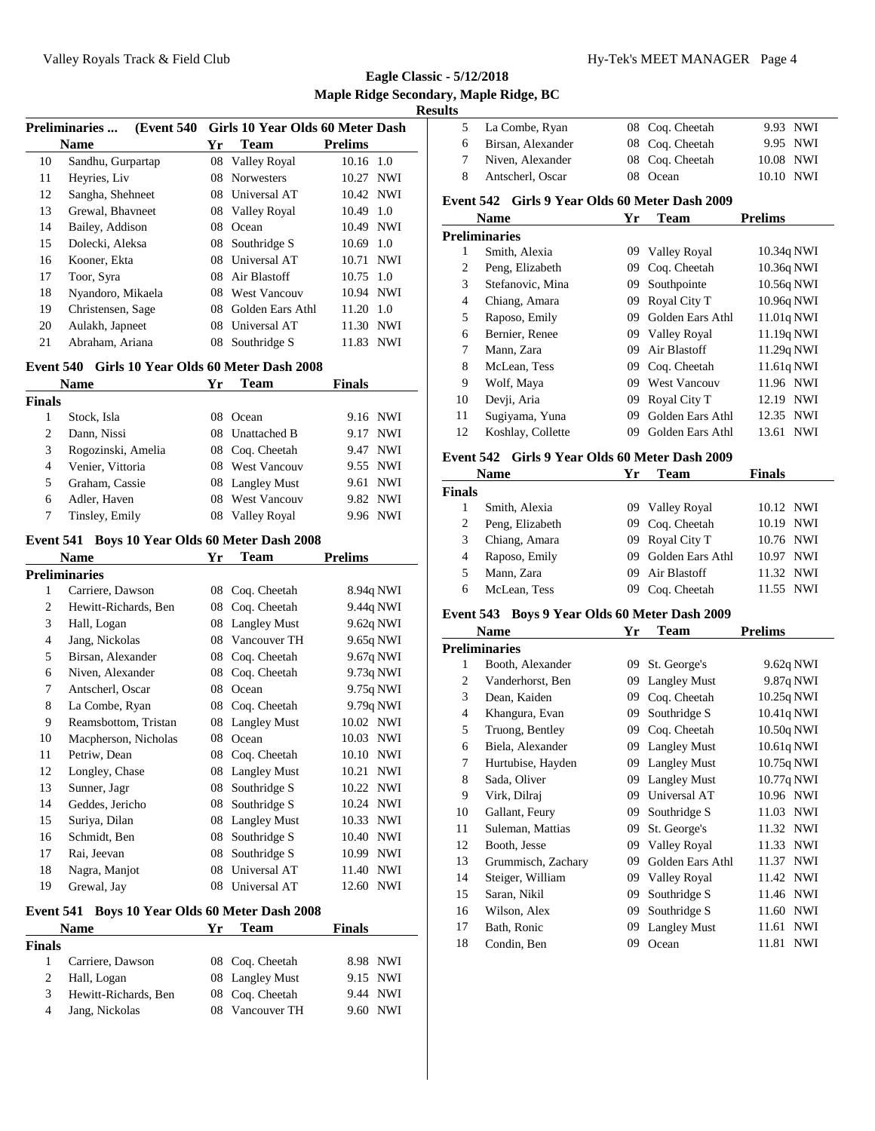**Eagle Classic - 5/12/2018 Maple Ridge Secondary, Maple Ridge, BC Results**

| <b>Preliminaries</b><br>(Event 540) |    |                     |                                                                                |                                                                                                                                                         |
|-------------------------------------|----|---------------------|--------------------------------------------------------------------------------|---------------------------------------------------------------------------------------------------------------------------------------------------------|
| <b>Name</b>                         | Yr | <b>Team</b>         | <b>Prelims</b>                                                                 |                                                                                                                                                         |
| Sandhu, Gurpartap                   |    |                     |                                                                                |                                                                                                                                                         |
| Heyries, Liv                        | 08 | <b>Norwesters</b>   |                                                                                |                                                                                                                                                         |
| Sangha, Shehneet                    |    |                     |                                                                                |                                                                                                                                                         |
| Grewal, Bhavneet                    |    |                     |                                                                                |                                                                                                                                                         |
| Bailey, Addison                     | 08 | Ocean               |                                                                                |                                                                                                                                                         |
| Dolecki, Aleksa                     |    | Southridge S        |                                                                                |                                                                                                                                                         |
| Kooner, Ekta                        | 08 | Universal AT        |                                                                                |                                                                                                                                                         |
| Toor, Syra                          |    |                     |                                                                                |                                                                                                                                                         |
| Nyandoro, Mikaela                   | 08 | <b>West Vancouv</b> |                                                                                |                                                                                                                                                         |
| Christensen, Sage                   | 08 | Golden Ears Athl    | 11.20                                                                          | 1.0                                                                                                                                                     |
| Aulakh, Japneet                     | 08 | Universal AT        | 11.30                                                                          | <b>NWI</b>                                                                                                                                              |
| Abraham, Ariana                     | 08 | Southridge S        | 11.83                                                                          | NWI                                                                                                                                                     |
|                                     |    |                     | 08 Valley Royal<br>08 Universal AT<br>08 Valley Royal<br>08<br>08 Air Blastoff | Girls 10 Year Olds 60 Meter Dash<br>10.16 1.0<br>10.27 NWI<br>10.42 NWI<br>10.49 1.0<br>10.49 NWI<br>$10.69$ 1.0<br>10.71 NWI<br>10.75 1.0<br>10.94 NWI |

#### **Event 540 Girls 10 Year Olds 60 Meter Dash 2008**

| <b>Name</b> |                    | Yr  | <b>Team</b>         | <b>Finals</b> |            |
|-------------|--------------------|-----|---------------------|---------------|------------|
| Finals      |                    |     |                     |               |            |
|             | Stock, Isla        | 08  | Ocean               | 9.16 NWI      |            |
| 2           | Dann, Nissi        | 08. | <b>Unattached B</b> | 9.17          | <b>NWI</b> |
| 3           | Rogozinski, Amelia |     | 08 Coq. Cheetah     | 9.47 NWI      |            |
| 4           | Venier, Vittoria   |     | 08 West Vancouv     | 9.55 NWI      |            |
| 5.          | Graham, Cassie     |     | 08 Langley Must     | 9.61 NWI      |            |
| 6           | Adler, Haven       | 08. | <b>West Vancouv</b> | 9.82 NWI      |            |
|             | Tinsley, Emily     |     | 08 Valley Royal     | 9.96 NWI      |            |

#### **Event 541 Boys 10 Year Olds 60 Meter Dash 2008**

|                                                   | <b>Name</b>          | Yr | Team                | <b>Prelims</b>      |  |
|---------------------------------------------------|----------------------|----|---------------------|---------------------|--|
|                                                   | Preliminaries        |    |                     |                     |  |
| 1                                                 | Carriere, Dawson     | 08 | Coq. Cheetah        | 8.94q NWI           |  |
| 2                                                 | Hewitt-Richards, Ben | 08 | Coq. Cheetah        | 9.44q NWI           |  |
| 3                                                 | Hall, Logan          | 08 | <b>Langley Must</b> | 9.62q NWI           |  |
| 4                                                 | Jang, Nickolas       | 08 | Vancouver TH        | 9.65q NWI           |  |
| 5                                                 | Birsan, Alexander    | 08 | Coq. Cheetah        | 9.67q NWI           |  |
| 6                                                 | Niven, Alexander     | 08 | Coq. Cheetah        | 9.73q NWI           |  |
| 7                                                 | Antscherl, Oscar     | 08 | Ocean               | 9.75q NWI           |  |
| 8                                                 | La Combe, Ryan       | 08 | Coq. Cheetah        | 9.79q NWI           |  |
| 9                                                 | Reamsbottom, Tristan | 08 | <b>Langley Must</b> | 10.02 NWI           |  |
| 10                                                | Macpherson, Nicholas | 08 | Ocean               | 10.03 NWI           |  |
| 11                                                | Petriw, Dean         | 08 | Coq. Cheetah        | 10.10<br><b>NWI</b> |  |
| 12                                                | Longley, Chase       | 08 | <b>Langley Must</b> | 10.21<br><b>NWI</b> |  |
| 13                                                | Sunner, Jagr         | 08 | Southridge S        | 10.22 NWI           |  |
| 14                                                | Geddes, Jericho      | 08 | Southridge S        | 10.24<br><b>NWI</b> |  |
| 15                                                | Suriya, Dilan        | 08 | <b>Langley Must</b> | <b>NWI</b><br>10.33 |  |
| 16                                                | Schmidt, Ben         | 08 | Southridge S        | 10.40<br><b>NWI</b> |  |
| 17                                                | Rai, Jeevan          | 08 | Southridge S        | 10.99<br><b>NWI</b> |  |
| 18                                                | Nagra, Manjot        | 08 | Universal AT        | 11.40<br><b>NWI</b> |  |
| 19                                                | Grewal, Jay          | 08 | Universal AT        | <b>NWI</b><br>12.60 |  |
| Boys 10 Year Olds 60 Meter Dash 2008<br>Event 541 |                      |    |                     |                     |  |

## **Name Yr Team Finals Finals** Carriere, Dawson 08 Coq. Cheetah 8.98 NWI Hall, Logan 08 Langley Must 9.15 NWI Hewitt-Richards, Ben 08 Coq. Cheetah 9.44 NWI Jang, Nickolas 08 Vancouver TH 9.60 NWI

| 5                                                | La Combe, Ryan                                 | 08 | Coq. Cheetah        | <b>NWI</b><br>9.93  |  |
|--------------------------------------------------|------------------------------------------------|----|---------------------|---------------------|--|
| 6                                                | Birsan, Alexander                              | 08 | Coq. Cheetah        | 9.95 NWI            |  |
| 7                                                | Niven, Alexander                               | 08 | Coq. Cheetah        | <b>NWI</b><br>10.08 |  |
| 8                                                | Antscherl, Oscar                               | 08 | Ocean               | 10.10<br><b>NWI</b> |  |
|                                                  | Event 542 Girls 9 Year Olds 60 Meter Dash 2009 |    |                     |                     |  |
|                                                  | <b>Name</b>                                    | Yr | Team                | <b>Prelims</b>      |  |
|                                                  | <b>Preliminaries</b>                           |    |                     |                     |  |
| 1                                                | Smith, Alexia                                  | 09 | Valley Royal        | 10.34q NWI          |  |
| $\overline{c}$                                   | Peng, Elizabeth                                | 09 | Coq. Cheetah        | 10.36q NWI          |  |
| 3                                                | Stefanovic, Mina                               | 09 | Southpointe         | 10.56q NWI          |  |
| $\overline{4}$                                   | Chiang, Amara                                  | 09 | Royal City T        | 10.96q NWI          |  |
| 5                                                | Raposo, Emily                                  | 09 | Golden Ears Athl    | 11.01q NWI          |  |
| 6                                                | Bernier, Renee                                 | 09 | Valley Royal        | 11.19q NWI          |  |
| 7                                                | Mann, Zara                                     | 09 | Air Blastoff        | 11.29q NWI          |  |
| 8                                                | McLean, Tess                                   | 09 | Coq. Cheetah        | 11.61q NWI          |  |
| 9                                                | Wolf, Maya                                     | 09 | <b>West Vancouv</b> | 11.96 NWI           |  |
| 10                                               | Devji, Aria                                    | 09 | Royal City T        | 12.19 NWI           |  |
| 11                                               | Sugiyama, Yuna                                 | 09 | Golden Ears Athl    | 12.35 NWI           |  |
| 12                                               | Koshlay, Collette                              | 09 | Golden Ears Athl    | <b>NWI</b><br>13.61 |  |
|                                                  | Event 542 Girls 9 Year Olds 60 Meter Dash 2009 |    |                     |                     |  |
|                                                  | <b>Name</b>                                    | Yr | Team                | <b>Finals</b>       |  |
| <b>Finals</b>                                    |                                                |    |                     |                     |  |
| 1                                                | Smith, Alexia                                  | 09 | Valley Royal        | <b>NWI</b><br>10.12 |  |
| $\overline{c}$                                   | Peng, Elizabeth                                | 09 | Coq. Cheetah        | 10.19<br><b>NWI</b> |  |
| 3                                                | Chiang, Amara                                  | 09 | Royal City T        | 10.76 NWI           |  |
| $\overline{4}$                                   | Raposo, Emily                                  | 09 | Golden Ears Athl    | <b>NWI</b><br>10.97 |  |
| 5                                                | Mann, Zara                                     | 09 | Air Blastoff        | 11.32 NWI           |  |
| 6                                                | McLean, Tess                                   | 09 | Coq. Cheetah        | 11.55<br><b>NWI</b> |  |
| Event 543<br>Boys 9 Year Olds 60 Meter Dash 2009 |                                                |    |                     |                     |  |

| <b>Name</b> |                    | Yr | Team                | <b>Prelims</b>      |
|-------------|--------------------|----|---------------------|---------------------|
|             | Preliminaries      |    |                     |                     |
| 1           | Booth, Alexander   | 09 | St. George's        | 9.62q NWI           |
| 2           | Vanderhorst, Ben   | 09 | <b>Langley Must</b> | 9.87q NWI           |
| 3           | Dean, Kaiden       | 09 | Coq. Cheetah        | 10.25q NWI          |
| 4           | Khangura, Evan     | 09 | Southridge S        | 10.41q NWI          |
| 5           | Truong, Bentley    | 09 | Coq. Cheetah        | 10.50q NWI          |
| 6           | Biela, Alexander   | 09 | <b>Langley Must</b> | 10.61q NWI          |
| 7           | Hurtubise, Hayden  | 09 | <b>Langley Must</b> | 10.75q NWI          |
| 8           | Sada, Oliver       | 09 | <b>Langley Must</b> | 10.77q NWI          |
| 9           | Virk, Dilraj       | 09 | Universal AT        | 10.96 NWI           |
| 10          | Gallant, Feury     | 09 | Southridge S        | 11.03<br>NWI        |
| 11          | Suleman, Mattias   | 09 | St. George's        | 11.32<br>NWI        |
| 12          | Booth, Jesse       | 09 | Valley Royal        | <b>NWI</b><br>11.33 |
| 13          | Grummisch, Zachary | 09 | Golden Ears Athl    | <b>NWI</b><br>11.37 |
| 14          | Steiger, William   | 09 | Valley Royal        | NWI<br>11.42        |
| 15          | Saran, Nikil       | 09 | Southridge S        | <b>NWI</b><br>11.46 |
| 16          | Wilson, Alex       | 09 | Southridge S        | 11.60<br><b>NWI</b> |
| 17          | Bath, Ronic        | 09 | <b>Langley Must</b> | <b>NWI</b><br>11.61 |
| 18          | Condin, Ben        | 09 | Ocean               | <b>NWI</b><br>11.81 |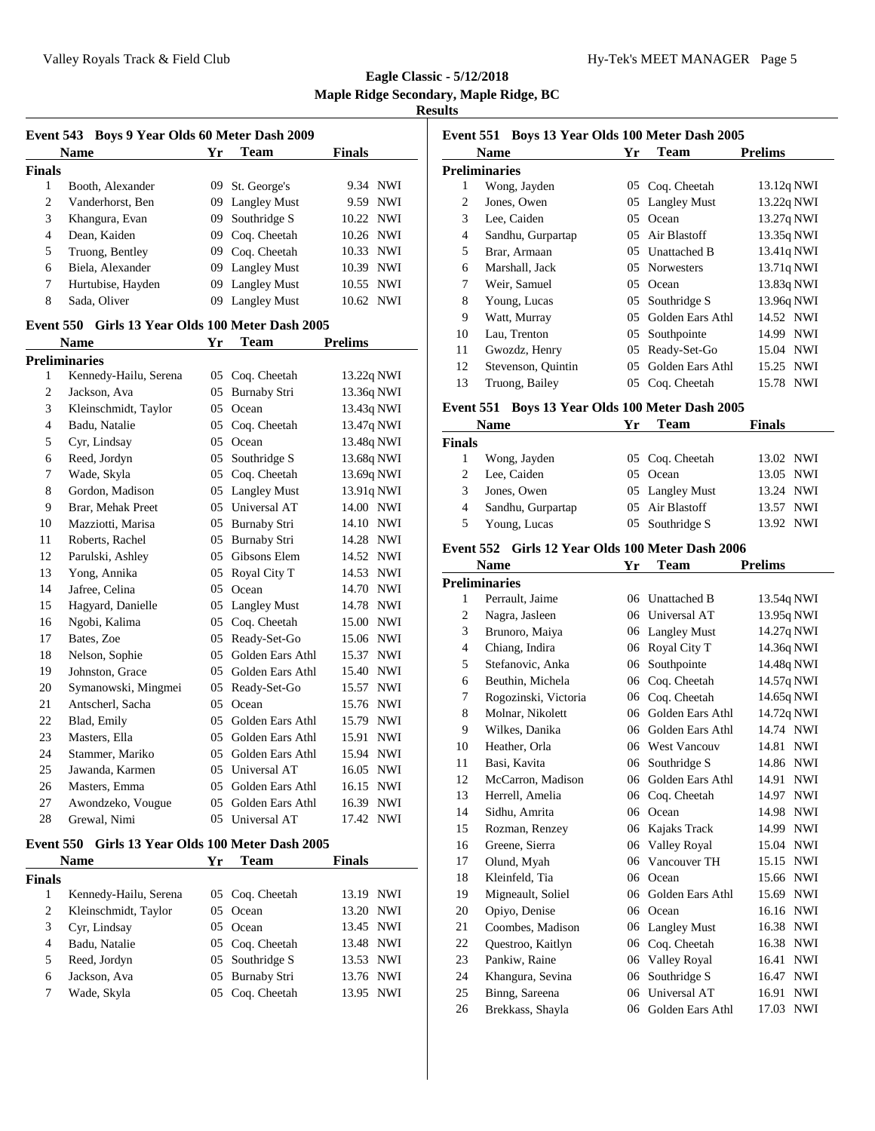| Event 543 Boys 9 Year Olds 60 Meter Dash 2009 |                                                  |     |                     |                |
|-----------------------------------------------|--------------------------------------------------|-----|---------------------|----------------|
|                                               | <b>Name</b>                                      | Yr  | <b>Team</b>         | <b>Finals</b>  |
| <b>Finals</b>                                 |                                                  |     |                     |                |
| 1                                             | Booth, Alexander                                 |     | 09 St. George's     | 9.34 NWI       |
| $\overline{c}$                                | Vanderhorst, Ben                                 |     | 09 Langley Must     | 9.59 NWI       |
| 3                                             | Khangura, Evan                                   | 09  | Southridge S        | 10.22 NWI      |
| $\overline{4}$                                | Dean, Kaiden                                     |     | 09 Coq. Cheetah     | 10.26 NWI      |
| 5                                             | Truong, Bentley                                  |     | 09 Coq. Cheetah     | 10.33 NWI      |
| 6                                             | Biela, Alexander                                 |     | 09 Langley Must     | 10.39 NWI      |
| 7                                             | Hurtubise, Hayden                                | 09  | <b>Langley Must</b> | 10.55 NWI      |
| 8                                             | Sada, Oliver                                     | 09  | <b>Langley Must</b> | 10.62 NWI      |
|                                               | Event 550 Girls 13 Year Olds 100 Meter Dash 2005 |     |                     |                |
|                                               | <b>Name</b>                                      | Yr  | <b>Team</b>         | <b>Prelims</b> |
|                                               | <b>Preliminaries</b>                             |     |                     |                |
| 1                                             | Kennedy-Hailu, Serena                            |     | 05 Coq. Cheetah     | 13.22q NWI     |
| 2                                             | Jackson, Ava                                     | 05  | <b>Burnaby Stri</b> | 13.36q NWI     |
| 3                                             | Kleinschmidt, Taylor                             |     | 05 Ocean            | 13.43q NWI     |
| 4                                             | Badu, Natalie                                    |     | 05 Coq. Cheetah     | 13.47q NWI     |
| 5                                             | Cyr, Lindsay                                     |     | 05 Ocean            | 13.48q NWI     |
| 6                                             | Reed, Jordyn                                     |     | 05 Southridge S     | 13.68q NWI     |
| 7                                             | Wade, Skyla                                      |     | 05 Coq. Cheetah     | 13.69q NWI     |
| 8                                             | Gordon, Madison                                  |     | 05 Langley Must     | 13.91q NWI     |
| 9                                             | Brar, Mehak Preet                                |     | 05 Universal AT     | 14.00 NWI      |
| 10                                            | Mazziotti, Marisa                                |     | 05 Burnaby Stri     | 14.10 NWI      |
| 11                                            | Roberts, Rachel                                  |     | 05 Burnaby Stri     | 14.28 NWI      |
| 12                                            | Parulski, Ashley                                 |     | 05 Gibsons Elem     | 14.52 NWI      |
| 13                                            | Yong, Annika                                     | 05  | Royal City T        | 14.53 NWI      |
| 14                                            | Jafree, Celina                                   | 0.5 | Ocean               | 14.70 NWI      |
| 15                                            | Hagyard, Danielle                                |     | 05 Langley Must     | 14.78 NWI      |
| 16                                            | Ngobi, Kalima                                    |     | 05 Coq. Cheetah     | 15.00 NWI      |
| 17                                            | Bates, Zoe                                       | 05  | Ready-Set-Go        | 15.06 NWI      |
| 18                                            | Nelson, Sophie                                   | 05  | Golden Ears Athl    | 15.37 NWI      |
| 19                                            | Johnston, Grace                                  | 05  | Golden Ears Athl    | 15.40 NWI      |
| 20                                            | Symanowski, Mingmei                              | 05  | Ready-Set-Go        | 15.57 NWI      |
| 21                                            | Antscherl, Sacha                                 | 05  | Ocean               | 15.76 NWI      |
| 22                                            | Blad, Emily                                      | 05  | Golden Ears Athl    | 15.79 NWI      |
| 23                                            | Masters, Ella                                    | 05  | Golden Ears Athl    | 15.91 NWI      |
| 24                                            | Stammer, Mariko                                  | 05  | Golden Ears Athl    | 15.94 NWI      |
| 25                                            | Jawanda, Karmen                                  | 05  | Universal AT        | 16.05 NWI      |
| 26                                            | Masters, Emma                                    | 05  | Golden Ears Athl    | 16.15 NWI      |
| 27                                            | Awondzeko, Vougue                                | 05  | Golden Ears Athl    | 16.39 NWI      |
| 28                                            | Grewal, Nimi                                     | 05  | Universal AT        | 17.42 NWI      |

## **Event 550 Girls 13 Year Olds 100 Meter Dash 2005**

|        | <b>Name</b>           | Yг | Team            | <b>Finals</b> |  |
|--------|-----------------------|----|-----------------|---------------|--|
| Finals |                       |    |                 |               |  |
|        | Kennedy-Hailu, Serena |    | 05 Coq. Cheetah | 13.19 NWI     |  |
| 2      | Kleinschmidt, Taylor  |    | 05 Ocean        | 13.20 NWI     |  |
| 3      | Cyr, Lindsay          |    | 0.5 Ocean       | 13.45 NWI     |  |
| 4      | Badu, Natalie         |    | 05 Coq. Cheetah | 13.48 NWI     |  |
| 5      | Reed, Jordyn          |    | 05 Southridge S | 13.53 NWI     |  |
| 6      | Jackson, Ava          |    | 05 Burnaby Stri | 13.76 NWI     |  |
|        | Wade, Skyla           |    | 05 Coq. Cheetah | 13.95 NWI     |  |

| Event 551 Boys 13 Year Olds 100 Meter Dash 2005 |                    |    |                     |                |  |
|-------------------------------------------------|--------------------|----|---------------------|----------------|--|
|                                                 | <b>Name</b>        | Yr | Team                | <b>Prelims</b> |  |
|                                                 | Preliminaries      |    |                     |                |  |
| 1                                               | Wong, Jayden       | 05 | Coq. Cheetah        | 13.12q NWI     |  |
| 2                                               | Jones, Owen        | 05 | <b>Langley Must</b> | 13.22q NWI     |  |
| 3                                               | Lee, Caiden        | 05 | Ocean               | 13.27q NWI     |  |
| 4                                               | Sandhu, Gurpartap  | 05 | Air Blastoff        | 13.35q NWI     |  |
| 5                                               | Brar, Armaan       | 05 | Unattached B        | 13.41q NWI     |  |
| 6                                               | Marshall, Jack     | 05 | <b>Norwesters</b>   | 13.71q NWI     |  |
| 7                                               | Weir, Samuel       | 05 | Ocean               | 13.83q NWI     |  |
| 8                                               | Young, Lucas       | 05 | Southridge S        | 13.96q NWI     |  |
| 9                                               | Watt, Murray       | 05 | Golden Ears Athl    | 14.52 NWI      |  |
| 10                                              | Lau, Trenton       | 05 | Southpointe         | 14.99 NWI      |  |
| 11                                              | Gwozdz, Henry      | 05 | Ready-Set-Go        | 15.04 NWI      |  |
| 12                                              | Stevenson, Quintin | 05 | Golden Ears Athl    | 15.25 NWI      |  |
| 13                                              | Truong, Bailey     | 05 | Coq. Cheetah        | 15.78 NWI      |  |

#### **Event 551 Boys 13 Year Olds 100 Meter Dash 2005**

|               | <b>Name</b>       | Yг | <b>Team</b>     | <b>Finals</b> |
|---------------|-------------------|----|-----------------|---------------|
| <b>Finals</b> |                   |    |                 |               |
|               | Wong, Jayden      |    | 05 Coq. Cheetah | 13.02 NWI     |
|               | Lee, Caiden       |    | 05 Ocean        | 13.05 NWI     |
| 3             | Jones, Owen       |    | 05 Langley Must | 13.24 NWI     |
| 4             | Sandhu, Gurpartap |    | 05 Air Blastoff | 13.57 NWI     |
| 5             | Young, Lucas      |    | 05 Southridge S | 13.92 NWI     |

## **Event 552 Girls 12 Year Olds 100 Meter Dash 2006**

|    | <b>Name</b>          | Yr | Team                | <b>Prelims</b>      |
|----|----------------------|----|---------------------|---------------------|
|    | Preliminaries        |    |                     |                     |
| 1  | Perrault, Jaime      | 06 | <b>Unattached B</b> | 13.54q NWI          |
| 2  | Nagra, Jasleen       | 06 | Universal AT        | 13.95q NWI          |
| 3  | Brunoro, Maiya       | 06 | <b>Langley Must</b> | 14.27q NWI          |
| 4  | Chiang, Indira       | 06 | Royal City T        | 14.36q NWI          |
| 5  | Stefanovic, Anka     | 06 | Southpointe         | 14.48q NWI          |
| 6  | Beuthin, Michela     | 06 | Coq. Cheetah        | 14.57q NWI          |
| 7  | Rogozinski, Victoria | 06 | Cog. Cheetah        | 14.65q NWI          |
| 8  | Molnar, Nikolett     | 06 | Golden Ears Athl    | 14.72q NWI          |
| 9  | Wilkes, Danika       | 06 | Golden Ears Athl    | 14.74 NWI           |
| 10 | Heather, Orla        | 06 | <b>West Vancouv</b> | 14.81<br><b>NWI</b> |
| 11 | Basi, Kavita         | 06 | Southridge S        | <b>NWI</b><br>14.86 |
| 12 | McCarron, Madison    | 06 | Golden Ears Athl    | 14.91<br><b>NWI</b> |
| 13 | Herrell, Amelia      | 06 | Cog. Cheetah        | 14.97<br><b>NWI</b> |
| 14 | Sidhu, Amrita        | 06 | Ocean               | <b>NWI</b><br>14.98 |
| 15 | Rozman, Renzey       | 06 | Kajaks Track        | <b>NWI</b><br>14.99 |
| 16 | Greene, Sierra       | 06 | Valley Royal        | <b>NWI</b><br>15.04 |
| 17 | Olund, Myah          | 06 | Vancouver TH        | <b>NWI</b><br>15.15 |
| 18 | Kleinfeld, Tia       | 06 | Ocean               | <b>NWI</b><br>15.66 |
| 19 | Migneault, Soliel    | 06 | Golden Ears Athl    | 15.69<br><b>NWI</b> |
| 20 | Opiyo, Denise        | 06 | Ocean               | 16.16 NWI           |
| 21 | Coombes, Madison     | 06 | <b>Langley Must</b> | <b>NWI</b><br>16.38 |
| 22 | Questroo, Kaitlyn    | 06 | Coq. Cheetah        | 16.38<br>NWI        |
| 23 | Pankiw, Raine        | 06 | Valley Royal        | <b>NWI</b><br>16.41 |
| 24 | Khangura, Sevina     | 06 | Southridge S        | <b>NWI</b><br>16.47 |
| 25 | Binng, Sareena       | 06 | Universal AT        | 16.91<br><b>NWI</b> |
| 26 | Brekkass, Shayla     | 06 | Golden Ears Athl    | <b>NWI</b><br>17.03 |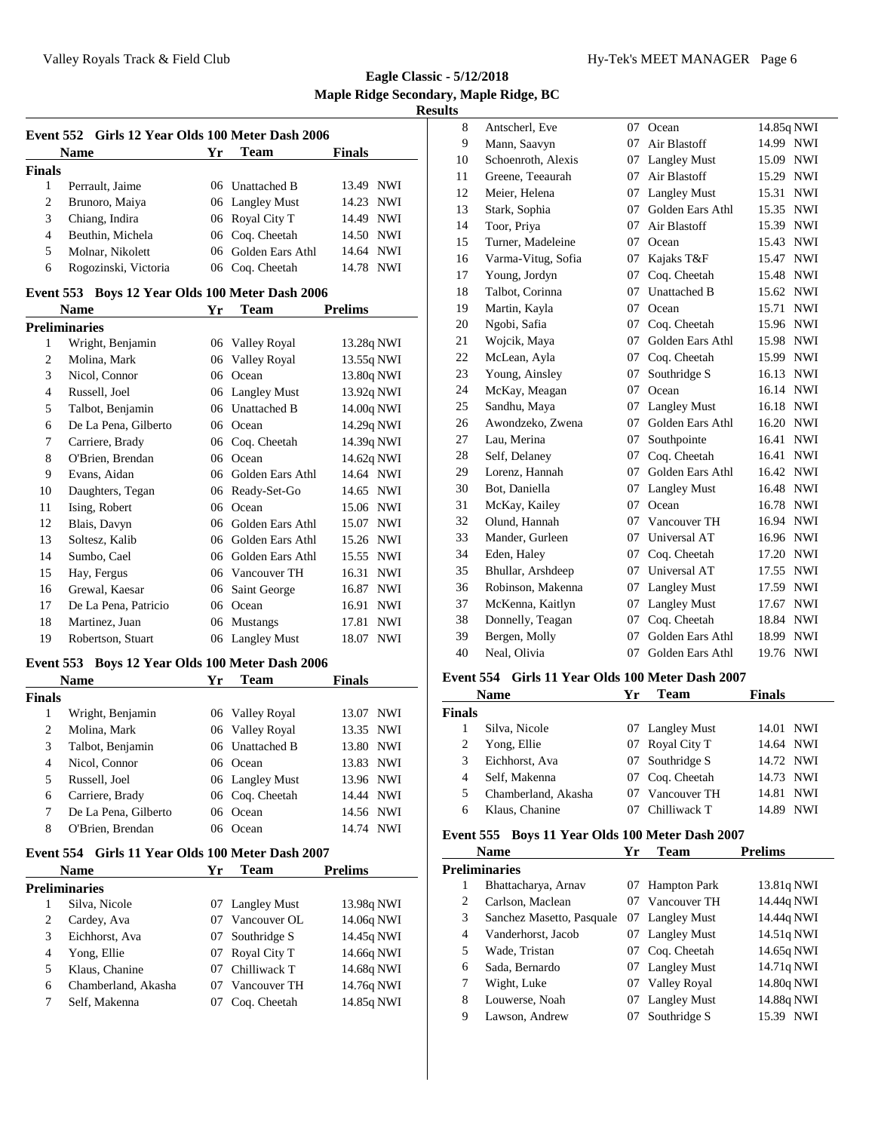**Eagle Classic - 5/12/2018 Maple Ridge Secondary, Maple Ridge, BC Results**

|                | Event 552 Girls 12 Year Olds 100 Meter Dash 2006 |    |                     |                     |
|----------------|--------------------------------------------------|----|---------------------|---------------------|
|                | <b>Name</b>                                      | Yr | <b>Team</b>         | <b>Finals</b>       |
| <b>Finals</b>  |                                                  |    |                     |                     |
| 1              | Perrault, Jaime                                  |    | 06 Unattached B     | 13.49 NWI           |
| $\overline{2}$ | Brunoro, Maiya                                   |    | 06 Langley Must     | 14.23 NWI           |
| 3              | Chiang, Indira                                   |    | 06 Royal City T     | 14.49 NWI           |
| 4              | Beuthin, Michela                                 |    | 06 Coq. Cheetah     | 14.50 NWI           |
| 5              | Molnar, Nikolett                                 |    | 06 Golden Ears Athl | 14.64 NWI           |
| 6              | Rogozinski, Victoria                             |    | 06 Coq. Cheetah     | 14.78 NWI           |
|                | Event 553 Boys 12 Year Olds 100 Meter Dash 2006  |    |                     |                     |
|                | <b>Name</b>                                      | Yr | <b>Team</b>         | <b>Prelims</b>      |
|                | <b>Preliminaries</b>                             |    |                     |                     |
| $\mathbf{1}$   | Wright, Benjamin                                 |    | 06 Valley Royal     | 13.28q NWI          |
| $\overline{c}$ | Molina, Mark                                     |    | 06 Valley Royal     | 13.55q NWI          |
| 3              | Nicol, Connor                                    |    | 06 Ocean            | 13.80q NWI          |
| $\overline{4}$ | Russell, Joel                                    |    | 06 Langley Must     | 13.92q NWI          |
| 5              | Talbot, Benjamin                                 |    | 06 Unattached B     | 14.00q NWI          |
| 6              | De La Pena, Gilberto                             |    | 06 Ocean            | 14.29q NWI          |
| 7              | Carriere, Brady                                  |    | 06 Coq. Cheetah     | 14.39q NWI          |
| 8              | O'Brien, Brendan                                 |    | 06 Ocean            | 14.62q NWI          |
| 9              | Evans, Aidan                                     |    | 06 Golden Ears Athl | 14.64 NWI           |
| 10             | Daughters, Tegan                                 |    | 06 Ready-Set-Go     | 14.65 NWI           |
| 11             | Ising, Robert                                    |    | 06 Ocean            | 15.06 NWI           |
| 12             | Blais, Davyn                                     |    | 06 Golden Ears Athl | 15.07 NWI           |
| 13             | Soltesz, Kalib                                   |    | 06 Golden Ears Athl | 15.26 NWI           |
| 14             | Sumbo, Cael                                      |    | 06 Golden Ears Athl | 15.55 NWI           |
| 15             | Hay, Fergus                                      |    | 06 Vancouver TH     | 16.31<br><b>NWI</b> |
| 16             | Grewal, Kaesar                                   |    | 06 Saint George     | 16.87 NWI           |
| 17             | De La Pena, Patricio                             |    | 06 Ocean            | 16.91<br><b>NWI</b> |
| 18             | Martinez, Juan                                   | 06 | Mustangs            | 17.81<br><b>NWI</b> |
| 19             | Robertson, Stuart                                | 06 | <b>Langley Must</b> | <b>NWI</b><br>18.07 |
| Event 553      | Boys 12 Year Olds 100 Meter Dash 2006            |    |                     |                     |
|                | <b>Name</b>                                      | Yr | Team                | Finals              |
| <b>Finals</b>  |                                                  |    |                     |                     |
| $\mathbf{1}$   | Wright, Benjamin                                 |    | 06 Valley Royal     | 13.07<br>NWI        |
| $\overline{c}$ | Molina, Mark                                     |    | 06 Valley Royal     | 13.35<br><b>NWI</b> |
| 3              | Talbot, Benjamin                                 |    | 06 Unattached B     | 13.80 NWI           |
| $\overline{4}$ | Nicol, Connor                                    |    | 06 Ocean            | 13.83 NWI           |
| 5              | Russell, Joel                                    |    | 06 Langley Must     | 13.96 NWI           |
| 6              | Carriere, Brady                                  |    | 06 Coq. Cheetah     | 14.44 NWI           |
| 7              | De La Pena, Gilberto                             | 06 | Ocean               | 14.56 NWI           |
| 8              | O'Brien, Brendan                                 |    | 06 Ocean            | 14.74 NWI           |
|                | Event 554 Girls 11 Year Olds 100 Meter Dash 2007 |    |                     |                     |

|   | <b>Name</b>         | Yr | Team            | <b>Prelims</b> |  |  |  |
|---|---------------------|----|-----------------|----------------|--|--|--|
|   | Preliminaries       |    |                 |                |  |  |  |
|   | Silva, Nicole       |    | 07 Langley Must | 13.98q NWI     |  |  |  |
| 2 | Cardey, Ava         | 07 | Vancouver OL    | 14.06q NWI     |  |  |  |
| 3 | Eichhorst, Ava      |    | 07 Southridge S | 14.45q NWI     |  |  |  |
| 4 | Yong, Ellie         |    | 07 Royal City T | 14.66q NWI     |  |  |  |
| 5 | Klaus, Chanine      | 07 | Chilliwack T    | 14.68q NWI     |  |  |  |
| 6 | Chamberland, Akasha | 07 | Vancouver TH    | 14.76q NWI     |  |  |  |
|   | Self, Makenna       |    | Coq. Cheetah    | 14.85q NWI     |  |  |  |

| 8  | Antscherl, Eve     | 07 | Ocean               | 14.85q NWI |            |
|----|--------------------|----|---------------------|------------|------------|
| 9  | Mann, Saavyn       | 07 | Air Blastoff        | 14.99 NWI  |            |
| 10 | Schoenroth, Alexis | 07 | <b>Langley Must</b> | 15.09      | <b>NWI</b> |
| 11 | Greene, Teeaurah   | 07 | Air Blastoff        | 15.29      | <b>NWI</b> |
| 12 | Meier, Helena      | 07 | <b>Langley Must</b> | 15.31      | <b>NWI</b> |
| 13 | Stark, Sophia      | 07 | Golden Ears Athl    | 15.35      | <b>NWI</b> |
| 14 | Toor, Priya        | 07 | Air Blastoff        | 15.39      | <b>NWI</b> |
| 15 | Turner, Madeleine  | 07 | Ocean               | 15.43      | <b>NWI</b> |
| 16 | Varma-Vitug, Sofia | 07 | Kajaks T&F          | 15.47      | <b>NWI</b> |
| 17 | Young, Jordyn      | 07 | Coq. Cheetah        | 15.48      | <b>NWI</b> |
| 18 | Talbot, Corinna    | 07 | <b>Unattached B</b> | 15.62      | <b>NWI</b> |
| 19 | Martin, Kayla      | 07 | Ocean               | 15.71      | <b>NWI</b> |
| 20 | Ngobi, Safia       | 07 | Coq. Cheetah        | 15.96      | <b>NWI</b> |
| 21 | Wojcik, Maya       | 07 | Golden Ears Athl    | 15.98      | <b>NWI</b> |
| 22 | McLean, Ayla       | 07 | Coq. Cheetah        | 15.99      | <b>NWI</b> |
| 23 | Young, Ainsley     | 07 | Southridge S        | 16.13      | <b>NWI</b> |
| 24 | McKay, Meagan      | 07 | Ocean               | 16.14      | <b>NWI</b> |
| 25 | Sandhu, Maya       | 07 | <b>Langley Must</b> | 16.18      | <b>NWI</b> |
| 26 | Awondzeko, Zwena   | 07 | Golden Ears Athl    | 16.20      | <b>NWI</b> |
| 27 | Lau, Merina        | 07 | Southpointe         | 16.41      | <b>NWI</b> |
| 28 | Self, Delaney      | 07 | Cog. Cheetah        | 16.41      | <b>NWI</b> |
| 29 | Lorenz, Hannah     | 07 | Golden Ears Athl    | 16.42      | <b>NWI</b> |
| 30 | Bot, Daniella      | 07 | <b>Langley Must</b> | 16.48      | <b>NWI</b> |
| 31 | McKay, Kailey      | 07 | Ocean               | 16.78      | <b>NWI</b> |
| 32 | Olund, Hannah      | 07 | Vancouver TH        | 16.94      | <b>NWI</b> |
| 33 | Mander, Gurleen    | 07 | Universal AT        | 16.96      | <b>NWI</b> |
| 34 | Eden, Haley        | 07 | Coq. Cheetah        | 17.20      | <b>NWI</b> |
| 35 | Bhullar, Arshdeep  | 07 | Universal AT        | 17.55      | <b>NWI</b> |
| 36 | Robinson, Makenna  | 07 | <b>Langley Must</b> | 17.59      | <b>NWI</b> |
| 37 | McKenna, Kaitlyn   | 07 | <b>Langley Must</b> | 17.67      | <b>NWI</b> |
| 38 | Donnelly, Teagan   | 07 | Coq. Cheetah        | 18.84      | <b>NWI</b> |
| 39 | Bergen, Molly      | 07 | Golden Ears Athl    | 18.99      | <b>NWI</b> |
| 40 | Neal, Olivia       | 07 | Golden Ears Athl    | 19.76      | <b>NWI</b> |
|    |                    |    |                     |            |            |

## **Event 554 Girls 11 Year Olds 100 Meter Dash 2007**

|                | <b>Name</b>         | Ұr | Team            | <b>Finals</b>       |
|----------------|---------------------|----|-----------------|---------------------|
| <b>Finals</b>  |                     |    |                 |                     |
|                | Silva, Nicole       |    | 07 Langley Must | NWI<br>14.01        |
| 2              | Yong, Ellie         |    | 07 Royal City T | 14.64 NWI           |
| 3              | Eichhorst, Ava      |    | 07 Southridge S | 14.72 NWI           |
| $\overline{4}$ | Self, Makenna       |    | 07 Coq. Cheetah | 14.73 NWI           |
| 5              | Chamberland, Akasha |    | Vancouver TH    | <b>NWI</b><br>14.81 |
| 6              | Klaus, Chanine      |    | Chilliwack T    | NWI<br>14.89        |

# **Event 555 Boys 11 Year Olds 100 Meter Dash 2007**

|   | <b>Name</b>               | Yr | Team                | <b>Prelims</b>      |
|---|---------------------------|----|---------------------|---------------------|
|   | <b>Preliminaries</b>      |    |                     |                     |
| 1 | Bhattacharya, Arnav       | 07 | <b>Hampton Park</b> | 13.81q NWI          |
| 2 | Carlson, Maclean          | 07 | Vancouver TH        | 14.44q NWI          |
| 3 | Sanchez Masetto, Pasquale |    | 07 Langley Must     | 14.44q NWI          |
| 4 | Vanderhorst, Jacob        | 07 | <b>Langley Must</b> | 14.51q NWI          |
| 5 | Wade, Tristan             | 07 | Coq. Cheetah        | 14.65q NWI          |
| 6 | Sada, Bernardo            | 07 | Langley Must        | 14.71q NWI          |
| 7 | Wight, Luke               | 07 | Valley Royal        | 14.80q NWI          |
| 8 | Louwerse, Noah            | 07 | <b>Langley Must</b> | 14.88q NWI          |
| 9 | Lawson, Andrew            | 07 | Southridge S        | <b>NWI</b><br>15.39 |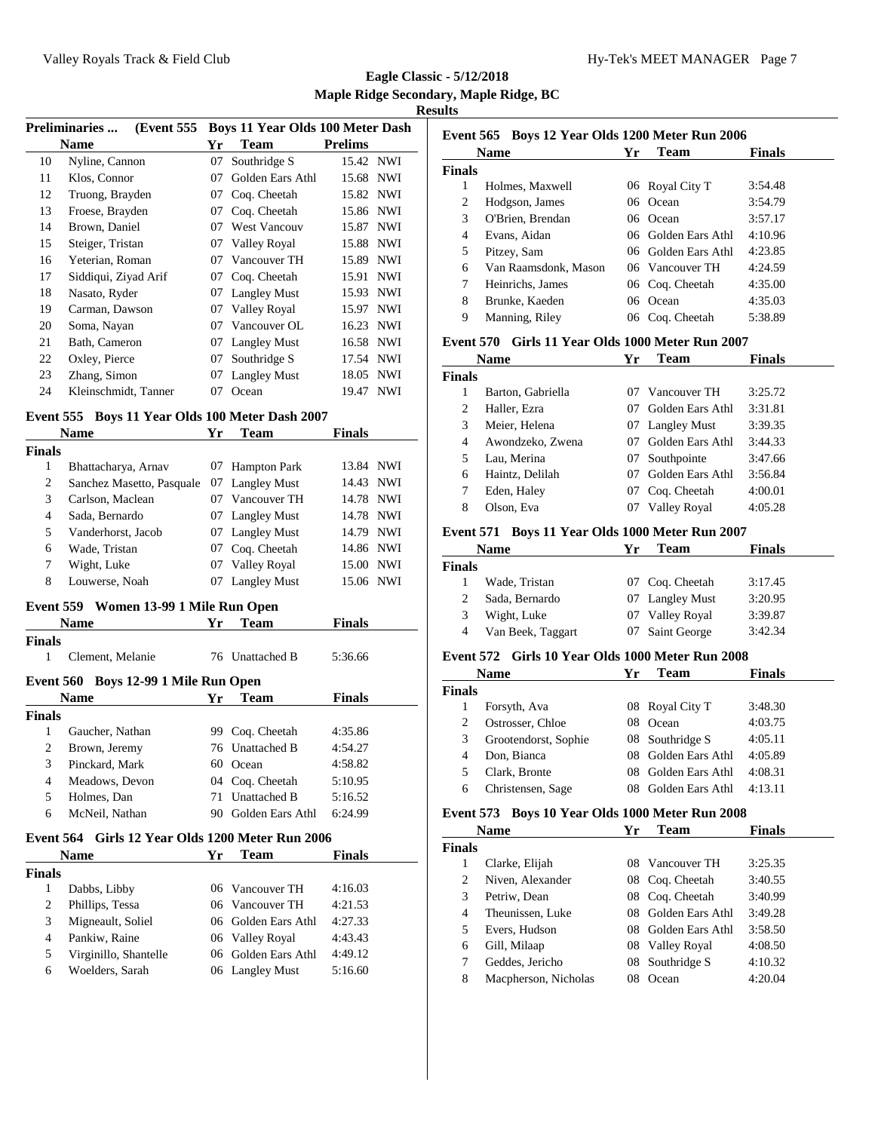| <b>Preliminaries</b><br>(Event 555) |                      | <b>Boys 11 Year Olds 100 Meter Dash</b> |                     |                     |  |
|-------------------------------------|----------------------|-----------------------------------------|---------------------|---------------------|--|
|                                     | <b>Name</b>          | Yr                                      | <b>Team</b>         | <b>Prelims</b>      |  |
| 10                                  | Nyline, Cannon       | 07                                      | Southridge S        | 15.42 NWI           |  |
| 11                                  | Klos, Connor         | 07                                      | Golden Ears Athl    | 15.68 NWI           |  |
| 12                                  | Truong, Brayden      | 07                                      | Coq. Cheetah        | 15.82 NWI           |  |
| 13                                  | Froese, Brayden      | 07                                      | Cog. Cheetah        | 15.86 NWI           |  |
| 14                                  | Brown, Daniel        | 07                                      | <b>West Vancouv</b> | <b>NWI</b><br>15.87 |  |
| 15                                  | Steiger, Tristan     | 07                                      | Valley Royal        | <b>NWI</b><br>15.88 |  |
| 16                                  | Yeterian, Roman      | 07                                      | Vancouver TH        | <b>NWI</b><br>15.89 |  |
| 17                                  | Siddiqui, Ziyad Arif | 07                                      | Coq. Cheetah        | <b>NWI</b><br>15.91 |  |
| 18                                  | Nasato, Ryder        | 07                                      | <b>Langley Must</b> | 15.93<br><b>NWI</b> |  |
| 19                                  | Carman, Dawson       | 07                                      | Valley Royal        | <b>NWI</b><br>15.97 |  |
| 20                                  | Soma, Nayan          | 07                                      | Vancouver OL        | 16.23 NWI           |  |
| 21                                  | Bath, Cameron        | 07                                      | <b>Langley Must</b> | 16.58 NWI           |  |
| 22                                  | Oxley, Pierce        | 07                                      | Southridge S        | <b>NWI</b><br>17.54 |  |
| 23                                  | Zhang, Simon         | 07                                      | <b>Langley Must</b> | 18.05<br>NWI        |  |
| 24                                  | Kleinschmidt, Tanner | 07                                      | Ocean               | NWI<br>19.47        |  |

## **Event 555 Boys 11 Year Olds 100 Meter Dash 2007**

|        | Name                      | Yr | <b>Team</b>         | <b>Finals</b> |            |  |
|--------|---------------------------|----|---------------------|---------------|------------|--|
| Finals |                           |    |                     |               |            |  |
| 1      | Bhattacharya, Arnav       | 07 | <b>Hampton Park</b> | 13.84 NWI     |            |  |
| 2      | Sanchez Masetto, Pasquale |    | 07 Langley Must     | 14.43 NWI     |            |  |
| 3      | Carlson, Maclean          | 07 | Vancouver TH        | 14.78 NWI     |            |  |
| 4      | Sada, Bernardo            |    | 07 Langley Must     | 14.78 NWI     |            |  |
| 5      | Vanderhorst, Jacob        |    | 07 Langley Must     | 14.79         | NWI        |  |
| 6      | Wade, Tristan             | 07 | Coq. Cheetah        | 14.86 NWI     |            |  |
| 7      | Wight, Luke               | 07 | Valley Royal        | 15.00         | <b>NWI</b> |  |
| 8      | Louwerse, Noah            | 07 | <b>Langley Must</b> | 15.06 NWI     |            |  |

#### **Event 559 Women 13-99 1 Mile Run Open**

|                  | <b>Name</b>                       | Yг  | <b>Team</b>      | <b>Finals</b> |  |
|------------------|-----------------------------------|-----|------------------|---------------|--|
| <b>Finals</b>    |                                   |     |                  |               |  |
| 1                | Clement, Melanie                  |     | 76 Unattached B  | 5:36.66       |  |
| <b>Event 560</b> | <b>Boys 12-99 1 Mile Run Open</b> |     |                  |               |  |
|                  | <b>Name</b>                       | Yг  | <b>Team</b>      | <b>Finals</b> |  |
| Finals           |                                   |     |                  |               |  |
| 1                | Gaucher, Nathan                   | 99  | Cog. Cheetah     | 4:35.86       |  |
| 2                | Brown, Jeremy                     |     | 76 Unattached B  | 4:54.27       |  |
| 3                | Pinckard, Mark                    | 60. | Ocean            | 4:58.82       |  |
| 4                | Meadows, Devon                    |     | 04 Coq. Cheetah  | 5:10.95       |  |
| 5                | Holmes, Dan                       | 71  | Unattached B     | 5:16.52       |  |
| 6                | McNeil, Nathan                    |     | Golden Ears Athl | 6:24.99       |  |

## **Event 564 Girls 12 Year Olds 1200 Meter Run 2006**

| <b>Name</b>   |                       | Yг | Team                | <b>Finals</b> |  |
|---------------|-----------------------|----|---------------------|---------------|--|
| <b>Finals</b> |                       |    |                     |               |  |
|               | Dabbs, Libby          |    | 06 Vancouver TH     | 4:16.03       |  |
| 2             | Phillips, Tessa       |    | 06 Vancouver TH     | 4:21.53       |  |
| 3             | Migneault, Soliel     |    | 06 Golden Ears Athl | 4:27.33       |  |
| 4             | Pankiw, Raine         |    | 06 Valley Royal     | 4:43.43       |  |
| 5             | Virginillo, Shantelle |    | 06 Golden Ears Athl | 4:49.12       |  |
| 6             | Woelders, Sarah       |    | 06 Langley Must     | 5:16.60       |  |

| Event 565 Boys 12 Year Olds 1200 Meter Run 2006 |                      |     |                     |               |  |  |  |
|-------------------------------------------------|----------------------|-----|---------------------|---------------|--|--|--|
|                                                 | <b>Name</b>          | Yr  | Team                | <b>Finals</b> |  |  |  |
| Finals                                          |                      |     |                     |               |  |  |  |
| 1                                               | Holmes, Maxwell      |     | 06 Royal City T     | 3:54.48       |  |  |  |
| 2                                               | Hodgson, James       |     | 06 Ocean            | 3:54.79       |  |  |  |
| 3                                               | O'Brien, Brendan     | 06. | Ocean               | 3:57.17       |  |  |  |
| 4                                               | Evans, Aidan         |     | 06 Golden Ears Athl | 4:10.96       |  |  |  |
| 5                                               | Pitzey, Sam          |     | 06 Golden Ears Athl | 4:23.85       |  |  |  |
| 6                                               | Van Raamsdonk. Mason |     | 06 Vancouver TH     | 4:24.59       |  |  |  |
| 7                                               | Heinrichs, James     |     | 06 Coq. Cheetah     | 4:35.00       |  |  |  |
| 8                                               | Brunke, Kaeden       | 06  | Ocean               | 4:35.03       |  |  |  |
| 9                                               | Manning, Riley       |     | 06 Coq. Cheetah     | 5:38.89       |  |  |  |
|                                                 |                      |     |                     |               |  |  |  |

## **Event 570 Girls 11 Year Olds 1000 Meter Run 2007**

| Name   |                   | Yr      | Team                | <b>Finals</b> |
|--------|-------------------|---------|---------------------|---------------|
| Finals |                   |         |                     |               |
|        | Barton, Gabriella | $^{07}$ | Vancouver TH        | 3:25.72       |
| 2      | Haller, Ezra      | 07      | Golden Ears Athl    | 3:31.81       |
| 3      | Meier, Helena     | 07      | <b>Langley Must</b> | 3:39.35       |
| 4      | Awondzeko, Zwena  | 07      | Golden Ears Athl    | 3:44.33       |
| 5      | Lau, Merina       | 07      | Southpointe         | 3:47.66       |
| 6      | Haintz, Delilah   | 07      | Golden Ears Athl    | 3:56.84       |
| 7      | Eden, Haley       | 07      | Coq. Cheetah        | 4:00.01       |
| 8      | Olson, Eva        |         | Valley Royal        | 4:05.28       |

#### **Event 571 Boys 11 Year Olds 1000 Meter Run 2007**

|               | <b>Name</b>       | Yг | Team            | <b>Finals</b> |  |
|---------------|-------------------|----|-----------------|---------------|--|
| <b>Finals</b> |                   |    |                 |               |  |
|               | Wade, Tristan     |    | 07 Coq. Cheetah | 3:17.45       |  |
| 2             | Sada, Bernardo    |    | 07 Langley Must | 3:20.95       |  |
| 3             | Wight, Luke       |    | 07 Valley Royal | 3:39.87       |  |
| 4             | Van Beek, Taggart |    | 07 Saint George | 3:42.34       |  |

# **Event 572 Girls 10 Year Olds 1000 Meter Run 2008**

| <b>Name</b>   |                      | Yг | Team             | <b>Finals</b> |  |
|---------------|----------------------|----|------------------|---------------|--|
| <b>Finals</b> |                      |    |                  |               |  |
|               | Forsyth, Ava         |    | 08 Royal City T  | 3:48.30       |  |
| 2             | Ostrosser, Chloe     | 08 | Ocean            | 4:03.75       |  |
| 3             | Grootendorst, Sophie |    | 08 Southridge S  | 4:05.11       |  |
| 4             | Don, Bianca          | 08 | Golden Ears Athl | 4:05.89       |  |
| 5             | Clark, Bronte        | 08 | Golden Ears Athl | 4:08.31       |  |
| 6             | Christensen, Sage    | 08 | Golden Ears Athl | 4:13.11       |  |

## **Event 573 Boys 10 Year Olds 1000 Meter Run 2008**

| <b>Name</b>   |                      | Yr  | Team                | <b>Finals</b> |
|---------------|----------------------|-----|---------------------|---------------|
| <b>Finals</b> |                      |     |                     |               |
| 1             | Clarke, Elijah       | 08. | Vancouver TH        | 3:25.35       |
| 2             | Niven, Alexander     |     | 08 Coq. Cheetah     | 3:40.55       |
| 3             | Petriw, Dean         |     | 08 Coq. Cheetah     | 3:40.99       |
| 4             | Theunissen, Luke     | 08  | Golden Ears Athl    | 3:49.28       |
| 5             | Evers, Hudson        | 08. | Golden Ears Athl    | 3:58.50       |
| 6             | Gill, Milaap         | 08  | <b>Valley Royal</b> | 4:08.50       |
| 7             | Geddes, Jericho      | 08  | Southridge S        | 4:10.32       |
| 8             | Macpherson, Nicholas | 08  | Ocean               | 4:20.04       |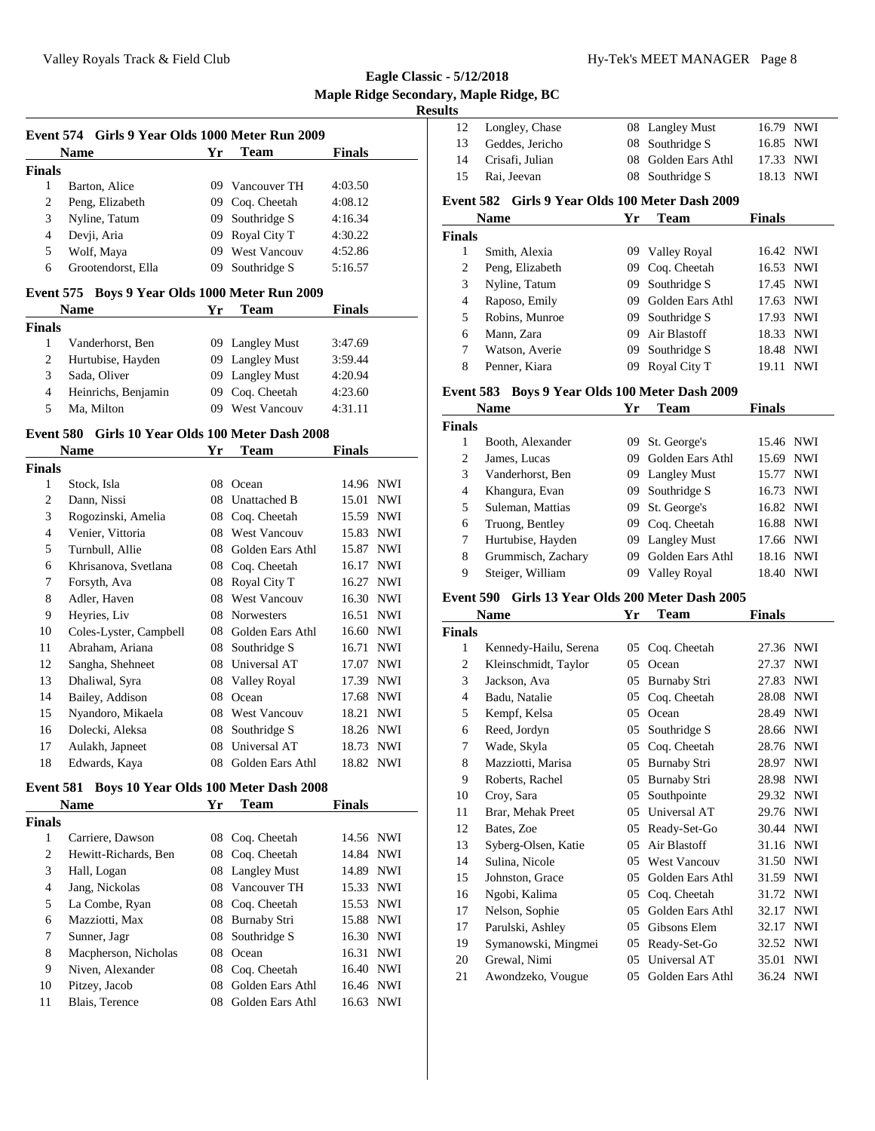**Eagle Classic - 5/12/2018 Maple Ridge Secondary, Maple Ridge, BC Results**

|                | Event 574 Girls 9 Year Olds 1000 Meter Run 2009  |    |                                      |               |            |
|----------------|--------------------------------------------------|----|--------------------------------------|---------------|------------|
|                | <b>Name</b>                                      | Yr | <b>Team</b>                          | <b>Finals</b> |            |
| <b>Finals</b>  |                                                  |    |                                      |               |            |
| $\mathbf{1}$   | Barton, Alice                                    |    | 09 Vancouver TH                      | 4:03.50       |            |
| $\overline{c}$ | Peng, Elizabeth                                  | 09 | Coq. Cheetah                         | 4:08.12       |            |
| 3              | Nyline, Tatum                                    | 09 | Southridge S                         | 4:16.34       |            |
| $\overline{4}$ | Devji, Aria                                      | 09 | Royal City T                         | 4:30.22       |            |
| 5              | Wolf, Maya                                       | 09 | <b>West Vancouv</b>                  | 4:52.86       |            |
| 6              | Grootendorst, Ella                               | 09 | Southridge S                         | 5:16.57       |            |
| Event 575      | Boys 9 Year Olds 1000 Meter Run 2009             |    |                                      |               |            |
|                | <b>Name</b>                                      | Yr | <b>Team</b>                          | <b>Finals</b> |            |
| <b>Finals</b>  |                                                  |    |                                      |               |            |
| 1              | Vanderhorst, Ben                                 | 09 | <b>Langley Must</b>                  | 3:47.69       |            |
| $\overline{c}$ | Hurtubise, Hayden                                | 09 | <b>Langley Must</b>                  | 3:59.44       |            |
| 3              | Sada, Oliver                                     | 09 | <b>Langley Must</b>                  | 4:20.94       |            |
| 4              | Heinrichs, Benjamin                              | 09 | Coq. Cheetah                         | 4:23.60       |            |
| 5              | Ma, Milton                                       |    | 09 West Vancouv                      | 4:31.11       |            |
|                | Event 580 Girls 10 Year Olds 100 Meter Dash 2008 |    |                                      |               |            |
|                | <b>Name</b>                                      | Yr | Team                                 | <b>Finals</b> |            |
| <b>Finals</b>  |                                                  |    |                                      |               |            |
| $\mathbf{1}$   | Stock, Isla                                      | 08 | Ocean                                | 14.96 NWI     |            |
| 2              | Dann, Nissi                                      | 08 | Unattached B                         | 15.01         | <b>NWI</b> |
| 3              | Rogozinski, Amelia                               |    | 08 Coq. Cheetah                      | 15.59 NWI     |            |
| $\overline{4}$ | Venier, Vittoria                                 | 08 | <b>West Vancouv</b>                  | 15.83 NWI     |            |
| 5              | Turnbull, Allie                                  | 08 | Golden Ears Athl                     | 15.87         | <b>NWI</b> |
| 6              | Khrisanova, Svetlana                             |    | 08 Coq. Cheetah                      | 16.17 NWI     |            |
| 7              | Forsyth, Ava                                     |    | 08 Royal City T                      | 16.27 NWI     |            |
| 8              | Adler, Haven                                     |    | 08 West Vancouv                      | 16.30 NWI     |            |
| 9              | Heyries, Liv                                     | 08 | <b>Norwesters</b>                    | 16.51         | <b>NWI</b> |
| 10             | Coles-Lyster Campbell                            |    | $\Omega$ $G$ olden Fars $\Delta$ thl | $16.60$ NWI   |            |

| 8  | Adler, Haven           |     | 08 West Vancouv     | 16.30 NWI |            |
|----|------------------------|-----|---------------------|-----------|------------|
| 9  | Heyries, Liv           | 08  | <b>Norwesters</b>   | 16.51     | <b>NWI</b> |
| 10 | Coles-Lyster, Campbell |     | 08 Golden Ears Athl | 16.60 NWI |            |
| 11 | Abraham, Ariana        |     | 08 Southridge S     | 16.71     | <b>NWI</b> |
| 12 | Sangha, Shehneet       |     | 08 Universal AT     | 17.07 NWI |            |
| 13 | Dhaliwal, Syra         |     | 08 Valley Royal     | 17.39     | <b>NWI</b> |
| 14 | Bailey, Addison        | 08. | Ocean               | 17.68 NWI |            |
| 15 | Nyandoro, Mikaela      |     | 08 West Vancouv     | 18.21 NWI |            |
| 16 | Dolecki, Aleksa        |     | 08 Southridge S     | 18.26 NWI |            |
| 17 | Aulakh, Japneet        | 08  | Universal AT        |           | 18.73 NWI  |
| 18 | Edwards, Kaya          | 08  | Golden Ears Athl    |           | 18.82 NWI  |

#### **Event 581 Boys 10 Year Olds 100 Meter Dash 2008**

| <b>Name</b>   |                      | Yг | <b>Team</b>         | <b>Finals</b> |            |
|---------------|----------------------|----|---------------------|---------------|------------|
| <b>Finals</b> |                      |    |                     |               |            |
| 1             | Carriere, Dawson     | 08 | Coq. Cheetah        | 14.56 NWI     |            |
| 2             | Hewitt-Richards, Ben |    | 08 Coq. Cheetah     | 14.84 NWI     |            |
| 3             | Hall, Logan          |    | 08 Langley Must     | 14.89         | <b>NWI</b> |
| 4             | Jang, Nickolas       | 08 | Vancouver TH        | 15.33 NWI     |            |
| 5             | La Combe, Ryan       |    | 08 Coq. Cheetah     | 15.53 NWI     |            |
| 6             | Mazziotti, Max       | 08 | <b>Burnaby Stri</b> | 15.88 NWI     |            |
| 7             | Sunner, Jagr         | 08 | Southridge S        | 16.30 NWI     |            |
| 8             | Macpherson, Nicholas | 08 | Ocean               | 16.31 NWI     |            |
| 9             | Niven, Alexander     | 08 | Coq. Cheetah        | 16.40 NWI     |            |
| 10            | Pitzey, Jacob        | 08 | Golden Ears Athl    | 16.46 NWI     |            |
| 11            | Blais, Terence       | 08 | Golden Ears Athl    | 16.63         | <b>NWI</b> |
|               |                      |    |                     |               |            |

| 13            | Geddes, Jericho                                 |     | 08 Southridge S  | 16.85 NWI     |            |
|---------------|-------------------------------------------------|-----|------------------|---------------|------------|
| 14            | Crisafi, Julian                                 | 08  | Golden Ears Athl | 17.33 NWI     |            |
| 15            | Rai, Jeevan                                     | 08  | Southridge S     | 18.13         | <b>NWI</b> |
|               | Event 582 Girls 9 Year Olds 100 Meter Dash 2009 |     |                  |               |            |
|               | <b>Name</b>                                     | Yr  | <b>Team</b>      | <b>Finals</b> |            |
| <b>Finals</b> |                                                 |     |                  |               |            |
| 1             | Smith, Alexia                                   | 09. | Valley Royal     | 16.42 NWI     |            |
| 2             | Peng, Elizabeth                                 | 09  | Coq. Cheetah     | 16.53 NWI     |            |
| 3             | Nyline, Tatum                                   | 09  | Southridge S     | 17.45 NWI     |            |
| 4             | Raposo, Emily                                   | 09  | Golden Ears Athl | 17.63 NWI     |            |
| 5             | Robins, Munroe                                  | 09  | Southridge S     | 17.93         | NWI        |
| 6             | Mann, Zara                                      | 09  | Air Blastoff     | 18.33         | <b>NWI</b> |
| 7             | Watson, Averie                                  | 09  | Southridge S     | 18.48 NWI     |            |
| 8             | Penner, Kiara                                   | 09  | Royal City T     | 19.11         | <b>NWI</b> |

Longley, Chase 08 Langley Must 16.79 NWI

#### **Event 583 Boys 9 Year Olds 100 Meter Dash 2009**

| <b>Name</b>   |                    | Yr  | Team                | <b>Finals</b> |            |
|---------------|--------------------|-----|---------------------|---------------|------------|
| <b>Finals</b> |                    |     |                     |               |            |
| 1             | Booth, Alexander   | 09. | St. George's        | 15.46 NWI     |            |
| 2             | James, Lucas       | 09  | Golden Ears Athl    | 15.69 NWI     |            |
| 3             | Vanderhorst, Ben   |     | 09 Langley Must     | 15.77 NWI     |            |
| 4             | Khangura, Evan     | 09. | Southridge S        | 16.73 NWI     |            |
| 5             | Suleman, Mattias   | 09. | St. George's        | 16.82 NWI     |            |
| 6             | Truong, Bentley    |     | 09 Cog. Cheetah     | 16.88 NWI     |            |
| 7             | Hurtubise, Hayden  | 09. | <b>Langley Must</b> | 17.66 NWI     |            |
| 8             | Grummisch, Zachary | 09  | Golden Ears Athl    | 18.16 NWI     |            |
| 9             | Steiger, William   | 09  | Valley Royal        | 18.40         | <b>NWI</b> |

### **Event 590 Girls 13 Year Olds 200 Meter Dash 2005**

| Name                  | Yr | Team                | Finals    |            |
|-----------------------|----|---------------------|-----------|------------|
| <b>Finals</b>         |    |                     |           |            |
| Kennedy-Hailu, Serena | 05 | Coq. Cheetah        | 27.36     | <b>NWI</b> |
| Kleinschmidt, Taylor  | 05 | Ocean               | 27.37     | <b>NWI</b> |
| Jackson, Ava          | 05 | Burnaby Stri        | 27.83     | <b>NWI</b> |
| Badu, Natalie         | 05 | Coq. Cheetah        | 28.08     | <b>NWI</b> |
| Kempf, Kelsa          | 05 | Ocean               | 28.49     | <b>NWI</b> |
| Reed, Jordyn          | 05 | Southridge S        | 28.66     | <b>NWI</b> |
| Wade, Skyla           | 05 | Coq. Cheetah        | 28.76     | <b>NWI</b> |
| Mazziotti, Marisa     | 05 | <b>Burnaby Stri</b> | 28.97     | <b>NWI</b> |
| Roberts, Rachel       | 05 | <b>Burnaby Stri</b> | 28.98     | <b>NWI</b> |
| Croy, Sara            | 05 | Southpointe         | 29.32     | <b>NWI</b> |
| Brar, Mehak Preet     | 05 | Universal AT        | 29.76     | <b>NWI</b> |
| Bates, Zoe            | 05 | Ready-Set-Go        | 30.44     | <b>NWI</b> |
| Syberg-Olsen, Katie   | 05 | Air Blastoff        | 31.16     | <b>NWI</b> |
| Sulina, Nicole        | 05 | <b>West Vancouv</b> | 31.50     | <b>NWI</b> |
| Johnston, Grace       | 05 | Golden Ears Athl    | 31.59     | <b>NWI</b> |
| Ngobi, Kalima         | 05 | Coq. Cheetah        | 31.72     | <b>NWI</b> |
| Nelson, Sophie        | 05 | Golden Ears Athl    | 32.17     | <b>NWI</b> |
| Parulski, Ashley      | 05 | Gibsons Elem        | 32.17     | <b>NWI</b> |
| Symanowski, Mingmei   | 05 | Ready-Set-Go        | 32.52     | <b>NWI</b> |
| Grewal, Nimi          | 05 | Universal AT        | 35.01     | <b>NWI</b> |
| Awondzeko, Vougue     | 05 | Golden Ears Athl    | 36.24 NWI |            |
|                       |    |                     |           |            |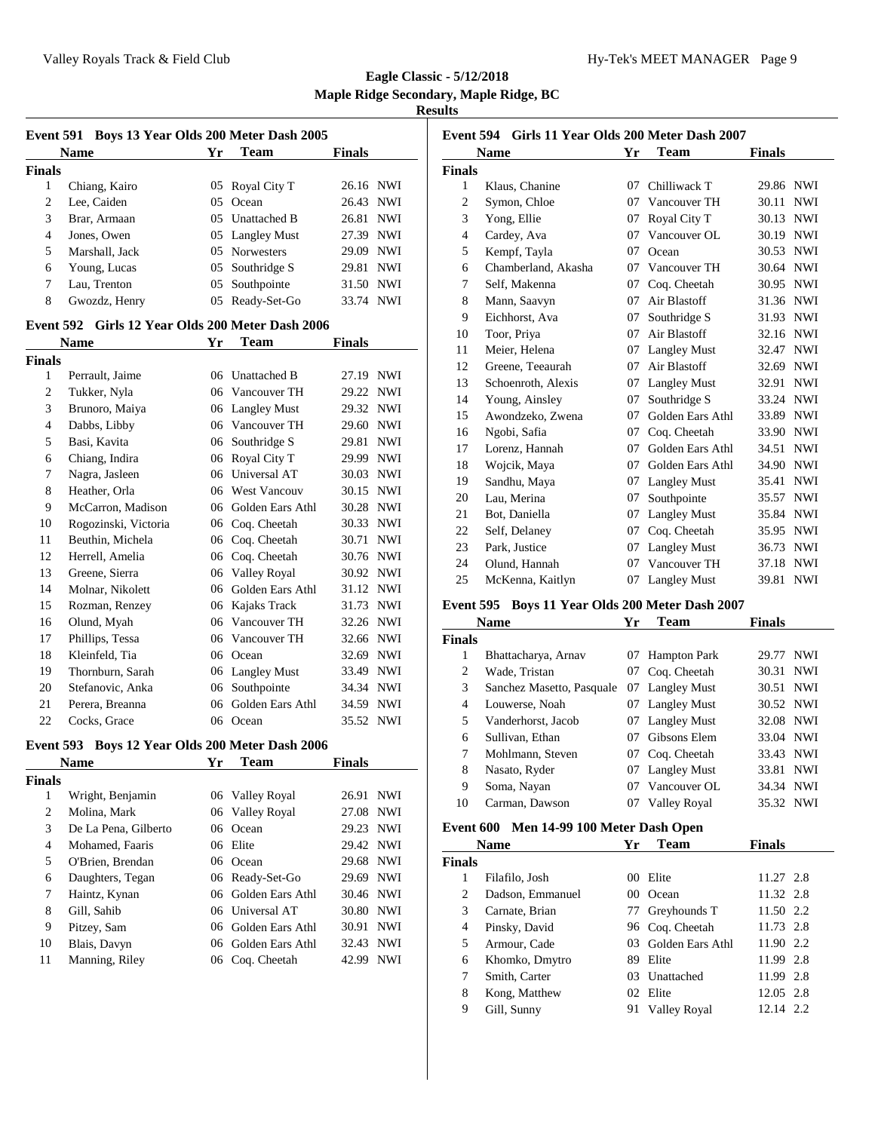|               | <b>Name</b>    | Yr | <b>Team</b>     | <b>Finals</b> |     |
|---------------|----------------|----|-----------------|---------------|-----|
| <b>Finals</b> |                |    |                 |               |     |
| 1             | Chiang, Kairo  |    | 05 Royal City T | 26.16 NWI     |     |
| 2             | Lee, Caiden    |    | 05 Ocean        | 26.43 NWI     |     |
| 3             | Brar, Armaan   |    | 05 Unattached B | 26.81 NWI     |     |
| 4             | Jones, Owen    |    | 05 Langley Must | 27.39 NWI     |     |
| 5             | Marshall, Jack |    | 05 Norwesters   | 29.09 NWI     |     |
| 6             | Young, Lucas   |    | 05 Southridge S | 29.81         | NWI |
| 7             | Lau, Trenton   |    | 05 Southpointe  | 31.50 NWI     |     |
| 8             | Gwozdz, Henry  |    | 05 Ready-Set-Go | 33.74 NWI     |     |

#### **Event 592 Girls 12 Year Olds 200 Meter Dash 2006**

|                | <b>Name</b>          | Yr | Team                | <b>Finals</b> |            |
|----------------|----------------------|----|---------------------|---------------|------------|
| <b>Finals</b>  |                      |    |                     |               |            |
| 1              | Perrault, Jaime      | 06 | <b>Unattached B</b> | 27.19         | <b>NWI</b> |
| $\overline{c}$ | Tukker, Nyla         | 06 | Vancouver TH        | 29.22         | <b>NWI</b> |
| 3              | Brunoro, Maiya       | 06 | <b>Langley Must</b> | 29.32         | <b>NWI</b> |
| 4              | Dabbs, Libby         | 06 | Vancouver TH        | 29.60         | <b>NWI</b> |
| 5              | Basi, Kavita         | 06 | Southridge S        | 29.81         | <b>NWI</b> |
| 6              | Chiang, Indira       | 06 | Royal City T        | 29.99         | <b>NWI</b> |
| 7              | Nagra, Jasleen       | 06 | Universal AT        | 30.03         | <b>NWI</b> |
| 8              | Heather, Orla        | 06 | West Vancouv        | 30.15         | <b>NWI</b> |
| 9              | McCarron, Madison    | 06 | Golden Ears Athl    | 30.28         | <b>NWI</b> |
| 10             | Rogozinski, Victoria | 06 | Coq. Cheetah        | 30.33         | <b>NWI</b> |
| 11             | Beuthin, Michela     | 06 | Coq. Cheetah        | 30.71         | <b>NWI</b> |
| 12             | Herrell, Amelia      | 06 | Coq. Cheetah        | 30.76         | <b>NWI</b> |
| 13             | Greene, Sierra       | 06 | <b>Valley Royal</b> | 30.92         | <b>NWI</b> |
| 14             | Molnar, Nikolett     | 06 | Golden Ears Athl    | 31.12         | <b>NWI</b> |
| 15             | Rozman, Renzey       | 06 | Kajaks Track        | 31.73         | <b>NWI</b> |
| 16             | Olund, Myah          | 06 | Vancouver TH        | 32.26         | <b>NWI</b> |
| 17             | Phillips, Tessa      | 06 | Vancouver TH        | 32.66         | <b>NWI</b> |
| 18             | Kleinfeld, Tia       | 06 | Ocean               | 32.69         | <b>NWI</b> |
| 19             | Thornburn, Sarah     | 06 | <b>Langley Must</b> | 33.49         | <b>NWI</b> |
| 20             | Stefanovic, Anka     | 06 | Southpointe         | 34.34         | <b>NWI</b> |
| 21             | Perera, Breanna      | 06 | Golden Ears Athl    | 34.59         | <b>NWI</b> |
| 22             | Cocks, Grace         | 06 | Ocean               | 35.52         | <b>NWI</b> |

## **Event 593 Boys 12 Year Olds 200 Meter Dash 2006**

|               | <b>Name</b>          | Yг | <b>Team</b>         | <b>Finals</b> |            |
|---------------|----------------------|----|---------------------|---------------|------------|
| <b>Finals</b> |                      |    |                     |               |            |
| 1             | Wright, Benjamin     |    | 06 Valley Royal     | 26.91         | <b>NWI</b> |
| 2             | Molina, Mark         |    | 06 Valley Royal     | 27.08 NWI     |            |
| 3             | De La Pena, Gilberto |    | 06 Ocean            | 29.23 NWI     |            |
| 4             | Mohamed, Faaris      |    | 06 Elite            | 29.42 NWI     |            |
| 5             | O'Brien, Brendan     |    | 06 Ocean            | 29.68 NWI     |            |
| 6             | Daughters, Tegan     |    | 06 Ready-Set-Go     | 29.69 NWI     |            |
| 7             | Haintz, Kynan        |    | 06 Golden Ears Athl | 30.46 NWI     |            |
| 8             | Gill, Sahib          |    | 06 Universal AT     | 30.80 NWI     |            |
| 9             | Pitzey, Sam          |    | 06 Golden Ears Athl | 30.91         | <b>NWI</b> |
| 10            | Blais, Davyn         |    | 06 Golden Ears Athl | 32.43 NWI     |            |
| 11            | Manning, Riley       |    | 06 Coq. Cheetah     | 42.99         | <b>NWI</b> |

| Event 594 Girls 11 Year Olds 200 Meter Dash 2007 |                     |    |                     |               |            |  |  |
|--------------------------------------------------|---------------------|----|---------------------|---------------|------------|--|--|
|                                                  | <b>Name</b>         | Yr | <b>Team</b>         | <b>Finals</b> |            |  |  |
| Finals                                           |                     |    |                     |               |            |  |  |
| 1                                                | Klaus, Chanine      | 07 | Chilliwack T        | 29.86         | <b>NWI</b> |  |  |
| $\overline{2}$                                   | Symon, Chloe        | 07 | Vancouver TH        | 30.11         | <b>NWI</b> |  |  |
| 3                                                | Yong, Ellie         | 07 | Royal City T        | 30.13         | <b>NWI</b> |  |  |
| $\overline{4}$                                   | Cardey, Ava         | 07 | Vancouver OL        | 30.19         | <b>NWI</b> |  |  |
| 5                                                | Kempf, Tayla        | 07 | Ocean               | 30.53         | NWI        |  |  |
| 6                                                | Chamberland, Akasha | 07 | Vancouver TH        | 30.64         | <b>NWI</b> |  |  |
| 7                                                | Self. Makenna       | 07 | Coq. Cheetah        | 30.95         | <b>NWI</b> |  |  |
| 8                                                | Mann, Saavyn        | 07 | Air Blastoff        | 31.36         | NWI        |  |  |
| 9                                                | Eichhorst, Ava      | 07 | Southridge S        | 31.93         | <b>NWI</b> |  |  |
| 10                                               | Toor, Priya         | 07 | Air Blastoff        | 32.16         | <b>NWI</b> |  |  |
| 11                                               | Meier, Helena       | 07 | Langley Must        | 32.47         | <b>NWI</b> |  |  |
| 12                                               | Greene, Teeaurah    | 07 | Air Blastoff        | 32.69         | <b>NWI</b> |  |  |
| 13                                               | Schoenroth, Alexis  | 07 | <b>Langley Must</b> | 32.91         | <b>NWI</b> |  |  |
| 14                                               | Young, Ainsley      | 07 | Southridge S        | 33.24         | <b>NWI</b> |  |  |
| 15                                               | Awondzeko, Zwena    | 07 | Golden Ears Athl    | 33.89         | <b>NWI</b> |  |  |
| 16                                               | Ngobi, Safia        | 07 | Coq. Cheetah        | 33.90         | <b>NWI</b> |  |  |
| 17                                               | Lorenz, Hannah      | 07 | Golden Ears Athl    | 34.51         | <b>NWI</b> |  |  |
| 18                                               | Wojcik, Maya        | 07 | Golden Ears Athl    | 34.90         | <b>NWI</b> |  |  |
| 19                                               | Sandhu, Maya        | 07 | <b>Langley Must</b> | 35.41         | <b>NWI</b> |  |  |
| 20                                               | Lau, Merina         | 07 | Southpointe         | 35.57         | <b>NWI</b> |  |  |
| 21                                               | Bot, Daniella       | 07 | <b>Langley Must</b> | 35.84 NWI     |            |  |  |
| 22                                               | Self, Delaney       | 07 | Coq. Cheetah        | 35.95         | <b>NWI</b> |  |  |
| 23                                               | Park, Justice       | 07 | <b>Langley Must</b> | 36.73         | <b>NWI</b> |  |  |
| 24                                               | Olund, Hannah       | 07 | Vancouver TH        | 37.18         | <b>NWI</b> |  |  |
| 25                                               | McKenna, Kaitlyn    | 07 | <b>Langley Must</b> | 39.81         | <b>NWI</b> |  |  |

## **Event 595 Boys 11 Year Olds 200 Meter Dash 2007**

|               | <b>Name</b>               | Yr | <b>Team</b>         | <b>Finals</b>       |
|---------------|---------------------------|----|---------------------|---------------------|
| <b>Finals</b> |                           |    |                     |                     |
| 1             | Bhattacharya, Arnav       |    | 07 Hampton Park     | NWI<br>29.77        |
| 2             | Wade, Tristan             | 07 | Coq. Cheetah        | <b>NWI</b><br>30.31 |
| 3             | Sanchez Masetto, Pasquale |    | 07 Langley Must     | <b>NWI</b><br>30.51 |
| 4             | Louwerse, Noah            |    | 07 Langley Must     | 30.52 NWI           |
| 5             | Vanderhorst, Jacob        | 07 | <b>Langley Must</b> | 32.08 NWI           |
| 6             | Sullivan, Ethan           | 07 | Gibsons Elem        | 33.04 NWI           |
| 7             | Mohlmann, Steven          | 07 | Coq. Cheetah        | 33.43 NWI           |
| 8             | Nasato, Ryder             |    | 07 Langley Must     | <b>NWI</b><br>33.81 |
| 9             | Soma, Nayan               | 07 | Vancouver OL        | 34.34 NWI           |
| 10            | Carman, Dawson            | 07 | Valley Royal        | 35.32 NWI           |

## **Event 600 Men 14-99 100 Meter Dash Open**

|               | <b>Name</b>      | Yr    | <b>Team</b>      | Finals    |
|---------------|------------------|-------|------------------|-----------|
| <b>Finals</b> |                  |       |                  |           |
| 1             | Filafilo, Josh   | $00-$ | Elite            | 11.27 2.8 |
| 2             | Dadson, Emmanuel |       | 00 Ocean         | 11.32 2.8 |
| 3             | Carnate, Brian   |       | 77 Greyhounds T  | 11.50 2.2 |
| 4             | Pinsky, David    |       | 96 Coq. Cheetah  | 11.73 2.8 |
| 5             | Armour, Cade     | 03.   | Golden Ears Athl | 11.90 2.2 |
| 6             | Khomko, Dmytro   | 89.   | Elite            | 11.99 2.8 |
| 7             | Smith, Carter    |       | 03 Unattached    | 11.99 2.8 |
| 8             | Kong, Matthew    |       | 02 Elite         | 12.05 2.8 |
| 9             | Gill, Sunny      |       | 91 Valley Royal  | 12.14 2.2 |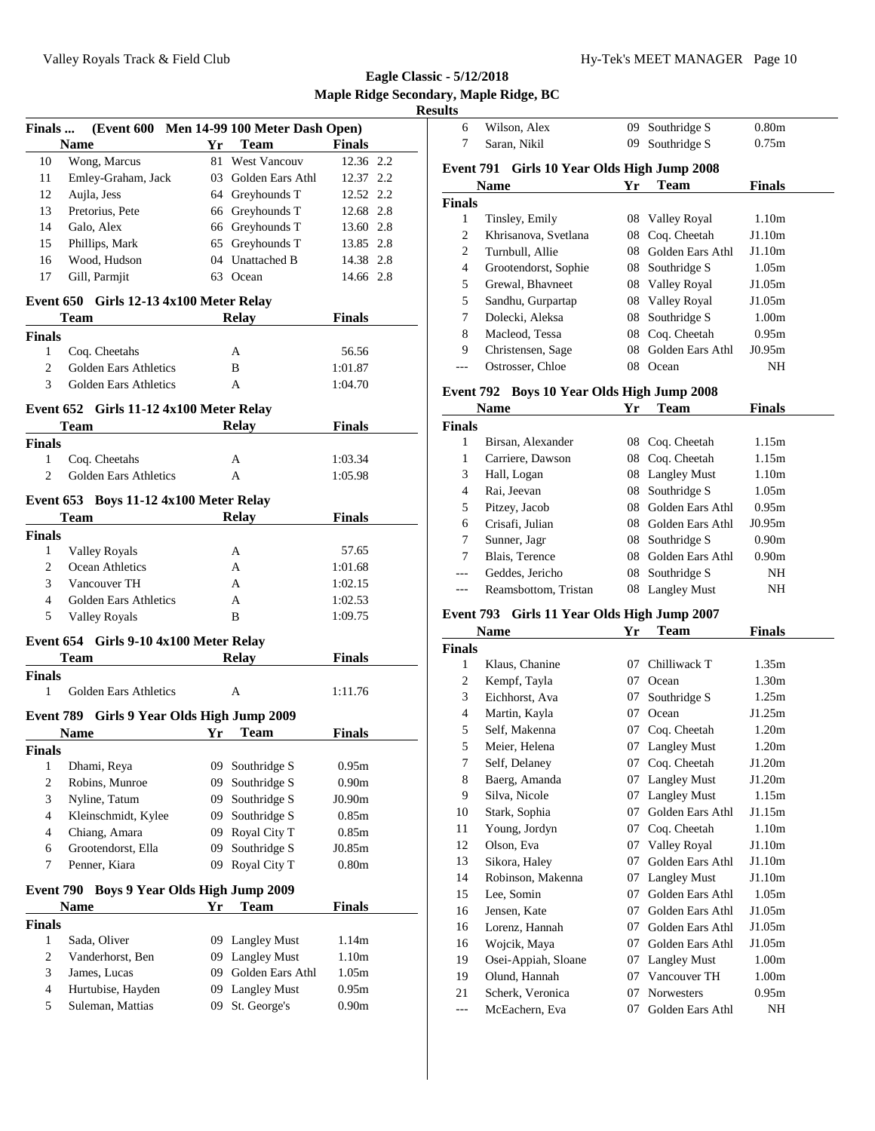**Eagle Classic - 5/12/2018 Maple Ridge Secondary, Maple Ridge, BC Results**

| Finals           |                                         |    | (Event 600 Men 14-99 100 Meter Dash Open) |                   |  |
|------------------|-----------------------------------------|----|-------------------------------------------|-------------------|--|
|                  | <b>Name</b>                             | Yr | <b>Team</b>                               | <b>Finals</b>     |  |
| 10               | Wong, Marcus                            | 81 | <b>West Vancouv</b>                       | 12.36 2.2         |  |
| 11               | Emley-Graham, Jack                      |    | 03 Golden Ears Athl                       | 12.37 2.2         |  |
| 12               | Aujla, Jess                             |    | 64 Greyhounds T                           | 12.52 2.2         |  |
| 13               | Pretorius, Pete                         |    | 66 Greyhounds T                           | 12.68 2.8         |  |
| 14               | Galo, Alex                              |    | 66 Greyhounds T                           | 13.60 2.8         |  |
| 15               | Phillips, Mark                          |    | 65 Greyhounds T                           | 13.85 2.8         |  |
| 16               | Wood, Hudson                            |    | 04 Unattached B                           | 14.38 2.8         |  |
| 17               | Gill, Parmjit                           |    | 63 Ocean                                  | 14.66 2.8         |  |
|                  | Event 650 Girls 12-13 4x100 Meter Relay |    |                                           |                   |  |
|                  | Team                                    |    | <b>Relay</b>                              | <b>Finals</b>     |  |
| Finals           |                                         |    |                                           |                   |  |
| 1                | Coq. Cheetahs                           |    | A                                         | 56.56             |  |
| 2                | Golden Ears Athletics                   |    | B                                         | 1:01.87           |  |
| 3                | Golden Ears Athletics                   |    | A                                         | 1:04.70           |  |
|                  | Event 652 Girls 11-12 4x100 Meter Relay |    |                                           |                   |  |
|                  | Team                                    |    | <b>Relay</b>                              | Finals            |  |
| <b>Finals</b>    |                                         |    |                                           |                   |  |
| $\mathbf{1}$     | Coq. Cheetahs                           |    | A                                         | 1:03.34           |  |
| $\overline{2}$   | Golden Ears Athletics                   |    | A                                         | 1:05.98           |  |
|                  |                                         |    |                                           |                   |  |
|                  | Event 653 Boys 11-12 4x100 Meter Relay  |    |                                           |                   |  |
|                  | Team                                    |    | <b>Relay</b>                              | <b>Finals</b>     |  |
| <b>Finals</b>    |                                         |    |                                           |                   |  |
| $\mathbf{1}$     | Valley Royals                           |    | A                                         | 57.65             |  |
| 2                | Ocean Athletics                         |    | A                                         | 1:01.68           |  |
| 3                | Vancouver TH                            |    | A                                         | 1:02.15           |  |
| $\overline{4}$   | Golden Ears Athletics                   |    | A                                         | 1:02.53           |  |
| 5                | Valley Royals                           |    | B                                         | 1:09.75           |  |
|                  | Event 654 Girls 9-10 4x100 Meter Relay  |    |                                           |                   |  |
|                  | Team                                    |    | <b>Relay</b>                              | <b>Finals</b>     |  |
| <b>Finals</b>    |                                         |    |                                           |                   |  |
| $1 \quad$        | Golden Ears Athletics                   |    | A                                         | 1:11.76           |  |
| <b>Event 789</b> | Girls 9 Year Olds High Jump 2009        |    |                                           |                   |  |
|                  | <b>Name</b>                             | Yr | <b>Team</b>                               | <b>Finals</b>     |  |
| <b>Finals</b>    |                                         |    |                                           |                   |  |
| 1                | Dhami, Reya                             | 09 | Southridge S                              | 0.95m             |  |
| 2                | Robins, Munroe                          | 09 | Southridge S                              | 0.90 <sub>m</sub> |  |
| 3                | Nyline, Tatum                           | 09 | Southridge S                              | J0.90m            |  |
| 4                | Kleinschmidt, Kylee                     | 09 | Southridge S                              | 0.85m             |  |
| 4                | Chiang, Amara                           | 09 | Royal City T                              | 0.85m             |  |
| 6                | Grootendorst, Ella                      | 09 | Southridge S                              | J0.85m            |  |
| 7                | Penner, Kiara                           | 09 | Royal City T                              | 0.80 <sub>m</sub> |  |
|                  |                                         |    |                                           |                   |  |
| <b>Event 790</b> | <b>Boys 9 Year Olds High Jump 2009</b>  |    |                                           |                   |  |
|                  | <b>Name</b>                             | Yr | Team                                      | <b>Finals</b>     |  |
| <b>Finals</b>    |                                         |    |                                           |                   |  |
| $\mathbf{1}$     | Sada, Oliver                            |    | 09 Langley Must                           | 1.14m             |  |
| 2                | Vanderhorst, Ben                        |    | 09 Langley Must                           | 1.10 <sub>m</sub> |  |
| 3                | James, Lucas                            | 09 | Golden Ears Athl                          | 1.05m             |  |
| 4                | Hurtubise, Hayden                       | 09 | <b>Langley Must</b>                       | 0.95m             |  |
| 5                | Suleman, Mattias                        | 09 | St. George's                              | 0.90 <sub>m</sub> |  |

| sults         |                                            |    |                  |                   |  |
|---------------|--------------------------------------------|----|------------------|-------------------|--|
| 6             | Wilson, Alex                               | 09 | Southridge S     | 0.80 <sub>m</sub> |  |
| 7             | Saran, Nikil                               | 09 | Southridge S     | 0.75m             |  |
| Event 791     | Girls 10 Year Olds High Jump 2008          |    |                  |                   |  |
|               | Name                                       | Yr | Team             | Finals            |  |
| Finals        |                                            |    |                  |                   |  |
| 1             | Tinsley, Emily                             | 08 | Valley Royal     | 1.10 <sub>m</sub> |  |
| 2             | Khrisanova, Svetlana                       | 08 | Coq. Cheetah     | J1.10m            |  |
| 2             | Turnbull, Allie                            | 08 | Golden Ears Athl | J1.10m            |  |
| 4             | Grootendorst, Sophie                       | 08 | Southridge S     | 1.05m             |  |
| 5             | Grewal, Bhavneet                           | 08 | Valley Royal     | J1.05m            |  |
| 5             | Sandhu, Gurpartap                          | 08 | Valley Royal     | J1.05m            |  |
| 7             | Dolecki, Aleksa                            | 08 | Southridge S     | 1.00m             |  |
| 8             | Macleod, Tessa                             | 08 | Coq. Cheetah     | 0.95m             |  |
| 9             | Christensen, Sage                          | 08 | Golden Ears Athl | J0.95m            |  |
| ---           | Ostrosser, Chloe                           | 08 | Ocean            | NH                |  |
|               | Event 792 Boys 10 Year Olds High Jump 2008 |    |                  |                   |  |
|               | <b>Name</b>                                | Yr | <b>Team</b>      | Finals            |  |
| <b>Finals</b> |                                            |    |                  |                   |  |
| 1             | Birsan, Alexander                          | 08 | Coq. Cheetah     | 1.15m             |  |

| nals           |                      |     |                  |                   |
|----------------|----------------------|-----|------------------|-------------------|
| 1              | Birsan, Alexander    |     | 08 Coq. Cheetah  | 1.15m             |
| 1              | Carriere, Dawson     |     | 08 Coq. Cheetah  | 1.15m             |
| 3              | Hall, Logan          |     | 08 Langley Must  | 1.10 <sub>m</sub> |
| 4              | Rai, Jeevan          |     | 08 Southridge S  | 1.05m             |
| 5              | Pitzey, Jacob        | 08. | Golden Ears Athl | 0.95m             |
| 6              | Crisafi, Julian      | 08. | Golden Ears Athl | J0.95m            |
| 7              | Sunner, Jagr         |     | 08 Southridge S  | 0.90 <sub>m</sub> |
| 7              | Blais, Terence       | 08. | Golden Ears Athl | 0.90 <sub>m</sub> |
| $\overline{a}$ | Geddes, Jericho      |     | 08 Southridge S  | NΗ                |
| $\overline{a}$ | Reamsbottom, Tristan |     | 08 Langley Must  | NΗ                |

#### **Event 793 Girls 11 Year Olds High Jump 2007**

|                | Name                | Yr | Team                | Finals            |  |
|----------------|---------------------|----|---------------------|-------------------|--|
| <b>Finals</b>  |                     |    |                     |                   |  |
| 1              | Klaus, Chanine      | 07 | Chilliwack T        | 1.35m             |  |
| $\overline{c}$ | Kempf, Tayla        | 07 | Ocean               | 1.30m             |  |
| 3              | Eichhorst, Ava      | 07 | Southridge S        | 1.25m             |  |
| 4              | Martin, Kayla       | 07 | Ocean               | J1.25m            |  |
| 5              | Self, Makenna       | 07 | Coq. Cheetah        | 1.20m             |  |
| 5              | Meier, Helena       | 07 | <b>Langley Must</b> | 1.20m             |  |
| 7              | Self, Delaney       | 07 | Coq. Cheetah        | J1.20m            |  |
| 8              | Baerg, Amanda       | 07 | <b>Langley Must</b> | J1.20m            |  |
| 9              | Silva, Nicole       | 07 | <b>Langley Must</b> | 1.15m             |  |
| 10             | Stark, Sophia       | 07 | Golden Ears Athl    | J1.15m            |  |
| 11             | Young, Jordyn       | 07 | Coq. Cheetah        | 1.10 <sub>m</sub> |  |
| 12             | Olson, Eva          | 07 | Valley Royal        | J1.10m            |  |
| 13             | Sikora, Haley       | 07 | Golden Ears Athl    | J1.10m            |  |
| 14             | Robinson, Makenna   | 07 | <b>Langley Must</b> | J1.10m            |  |
| 15             | Lee, Somin          | 07 | Golden Ears Athl    | 1.05m             |  |
| 16             | Jensen, Kate        | 07 | Golden Ears Athl    | J1.05m            |  |
| 16             | Lorenz, Hannah      | 07 | Golden Ears Athl    | J1.05m            |  |
| 16             | Wojcik, Maya        | 07 | Golden Ears Athl    | J1.05m            |  |
| 19             | Osei-Appiah, Sloane | 07 | <b>Langley Must</b> | 1.00m             |  |
| 19             | Olund, Hannah       | 07 | Vancouver TH        | 1.00m             |  |
| 21             | Scherk, Veronica    | 07 | <b>Norwesters</b>   | 0.95m             |  |
| ---            | McEachern, Eva      | 07 | Golden Ears Athl    | NH                |  |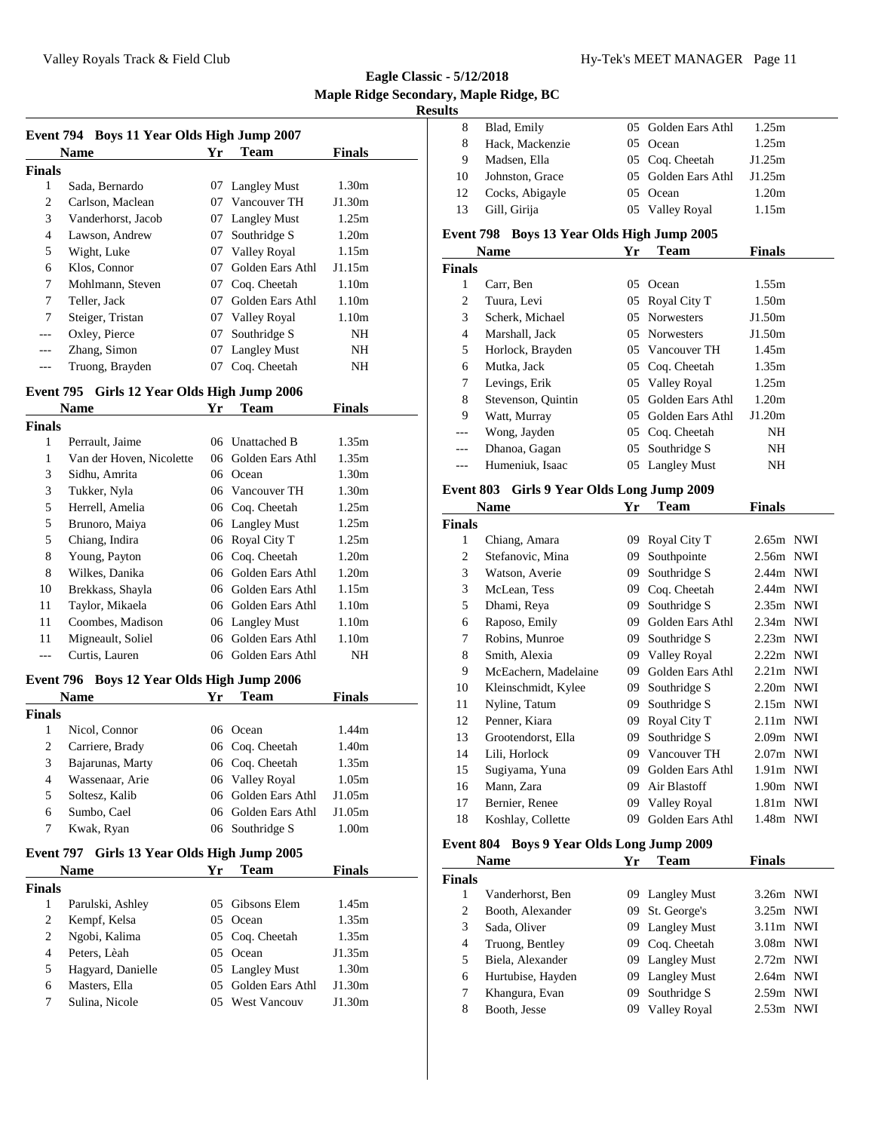| Event 794 Boys 11 Year Olds High Jump 2007 |                    |    |                  |                   |  |  |
|--------------------------------------------|--------------------|----|------------------|-------------------|--|--|
|                                            | <b>Name</b>        | Yr | Team             | <b>Finals</b>     |  |  |
| <b>Finals</b>                              |                    |    |                  |                   |  |  |
| 1                                          | Sada, Bernardo     |    | 07 Langley Must  | 1.30m             |  |  |
| 2                                          | Carlson, Maclean   | 07 | Vancouver TH     | J1.30m            |  |  |
| 3                                          | Vanderhorst, Jacob |    | 07 Langley Must  | 1.25m             |  |  |
| 4                                          | Lawson, Andrew     | 07 | Southridge S     | 1.20m             |  |  |
| 5                                          | Wight, Luke        | 07 | Valley Royal     | 1.15m             |  |  |
| 6                                          | Klos, Connor       | 07 | Golden Ears Athl | J1.15m            |  |  |
| 7                                          | Mohlmann, Steven   | 07 | Cog. Cheetah     | 1.10 <sub>m</sub> |  |  |
| 7                                          | Teller, Jack       | 07 | Golden Ears Athl | 1.10 <sub>m</sub> |  |  |
| 7                                          | Steiger, Tristan   | 07 | Valley Royal     | 1.10m             |  |  |
| ---                                        | Oxley, Pierce      | 07 | Southridge S     | NH                |  |  |
|                                            | Zhang, Simon       |    | 07 Langley Must  | NH                |  |  |
|                                            | Truong, Brayden    | 07 | Coq. Cheetah     | NΗ                |  |  |

#### **Event 795 Girls 12 Year Olds High Jump 2006**

|        | <b>Name</b>              | Yr | Team                | Finals            |  |
|--------|--------------------------|----|---------------------|-------------------|--|
| Finals |                          |    |                     |                   |  |
| 1      | Perrault, Jaime          |    | 06 Unattached B     | 1.35m             |  |
| 1      | Van der Hoven, Nicolette |    | 06 Golden Ears Athl | 1.35m             |  |
| 3      | Sidhu, Amrita            | 06 | Ocean               | 1.30m             |  |
| 3      | Tukker, Nyla             |    | 06 Vancouver TH     | 1.30m             |  |
| 5      | Herrell, Amelia          |    | 06 Coq. Cheetah     | 1.25m             |  |
| 5      | Brunoro, Maiya           |    | 06 Langley Must     | 1.25m             |  |
| 5      | Chiang, Indira           |    | 06 Royal City T     | 1.25m             |  |
| 8      | Young, Payton            |    | 06 Coq. Cheetah     | 1.20m             |  |
| 8      | Wilkes, Danika           |    | 06 Golden Ears Athl | 1.20m             |  |
| 10     | Brekkass, Shayla         |    | 06 Golden Ears Athl | 1.15m             |  |
| 11     | Taylor, Mikaela          |    | 06 Golden Ears Athl | 1.10 <sub>m</sub> |  |
| 11     | Coombes, Madison         |    | 06 Langley Must     | 1.10 <sub>m</sub> |  |
| 11     | Migneault, Soliel        | 06 | Golden Ears Athl    | 1.10 <sub>m</sub> |  |
|        | Curtis, Lauren           |    | 06 Golden Ears Athl | NH                |  |

## **Event 796 Boys 12 Year Olds High Jump 2006**

|        | <b>Name</b>      | Yr | <b>Team</b>         | <b>Finals</b> |  |
|--------|------------------|----|---------------------|---------------|--|
| Finals |                  |    |                     |               |  |
|        | Nicol, Connor    |    | 06 Ocean            | 1.44m         |  |
| 2      | Carriere, Brady  |    | 06 Coq. Cheetah     | 1.40m         |  |
| 3      | Bajarunas, Marty |    | 06 Coq. Cheetah     | 1.35m         |  |
| 4      | Wassenaar, Arie  |    | 06 Valley Royal     | 1.05m         |  |
| 5      | Soltesz, Kalib   |    | 06 Golden Ears Athl | J1.05m        |  |
| 6      | Sumbo, Cael      |    | 06 Golden Ears Athl | J1.05m        |  |
|        | Kwak, Ryan       |    | 06 Southridge S     | 1.00m         |  |

#### **Event 797 Girls 13 Year Olds High Jump 2005**

|               | <b>Name</b>       | Yr | Team                | <b>Finals</b> |  |
|---------------|-------------------|----|---------------------|---------------|--|
| <b>Finals</b> |                   |    |                     |               |  |
|               | Parulski, Ashley  |    | 05 Gibsons Elem     | 1.45m         |  |
| 2             | Kempf, Kelsa      | 05 | Ocean               | 1.35m         |  |
| 2             | Ngobi, Kalima     |    | 05 Coq. Cheetah     | 1.35m         |  |
| 4             | Peters, Lèah      |    | 05 Ocean            | J1.35m        |  |
| 5             | Hagyard, Danielle |    | 05 Langley Must     | 1.30m         |  |
| 6             | Masters, Ella     |    | 05 Golden Ears Athl | J1.30m        |  |
| 7             | Sulina, Nicole    |    | 05 West Vancouv     | J1.30m        |  |

| ults           | ay, mapic wage, be                         |    |                     |               |  |
|----------------|--------------------------------------------|----|---------------------|---------------|--|
| 8              | Blad, Emily                                | 05 | Golden Ears Athl    | 1.25m         |  |
| 8              | Hack, Mackenzie                            | 05 | Ocean               | 1.25m         |  |
| 9              | Madsen, Ella                               | 05 | Coq. Cheetah        | J1.25m        |  |
| 10             | Johnston, Grace                            | 05 | Golden Ears Athl    | J1.25m        |  |
| 12             | Cocks, Abigayle                            | 05 | Ocean               | 1.20m         |  |
| 13             | Gill, Girija                               |    | 05 Valley Royal     | 1.15m         |  |
|                |                                            |    |                     |               |  |
|                | Event 798 Boys 13 Year Olds High Jump 2005 |    |                     |               |  |
|                | Name                                       | Yr | Team                | Finals        |  |
| <b>Finals</b>  |                                            |    |                     |               |  |
| 1              | Carr, Ben                                  |    | 05 Ocean            | 1.55m         |  |
| 2              | Tuura, Levi                                |    | 05 Royal City T     | 1.50m         |  |
| 3              | Scherk, Michael                            |    | 05 Norwesters       | J1.50m        |  |
| 4              | Marshall, Jack                             |    | 05 Norwesters       | J1.50m        |  |
| 5              | Horlock, Brayden                           |    | 05 Vancouver TH     | 1.45m         |  |
| 6              | Mutka, Jack                                |    | 05 Coq. Cheetah     | 1.35m         |  |
| 7              | Levings, Erik                              |    | 05 Valley Royal     | 1.25m         |  |
| 8              | Stevenson, Quintin                         |    | 05 Golden Ears Athl | 1.20m         |  |
| 9              | Watt, Murray                               |    | 05 Golden Ears Athl | J1.20m        |  |
| $---$          | Wong, Jayden                               |    | 05 Coq. Cheetah     | NH            |  |
| ---            | Dhanoa, Gagan                              | 05 | Southridge S        | NH            |  |
| $---$          | Humeniuk, Isaac                            | 05 | <b>Langley Must</b> | NΗ            |  |
|                | Event 803 Girls 9 Year Olds Long Jump 2009 |    |                     |               |  |
|                | Name                                       | Yr | Team                | Finals        |  |
| <b>Finals</b>  |                                            |    |                     |               |  |
| 1              | Chiang, Amara                              |    | 09 Royal City T     | 2.65m NWI     |  |
| $\overline{c}$ | Stefanovic, Mina                           | 09 | Southpointe         | 2.56m NWI     |  |
| 3              | Watson, Averie                             | 09 | Southridge S        | 2.44m NWI     |  |
| 3              | McLean, Tess                               | 09 | Coq. Cheetah        | 2.44m NWI     |  |
| 5              | Dhami, Reya                                | 09 | Southridge S        | 2.35m NWI     |  |
| 6              | Raposo, Emily                              | 09 | Golden Ears Athl    | 2.34m NWI     |  |
| 7              | Robins, Munroe                             | 09 | Southridge S        | 2.23m NWI     |  |
| 8              | Smith, Alexia                              |    | 09 Valley Royal     | 2.22m NWI     |  |
| 9              | McEachern, Madelaine                       |    | 09 Golden Ears Athl | $2.21m$ NWI   |  |
| 10             | Kleinschmidt, Kylee                        |    | 09 Southridge S     | 2.20m NWI     |  |
| 11             | Nyline, Tatum                              | 09 | Southridge S        | $2.15m$ NWI   |  |
| 12             | Penner, Kiara                              | 09 | Royal City T        | 2.11m NWI     |  |
| 13             | Grootendorst, Ella                         |    | 09 Southridge S     | 2.09m NWI     |  |
| 14             | Lili, Horlock                              |    | 09 Vancouver TH     | 2.07m NWI     |  |
| 15             | Sugiyama, Yuna                             | 09 | Golden Ears Athl    | 1.91m NWI     |  |
| 16             | Mann, Zara                                 | 09 | Air Blastoff        | 1.90m NWI     |  |
| 17             | Bernier, Renee                             | 09 | Valley Royal        | 1.81m NWI     |  |
| 18             | Koshlay, Collette                          | 09 | Golden Ears Athl    | 1.48m NWI     |  |
|                |                                            |    |                     |               |  |
|                | Event 804 Boys 9 Year Olds Long Jump 2009  |    |                     |               |  |
|                | Name                                       | Yr | <b>Team</b>         | <b>Finals</b> |  |
| Finals         |                                            |    |                     |               |  |
| 1              | Vanderhorst, Ben                           |    | 09 Langley Must     | 3.26m NWI     |  |
| 2              | Booth, Alexander                           |    | 09 St. George's     | 3.25m NWI     |  |
| 3              | Sada, Oliver                               |    | 09 Langley Must     | 3.11m NWI     |  |
| 4              | Truong, Bentley                            |    | 09 Coq. Cheetah     | 3.08m NWI     |  |

 Biela, Alexander 09 Langley Must 2.72m NWI Hurtubise, Hayden 09 Langley Must 2.64m NWI Khangura, Evan 09 Southridge S 2.59m NWI Booth, Jesse 09 Valley Royal 2.53m NWI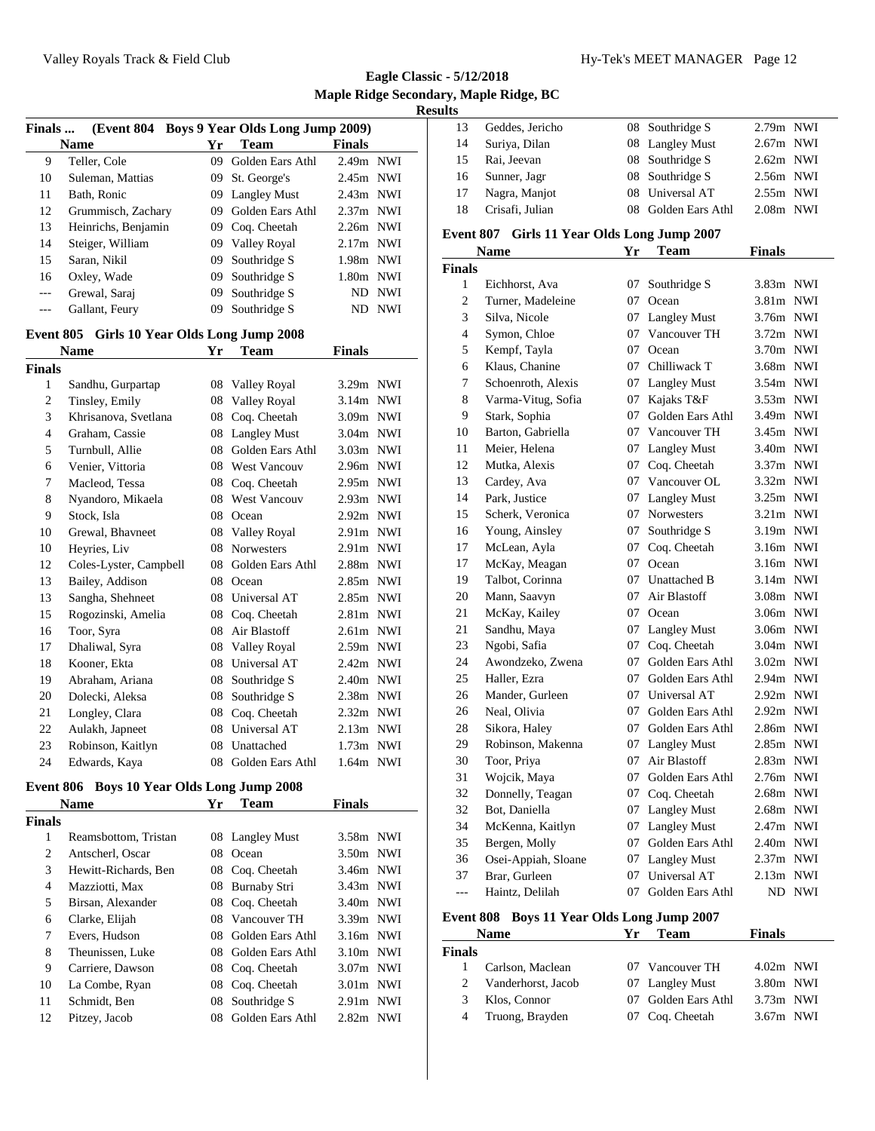**Eagle Classic - 5/12/2018 Maple Ridge Secondary, Maple Ridge, BC Results**

| Finals         | (Event 804 Boys 9 Year Olds Long Jump 2009) |            |                     |               |            |
|----------------|---------------------------------------------|------------|---------------------|---------------|------------|
|                | <b>Name</b>                                 | Yr         | Team                | <b>Finals</b> |            |
| 9              | Teller, Cole                                | 09         | Golden Ears Athl    | 2.49m NWI     |            |
| 10             | Suleman, Mattias                            | 09         | St. George's        | 2.45m NWI     |            |
| 11             | Bath, Ronic                                 | 09         | <b>Langley Must</b> | 2.43m NWI     |            |
| 12             | Grummisch, Zachary                          | 09         | Golden Ears Athl    | $2.37m$ NWI   |            |
| 13             | Heinrichs, Benjamin                         | 09         | Coq. Cheetah        | 2.26m NWI     |            |
| 14             | Steiger, William                            | 09         | Valley Royal        | 2.17m NWI     |            |
| 15             | Saran, Nikil                                | 09         | Southridge S        | 1.98m NWI     |            |
| 16             | Oxley, Wade                                 | 09         | Southridge S        | 1.80m NWI     |            |
| ---            | Grewal, Saraj                               | 09         | Southridge S        | ND            | <b>NWI</b> |
| ---            | Gallant, Feury                              | 09         | Southridge S        | ND            | <b>NWI</b> |
|                | Event 805 Girls 10 Year Olds Long Jump 2008 |            |                     |               |            |
|                | <b>Name</b>                                 | Yr         | <b>Team</b>         | <b>Finals</b> |            |
| <b>Finals</b>  |                                             |            |                     |               |            |
| $\mathbf{1}$   | Sandhu, Gurpartap                           | 08         | Valley Royal        | 3.29m NWI     |            |
| $\overline{c}$ | Tinsley, Emily                              | 08         | Valley Royal        | 3.14m NWI     |            |
| 3              | Khrisanova, Svetlana                        | 08         | Coq. Cheetah        | 3.09m NWI     |            |
| 4              | Graham, Cassie                              | 08         | <b>Langley Must</b> | 3.04m NWI     |            |
| 5              | Turnbull, Allie                             | 08         | Golden Ears Athl    | 3.03m NWI     |            |
| 6              | Venier, Vittoria                            |            | 08 West Vancouv     | 2.96m NWI     |            |
| 7              | Macleod, Tessa                              |            | 08 Coq. Cheetah     | 2.95m NWI     |            |
| 8              | Nyandoro, Mikaela                           | 08         | <b>West Vancouv</b> | 2.93m NWI     |            |
| 9              | Stock, Isla                                 |            | 08 Ocean            | 2.92m NWI     |            |
| 10             | Grewal, Bhavneet                            | 08         | <b>Valley Royal</b> | $2.91m$ NWI   |            |
| 10             | Heyries, Liv                                | 08         | <b>Norwesters</b>   | 2.91m NWI     |            |
| 12             | Coles-Lyster, Campbell                      | 08         | Golden Ears Athl    | 2.88m NWI     |            |
| 13             | Bailey, Addison                             | 08         | Ocean               | 2.85m NWI     |            |
| 13             | Sangha, Shehneet                            | 08         | Universal AT        | 2.85m NWI     |            |
| 15             | Rogozinski, Amelia                          | 08         | Coq. Cheetah        | $2.81m$ NWI   |            |
| 16             | Toor, Syra                                  | 08         | Air Blastoff        | $2.61m$ NWI   |            |
| 17             | Dhaliwal, Syra                              | 08         | <b>Valley Royal</b> | 2.59m NWI     |            |
| 18             | Kooner, Ekta                                | 08         | Universal AT        | 2.42m NWI     |            |
| 19             | Abraham, Ariana                             | 08         | Southridge S        | 2.40m NWI     |            |
| $20\,$         | Dolecki, Aleksa                             | ${\bf 08}$ | Southridge S        | 2.38m NWI     |            |
| 21             | Longley, Clara                              | 08         | Coq. Cheetah        | $2.32m$ NWI   |            |
| 22             | Aulakh, Japneet                             | 08         | Universal AT        | 2.13m NWI     |            |
| 23             | Robinson, Kaitlyn                           | 08         | Unattached          | 1.73m NWI     |            |
| 24             | Edwards, Kaya                               | 08         | Golden Ears Athl    | 1.64m         | <b>NWI</b> |

#### **Event 806 Boys 10 Year Olds Long Jump 2008**

|               | <b>Name</b>          | Yr | <b>Team</b>      | Finals      |  |
|---------------|----------------------|----|------------------|-------------|--|
| <b>Finals</b> |                      |    |                  |             |  |
| 1             | Reamsbottom, Tristan |    | 08 Langley Must  | 3.58m NWI   |  |
| 2             | Antscherl, Oscar     |    | 08 Ocean         | 3.50m NWI   |  |
| 3             | Hewitt-Richards, Ben |    | 08 Coq. Cheetah  | 3.46m NWI   |  |
| 4             | Mazziotti, Max       | 08 | Burnaby Stri     | $3.43m$ NWI |  |
| 5             | Birsan, Alexander    |    | 08 Coq. Cheetah  | $3.40m$ NWI |  |
| 6             | Clarke, Elijah       | 08 | Vancouver TH     | 3.39m NWI   |  |
| 7             | Evers, Hudson        | 08 | Golden Ears Athl | $3.16m$ NWI |  |
| 8             | Theunissen, Luke     | 08 | Golden Ears Athl | $3.10m$ NWI |  |
| 9             | Carriere, Dawson     |    | 08 Coq. Cheetah  | $3.07m$ NWI |  |
| 10            | La Combe, Ryan       | 08 | Coq. Cheetah     | $3.01m$ NWI |  |
| 11            | Schmidt, Ben         | 08 | Southridge S     | $2.91m$ NWI |  |
| 12            | Pitzey, Jacob        | 08 | Golden Ears Athl | $2.82m$ NWI |  |

| 13 | Geddes, Jericho | 08 Southridge S     | $2.79m$ NWI |  |
|----|-----------------|---------------------|-------------|--|
| 14 | Suriya, Dilan   | 08 Langley Must     | $2.67m$ NWI |  |
| 15 | Rai, Jeevan     | 08 Southridge S     | $2.62m$ NWI |  |
| 16 | Sunner, Jagr    | 08 Southridge S     | $2.56m$ NWI |  |
| 17 | Nagra, Manjot   | 08 Universal AT     | $2.55m$ NWI |  |
| 18 | Crisafi, Julian | 08 Golden Ears Athl | $2.08m$ NWI |  |
|    |                 |                     |             |  |

## **Event 807 Girls 11 Year Olds Long Jump 2007**

|                                                             | Name                | Yr | <b>Team</b>         | <b>Finals</b> |            |  |  |
|-------------------------------------------------------------|---------------------|----|---------------------|---------------|------------|--|--|
| <b>Finals</b>                                               |                     |    |                     |               |            |  |  |
| 1                                                           | Eichhorst, Ava      | 07 | Southridge S        | 3.83m NWI     |            |  |  |
| 2                                                           | Turner, Madeleine   | 07 | Ocean               | $3.81m$ NWI   |            |  |  |
| 3                                                           | Silva, Nicole       | 07 | <b>Langley Must</b> | 3.76m NWI     |            |  |  |
| 4                                                           | Symon, Chloe        | 07 | Vancouver TH        | 3.72m NWI     |            |  |  |
| 5                                                           | Kempf, Tayla        | 07 | Ocean               | 3.70m NWI     |            |  |  |
| 6                                                           | Klaus, Chanine      | 07 | Chilliwack T        | 3.68m NWI     |            |  |  |
| 7                                                           | Schoenroth, Alexis  |    | 07 Langley Must     | 3.54m NWI     |            |  |  |
| 8                                                           | Varma-Vitug, Sofia  | 07 | Kajaks T&F          | 3.53m NWI     |            |  |  |
| 9                                                           | Stark, Sophia       | 07 | Golden Ears Athl    | 3.49m NWI     |            |  |  |
| 10                                                          | Barton, Gabriella   | 07 | Vancouver TH        | 3.45m NWI     |            |  |  |
| 11                                                          | Meier, Helena       | 07 | <b>Langley Must</b> | 3.40m NWI     |            |  |  |
| 12                                                          | Mutka, Alexis       | 07 | Coq. Cheetah        | 3.37m NWI     |            |  |  |
| 13                                                          | Cardey, Ava         | 07 | Vancouver OL        | 3.32m NWI     |            |  |  |
| 14                                                          | Park, Justice       | 07 | <b>Langley Must</b> | 3.25m NWI     |            |  |  |
| 15                                                          | Scherk, Veronica    | 07 | Norwesters          | 3.21m NWI     |            |  |  |
| 16                                                          | Young, Ainsley      | 07 | Southridge S        | 3.19m NWI     |            |  |  |
| 17                                                          | McLean, Ayla        | 07 | Coq. Cheetah        | 3.16m NWI     |            |  |  |
| 17                                                          | McKay, Meagan       | 07 | Ocean               | 3.16m NWI     |            |  |  |
| 19                                                          | Talbot, Corinna     | 07 | Unattached B        | $3.14m$ NWI   |            |  |  |
| 20                                                          | Mann, Saavyn        | 07 | Air Blastoff        | 3.08m NWI     |            |  |  |
| 21                                                          | McKay, Kailey       | 07 | Ocean               | 3.06m NWI     |            |  |  |
| 21                                                          | Sandhu, Maya        | 07 | <b>Langley Must</b> | 3.06m NWI     |            |  |  |
| 23                                                          | Ngobi, Safia        | 07 | Cog. Cheetah        | 3.04m NWI     |            |  |  |
| 24                                                          | Awondzeko, Zwena    | 07 | Golden Ears Athl    | 3.02m NWI     |            |  |  |
| 25                                                          | Haller, Ezra        | 07 | Golden Ears Athl    | 2.94m NWI     |            |  |  |
| 26                                                          | Mander, Gurleen     | 07 | Universal AT        | 2.92m NWI     |            |  |  |
| 26                                                          | Neal, Olivia        | 07 | Golden Ears Athl    | 2.92m NWI     |            |  |  |
| 28                                                          | Sikora, Haley       | 07 | Golden Ears Athl    | 2.86m NWI     |            |  |  |
| 29                                                          | Robinson, Makenna   | 07 | <b>Langley Must</b> | 2.85m NWI     |            |  |  |
| 30                                                          | Toor, Priya         | 07 | Air Blastoff        | 2.83m NWI     |            |  |  |
| 31                                                          | Wojcik, Maya        | 07 | Golden Ears Athl    | 2.76m NWI     |            |  |  |
| 32                                                          | Donnelly, Teagan    | 07 | Cog. Cheetah        | 2.68m NWI     |            |  |  |
| 32                                                          | Bot, Daniella       | 07 | <b>Langley Must</b> | 2.68m NWI     |            |  |  |
| 34                                                          | McKenna, Kaitlyn    | 07 | <b>Langley Must</b> | 2.47m NWI     |            |  |  |
| 35                                                          | Bergen, Molly       | 07 | Golden Ears Athl    | 2.40m NWI     |            |  |  |
| 36                                                          | Osei-Appiah, Sloane | 07 | <b>Langley Must</b> | 2.37m NWI     |            |  |  |
| 37                                                          | Brar, Gurleen       | 07 | Universal AT        | $2.13m$ NWI   |            |  |  |
| $ -$                                                        | Haintz, Delilah     | 07 | Golden Ears Athl    | ND            | <b>NWI</b> |  |  |
| <b>Boys 11 Year Olds Long Jump 2007</b><br><b>Event 808</b> |                     |    |                     |               |            |  |  |
|                                                             | <b>Name</b>         | Yr | Team                | <b>Finals</b> |            |  |  |

|               | Name               |  | 1 eam               | <b>Finals</b> |  |
|---------------|--------------------|--|---------------------|---------------|--|
| <b>Finals</b> |                    |  |                     |               |  |
|               | Carlson, Maclean   |  | 07 Vancouver TH     | $4.02m$ NWI   |  |
| 2             | Vanderhorst, Jacob |  | 07 Langley Must     | $3.80m$ NWI   |  |
| 3             | Klos, Connor       |  | 07 Golden Ears Athl | $3.73m$ NWI   |  |
| 4             | Truong, Brayden    |  | 07 Cog. Cheetah     | $3.67m$ NWI   |  |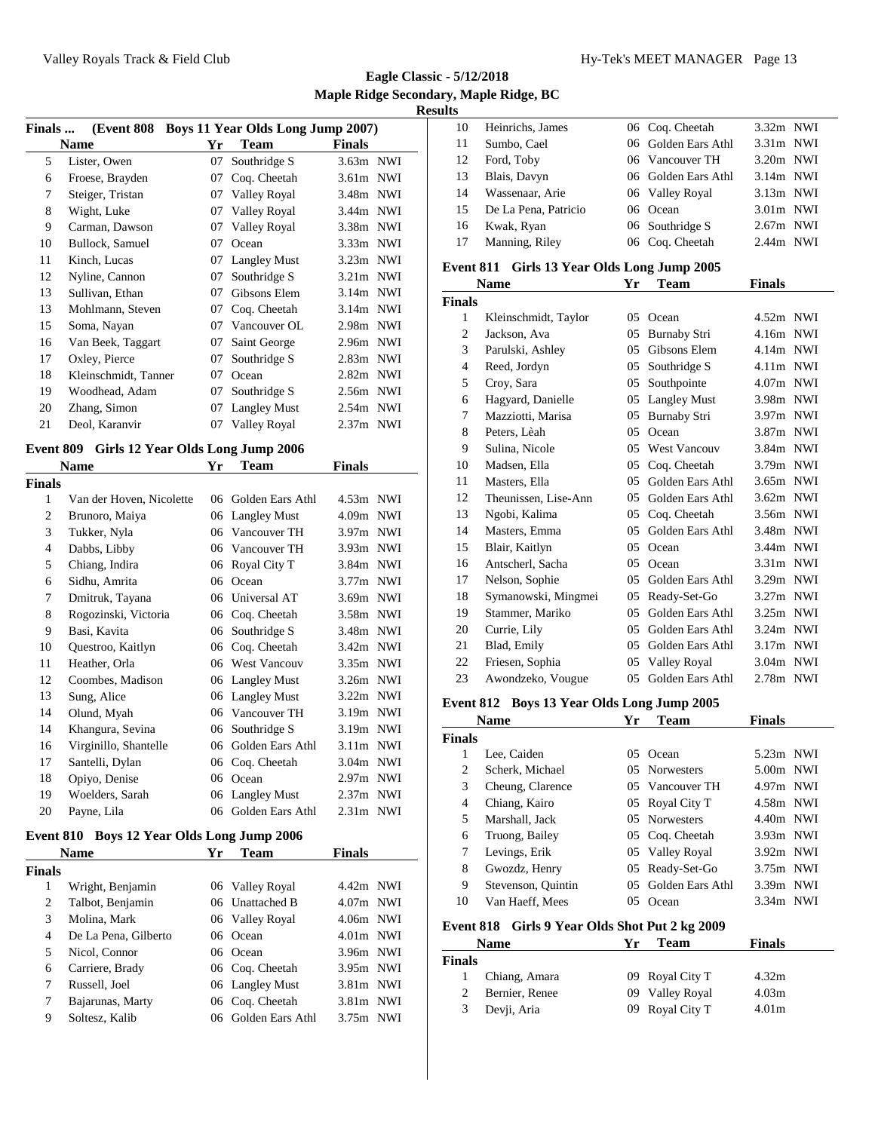**Eagle Classic - 5/12/2018 Maple Ridge Secondary, Maple Ridge, BC Results**

| <b>Finals</b> | <b>(Event 808)</b>   |    | <b>Boys 11 Year Olds Long Jump 2007)</b> |             |  |
|---------------|----------------------|----|------------------------------------------|-------------|--|
|               | <b>Name</b>          | Yr | <b>Team</b>                              | Finals      |  |
| 5             | Lister, Owen         | 07 | Southridge S                             | 3.63m NWI   |  |
| 6             | Froese, Brayden      | 07 | Coq. Cheetah                             | $3.61m$ NWI |  |
| 7             | Steiger, Tristan     | 07 | Valley Royal                             | 3.48m NWI   |  |
| 8             | Wight, Luke          | 07 | Valley Royal                             | 3.44m NWI   |  |
| 9             | Carman, Dawson       | 07 | Valley Royal                             | 3.38m NWI   |  |
| 10            | Bullock, Samuel      | 07 | Ocean                                    | 3.33m NWI   |  |
| 11            | Kinch, Lucas         | 07 | <b>Langley Must</b>                      | $3.23m$ NWI |  |
| 12            | Nyline, Cannon       | 07 | Southridge S                             | $3.21m$ NWI |  |
| 13            | Sullivan, Ethan      | 07 | Gibsons Elem                             | $3.14m$ NWI |  |
| 13            | Mohlmann, Steven     | 07 | Coq. Cheetah                             | $3.14m$ NWI |  |
| 15            | Soma, Nayan          | 07 | Vancouver OL                             | 2.98m NWI   |  |
| 16            | Van Beek, Taggart    | 07 | Saint George                             | 2.96m NWI   |  |
| 17            | Oxley, Pierce        | 07 | Southridge S                             | $2.83m$ NWI |  |
| 18            | Kleinschmidt, Tanner | 07 | Ocean                                    | $2.82m$ NWI |  |
| 19            | Woodhead, Adam       | 07 | Southridge S                             | 2.56m NWI   |  |
| 20            | Zhang, Simon         | 07 | <b>Langley Must</b>                      | $2.54m$ NWI |  |
| 21            | Deol, Karanvir       | 07 | Valley Royal                             | 2.37m NWI   |  |
|               |                      |    |                                          |             |  |

## **Event 809 Girls 12 Year Olds Long Jump 2006**

|                | <b>Name</b>              | Yr | Team                | Finals            |            |
|----------------|--------------------------|----|---------------------|-------------------|------------|
| Finals         |                          |    |                     |                   |            |
| 1              | Van der Hoven, Nicolette | 06 | Golden Ears Athl    | $4.53m$ NWI       |            |
| 2              | Brunoro, Maiya           | 06 | <b>Langley Must</b> | 4.09m             | <b>NWI</b> |
| 3              | Tukker, Nyla             | 06 | Vancouver TH        | 3.97m NWI         |            |
| $\overline{4}$ | Dabbs, Libby             | 06 | Vancouver TH        | 3.93m NWI         |            |
| 5              | Chiang, Indira           | 06 | Royal City T        | 3.84m NWI         |            |
| 6              | Sidhu, Amrita            | 06 | Ocean               | 3.77m NWI         |            |
| 7              | Dmitruk, Tayana          | 06 | Universal AT        | 3.69m NWI         |            |
| 8              | Rogozinski, Victoria     | 06 | Coq. Cheetah        | 3.58m NWI         |            |
| 9              | Basi, Kavita             | 06 | Southridge S        | 3.48m NWI         |            |
| 10             | Questroo, Kaitlyn        | 06 | Coq. Cheetah        | $3.42m$ NWI       |            |
| 11             | Heather, Orla            | 06 | <b>West Vancouv</b> | 3.35m NWI         |            |
| 12             | Coombes, Madison         | 06 | <b>Langley Must</b> | 3.26m NWI         |            |
| 13             | Sung, Alice              | 06 | <b>Langley Must</b> | $3.22m$ NWI       |            |
| 14             | Olund, Myah              | 06 | Vancouver TH        | 3.19m NWI         |            |
| 14             | Khangura, Sevina         | 06 | Southridge S        | 3.19m NWI         |            |
| 16             | Virginillo, Shantelle    | 06 | Golden Ears Athl    | $3.11m$ NWI       |            |
| 17             | Santelli, Dylan          | 06 | Coq. Cheetah        | 3.04m NWI         |            |
| 18             | Opiyo, Denise            | 06 | Ocean               | 2.97 <sub>m</sub> | NWI        |
| 19             | Woelders, Sarah          | 06 | <b>Langley Must</b> | $2.37m$ NWI       |            |
| 20             | Payne, Lila              | 06 | Golden Ears Athl    | $2.31m$ NWI       |            |
|                |                          |    |                     |                   |            |

# **Event 810 Boys 12 Year Olds Long Jump 2006**

|               | <b>Name</b>          | Yг | Team             | <b>Finals</b> |
|---------------|----------------------|----|------------------|---------------|
| <b>Finals</b> |                      |    |                  |               |
| 1             | Wright, Benjamin     |    | 06 Valley Royal  | 4.42m NWI     |
| 2             | Talbot, Benjamin     |    | 06 Unattached B  | $4.07m$ NWI   |
| 3             | Molina, Mark         |    | 06 Valley Royal  | $4.06m$ NWI   |
| 4             | De La Pena, Gilberto |    | 06 Ocean         | $4.01m$ NWI   |
| 5             | Nicol, Connor        |    | 06 Ocean         | $3.96m$ NWI   |
| 6             | Carriere, Brady      |    | 06 Coq. Cheetah  | 3.95m NWI     |
| 7             | Russell, Joel        |    | 06 Langley Must  | $3.81m$ NWI   |
| 7             | Bajarunas, Marty     |    | 06 Coq. Cheetah  | $3.81m$ NWI   |
| 9             | Soltesz, Kalib       | 06 | Golden Ears Athl | 3.75m NWI     |

| 10 | Heinrichs, James     | 06 Coq. Cheetah     | $3.32m$ NWI |
|----|----------------------|---------------------|-------------|
| 11 | Sumbo, Cael          | 06 Golden Ears Athl | $3.31m$ NWI |
| 12 | Ford, Toby           | 06 Vancouver TH     | $3.20m$ NWI |
| 13 | Blais, Davyn         | 06 Golden Ears Athl | $3.14m$ NWI |
| 14 | Wassenaar, Arie      | 06 Valley Royal     | $3.13m$ NWI |
| 15 | De La Pena, Patricio | 06 Ocean            | $3.01m$ NWI |
| 16 | Kwak, Ryan           | 06 Southridge S     | $2.67m$ NWI |
| 17 | Manning, Riley       | 06 Coq. Cheetah     | $2.44m$ NWI |
|    |                      |                     |             |

## **Event 811 Girls 13 Year Olds Long Jump 2005**

|                | Name                 | Yr             | Team                | <b>Finals</b> |  |
|----------------|----------------------|----------------|---------------------|---------------|--|
| Finals         |                      |                |                     |               |  |
| 1              | Kleinschmidt, Taylor | $0.5^{\circ}$  | Ocean               | $4.52m$ NWI   |  |
| $\overline{2}$ | Jackson, Ava         | 05             | <b>Burnaby Stri</b> | 4.16m NWI     |  |
| 3              | Parulski, Ashley     | 05             | Gibsons Elem        | $4.14m$ NWI   |  |
| 4              | Reed, Jordyn         | 05             | Southridge S        | $4.11m$ NWI   |  |
| 5              | Croy, Sara           | 05             | Southpointe         | 4.07m NWI     |  |
| 6              | Hagyard, Danielle    | 05             | <b>Langley Must</b> | 3.98m NWI     |  |
| 7              | Mazziotti, Marisa    | 05             | <b>Burnaby Stri</b> | 3.97m NWI     |  |
| 8              | Peters, Lèah         | 0 <sub>5</sub> | Ocean               | 3.87m NWI     |  |
| 9              | Sulina, Nicole       | 05             | <b>West Vancouv</b> | 3.84m NWI     |  |
| 10             | Madsen, Ella         | 05             | Coq. Cheetah        | 3.79m NWI     |  |
| 11             | Masters, Ella        | 05             | Golden Ears Athl    | 3.65m NWI     |  |
| 12             | Theunissen, Lise-Ann | 05             | Golden Ears Athl    | $3.62m$ NWI   |  |
| 13             | Ngobi, Kalima        | 05             | Coq. Cheetah        | 3.56m NWI     |  |
| 14             | Masters, Emma        | 05             | Golden Ears Athl    | 3.48m NWI     |  |
| 15             | Blair, Kaitlyn       | 05             | Ocean               | 3.44m NWI     |  |
| 16             | Antscherl, Sacha     | 05             | Ocean               | $3.31m$ NWI   |  |
| 17             | Nelson, Sophie       | 05             | Golden Ears Athl    | 3.29m NWI     |  |
| 18             | Symanowski, Mingmei  | 05             | Ready-Set-Go        | 3.27m NWI     |  |
| 19             | Stammer, Mariko      | 05             | Golden Ears Athl    | $3.25m$ NWI   |  |
| 20             | Currie, Lily         | 05             | Golden Ears Athl    | $3.24m$ NWI   |  |
| 21             | Blad, Emily          | 05             | Golden Ears Athl    | $3.17m$ NWI   |  |
| 22             | Friesen, Sophia      | 05             | Valley Royal        | $3.04m$ NWI   |  |
| 23             | Awondzeko, Vougue    | 05             | Golden Ears Athl    | 2.78m NWI     |  |
|                |                      |                |                     |               |  |

## **Event 812 Boys 13 Year Olds Long Jump 2005**

|               | <b>Name</b>        | Yг | Team                | <b>Finals</b> |  |
|---------------|--------------------|----|---------------------|---------------|--|
| <b>Finals</b> |                    |    |                     |               |  |
| 1             | Lee, Caiden        |    | 05 Ocean            | $5.23m$ NWI   |  |
| 2             | Scherk, Michael    |    | 05 Norwesters       | $5.00m$ NWI   |  |
| 3             | Cheung, Clarence   |    | 05 Vancouver TH     | 4.97m NWI     |  |
| 4             | Chiang, Kairo      |    | 05 Royal City T     | 4.58m NWI     |  |
| 5             | Marshall, Jack     |    | 05 Norwesters       | 4.40m NWI     |  |
| 6             | Truong, Bailey     |    | 05 Coq. Cheetah     | $3.93m$ NWI   |  |
| 7             | Levings, Erik      |    | 05 Valley Royal     | $3.92m$ NWI   |  |
| 8             | Gwozdz, Henry      |    | 05 Ready-Set-Go     | 3.75m NWI     |  |
| 9             | Stevenson, Quintin |    | 05 Golden Ears Athl | 3.39m NWI     |  |
| 10            | Van Haeff, Mees    |    | Ocean               | $3.34m$ NWI   |  |

## **Event 818 Girls 9 Year Olds Shot Put 2 kg 2009**

|        | <b>Name</b>    | Vr | Team            | <b>Finals</b>     |  |
|--------|----------------|----|-----------------|-------------------|--|
| Finals |                |    |                 |                   |  |
|        | Chiang, Amara  |    | 09 Royal City T | 4.32 <sub>m</sub> |  |
| 2      | Bernier, Renee |    | 09 Valley Royal | 4.03 <sub>m</sub> |  |
| 3      | Devji, Aria    |    | 09 Royal City T | 4.01 <sub>m</sub> |  |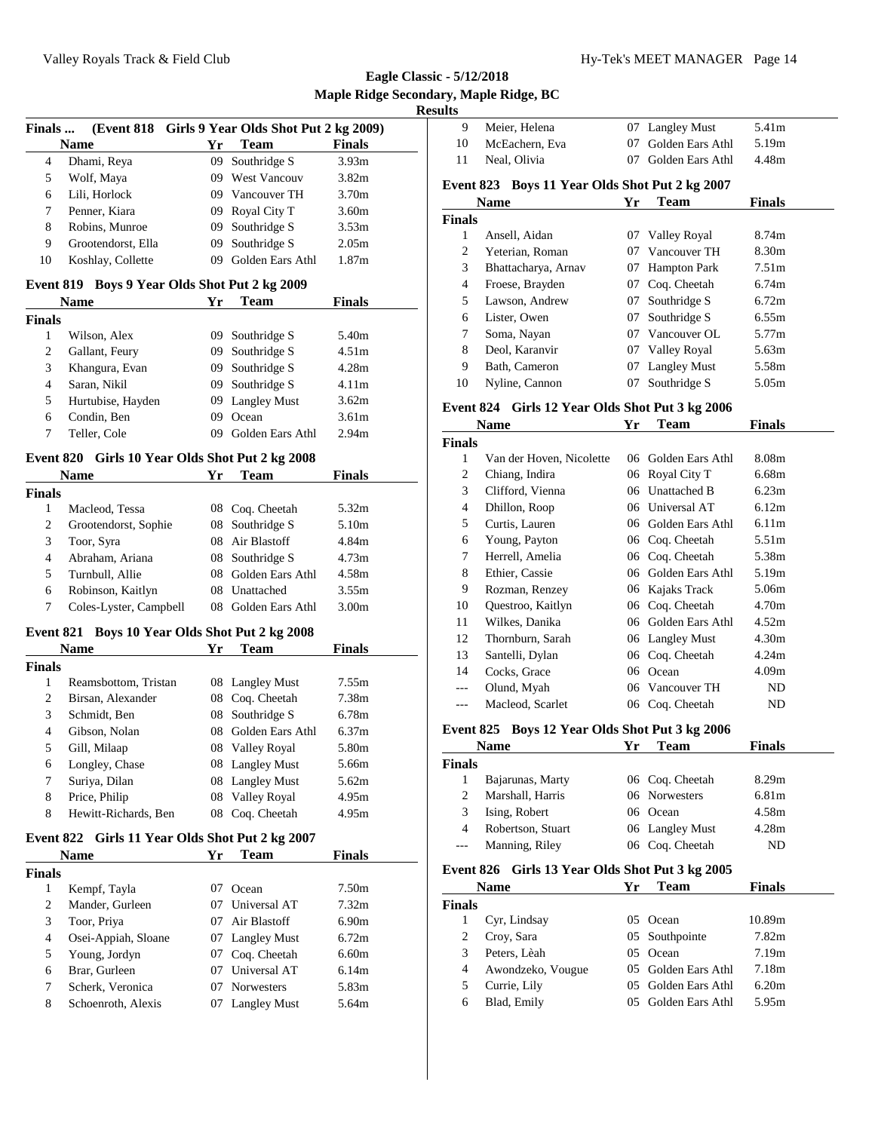| Finals                        |                                                        |          | (Event 818 Girls 9 Year Olds Shot Put 2 kg 2009)   |                   |
|-------------------------------|--------------------------------------------------------|----------|----------------------------------------------------|-------------------|
|                               | <b>Name</b>                                            | Yr       | <b>Team</b>                                        | <b>Finals</b>     |
| 4                             | Dhami, Reya                                            | 09       | Southridge S                                       | 3.93m             |
| 5                             | Wolf, Maya                                             |          | 09 West Vancouv                                    | 3.82 <sub>m</sub> |
| 6                             | Lili, Horlock                                          |          | 09 Vancouver TH                                    | 3.70m             |
| 7                             | Penner, Kiara                                          |          | 09 Royal City T                                    | 3.60m             |
| 8                             | Robins, Munroe                                         |          | 09 Southridge S                                    | 3.53m             |
| 9                             | Grootendorst, Ella                                     | 09       | Southridge S                                       | 2.05m             |
| 10                            | Koshlay, Collette                                      | 09       | Golden Ears Athl                                   | 1.87m             |
|                               |                                                        |          |                                                    |                   |
| <b>Event 819</b>              | Name                                                   | Yr       | Boys 9 Year Olds Shot Put 2 kg 2009<br><b>Team</b> | <b>Finals</b>     |
| <b>Finals</b>                 |                                                        |          |                                                    |                   |
| 1                             | Wilson, Alex                                           | 09       | Southridge S                                       | 5.40m             |
| 2                             | Gallant, Feury                                         | 09       | Southridge S                                       | 4.51 <sub>m</sub> |
| 3                             | Khangura, Evan                                         |          | 09 Southridge S                                    | 4.28m             |
| 4                             | Saran, Nikil                                           |          | 09 Southridge S                                    | 4.11m             |
| 5                             | Hurtubise, Hayden                                      |          | 09 Langley Must                                    | 3.62m             |
| 6                             | Condin, Ben                                            |          | 09 Ocean                                           | 3.61 <sub>m</sub> |
| 7                             | Teller, Cole                                           |          | 09 Golden Ears Athl                                | 2.94m             |
|                               | Event 820 Girls 10 Year Olds Shot Put 2 kg 2008        |          |                                                    |                   |
|                               | <b>Name</b>                                            | Yr       | Team                                               | Finals            |
| <b>Finals</b>                 |                                                        |          |                                                    |                   |
| 1                             | Macleod, Tessa                                         |          | 08 Coq. Cheetah                                    | 5.32m             |
| 2                             | Grootendorst, Sophie                                   | 08       | Southridge S                                       | 5.10m             |
| 3                             | Toor, Syra                                             | 08       | Air Blastoff                                       | 4.84m             |
| $\overline{4}$                | Abraham, Ariana                                        | 08       | Southridge S                                       | 4.73 <sub>m</sub> |
| 5                             | Turnbull, Allie                                        | 08       | Golden Ears Athl                                   | 4.58m             |
| 6                             | Robinson, Kaitlyn                                      |          | 08 Unattached                                      | 3.55m             |
| 7                             | Coles-Lyster, Campbell                                 |          | 08 Golden Ears Athl                                | 3.00m             |
|                               |                                                        |          |                                                    |                   |
|                               | Event 821 Boys 10 Year Olds Shot Put 2 kg 2008<br>Name | Yr       | <b>Team</b>                                        | Finals            |
| <b>Finals</b>                 |                                                        |          |                                                    |                   |
| 1                             | Reamsbottom, Tristan                                   |          | 08 Langley Must                                    | 7.55m             |
| $\overline{c}$                | Birsan, Alexander                                      |          | 08 Coq. Cheetah                                    | 7.38m             |
| 3                             | Schmidt, Ben                                           | 08       | Southridge S                                       | 6.78m             |
| 4                             | Gibson, Nolan                                          | 08       | Golden Ears Athl                                   | 6.37m             |
| 5                             | Gill, Milaap                                           |          | 08 Valley Royal                                    | 5.80m             |
| 6                             | Longley, Chase                                         |          | 08 Langley Must                                    | 5.66m             |
| 7                             | Suriya, Dilan                                          | 08       | <b>Langley Must</b>                                | 5.62m             |
| 8                             | Price, Philip                                          |          | 08 Valley Royal                                    | 4.95m             |
| 8                             | Hewitt-Richards, Ben                                   |          | 08 Coq. Cheetah                                    | 4.95m             |
|                               |                                                        |          |                                                    |                   |
|                               | Event 822 Girls 11 Year Olds Shot Put 2 kg 2007        |          |                                                    |                   |
|                               | <b>Name</b>                                            | Yr       | <b>Team</b>                                        | Finals            |
| <b>Finals</b><br>$\mathbf{1}$ |                                                        |          | 07 Ocean                                           | 7.50m             |
|                               | Kempf, Tayla                                           |          | Universal AT                                       | 7.32 <sub>m</sub> |
| 2<br>3                        | Mander, Gurleen<br>Toor, Priya                         | 07<br>07 | Air Blastoff                                       | 6.90m             |
| 4                             |                                                        |          |                                                    | 6.72m             |
| 5                             | Osei-Appiah, Sloane<br>Young, Jordyn                   | 07<br>07 | <b>Langley Must</b><br>Coq. Cheetah                | 6.60m             |
| 6                             | Brar, Gurleen                                          | 07       | Universal AT                                       | 6.14m             |
| 7                             | Scherk, Veronica                                       | 07       | Norwesters                                         | 5.83m             |
| 8                             | Schoenroth, Alexis                                     | 07       | <b>Langley Must</b>                                | 5.64m             |
|                               |                                                        |          |                                                    |                   |
|                               |                                                        |          |                                                    |                   |

| 9             | Meier, Helena                                  | 07 | <b>Langley Must</b> | 5.41m             |
|---------------|------------------------------------------------|----|---------------------|-------------------|
| 10            | McEachern, Eva                                 | 07 | Golden Ears Athl    | 5.19m             |
| 11            | Neal, Olivia                                   | 07 | Golden Ears Athl    | 4.48m             |
|               | Event 823 Boys 11 Year Olds Shot Put 2 kg 2007 |    |                     |                   |
|               | <b>Name</b>                                    | Yr | Team                | Finals            |
| <b>Finals</b> |                                                |    |                     |                   |
| 1             | Ansell, Aidan                                  | 07 | Valley Royal        | 8.74m             |
| 2             | Yeterian, Roman                                | 07 | Vancouver TH        | 8.30m             |
| 3             | Bhattacharya, Arnav                            | 07 | <b>Hampton Park</b> | 7.51 <sub>m</sub> |
| 4             | Froese, Brayden                                | 07 | Coq. Cheetah        | 6.74m             |
| 5             | Lawson, Andrew                                 | 07 | Southridge S        | 6.72m             |
| 6             | Lister, Owen                                   | 07 | Southridge S        | 6.55m             |
| 7             | Soma, Nayan                                    | 07 | Vancouver OL        | 5.77m             |
| 8             | Deol, Karanvir                                 | 07 | Valley Royal        | 5.63m             |
| 9             | Bath, Cameron                                  | 07 | <b>Langley Must</b> | 5.58m             |
| 10            | Nyline, Cannon                                 | 07 | Southridge S        | 5.05m             |

#### **Event 824 Girls 12 Year Olds Shot Put 3 kg 2006**

|               | Name                     | Yr  | Team             | <b>Finals</b>     |
|---------------|--------------------------|-----|------------------|-------------------|
| <b>Finals</b> |                          |     |                  |                   |
| 1             | Van der Hoven, Nicolette | 06  | Golden Ears Athl | 8.08m             |
| 2             | Chiang, Indira           | 06  | Royal City T     | 6.68m             |
| 3             | Clifford, Vienna         | 06  | Unattached B     | 6.23m             |
| 4             | Dhillon, Roop            | 06  | Universal AT     | 6.12m             |
| 5             | Curtis, Lauren           | 06. | Golden Ears Athl | 6.11 <sub>m</sub> |
| 6             | Young, Payton            |     | 06 Coq. Cheetah  | 5.51m             |
| 7             | Herrell, Amelia          | 06  | Coq. Cheetah     | 5.38m             |
| 8             | Ethier, Cassie           | 06. | Golden Ears Athl | 5.19m             |
| 9             | Rozman, Renzey           |     | 06 Kajaks Track  | 5.06m             |
| 10            | Questroo, Kaitlyn        |     | 06 Coq. Cheetah  | 4.70m             |
| 11            | Wilkes, Danika           | 06. | Golden Ears Athl | 4.52m             |
| 12            | Thornburn, Sarah         |     | 06 Langley Must  | 4.30m             |
| 13            | Santelli, Dylan          | 06  | Coq. Cheetah     | 4.24m             |
| 14            | Cocks, Grace             | 06  | Ocean            | 4.09m             |
| ---           | Olund, Myah              |     | 06 Vancouver TH  | ND.               |
|               | Macleod, Scarlet         | 06  | Coq. Cheetah     | ND                |

## **Event 825 Boys 12 Year Olds Shot Put 3 kg 2006**

|               | <b>Name</b>       | Yг | Team            | <b>Finals</b> |  |
|---------------|-------------------|----|-----------------|---------------|--|
| <b>Finals</b> |                   |    |                 |               |  |
|               | Bajarunas, Marty  |    | 06 Coq. Cheetah | 8.29m         |  |
|               | Marshall, Harris  |    | 06 Norwesters   | 6.81m         |  |
| 3             | Ising, Robert     |    | 06 Ocean        | 4.58m         |  |
| 4             | Robertson, Stuart |    | 06 Langley Must | 4.28m         |  |
| $---$         | Manning, Riley    |    | 06 Coq. Cheetah | ND            |  |

# **Event 826 Girls 13 Year Olds Shot Put 3 kg 2005**

|        | <b>Name</b>       | Yг | Team                | <b>Finals</b> |  |
|--------|-------------------|----|---------------------|---------------|--|
| Finals |                   |    |                     |               |  |
|        | Cyr, Lindsay      |    | 05 Ocean            | 10.89m        |  |
|        | Croy, Sara        |    | 05 Southpointe      | 7.82m         |  |
| 3      | Peters, Lèah      |    | 05 Ocean            | 7.19m         |  |
| 4      | Awondzeko, Vougue |    | 05 Golden Ears Athl | 7.18m         |  |
|        | Currie, Lily      |    | 05 Golden Ears Athl | 6.20m         |  |
| 6      | Blad, Emily       |    | 05 Golden Ears Athl | 5.95m         |  |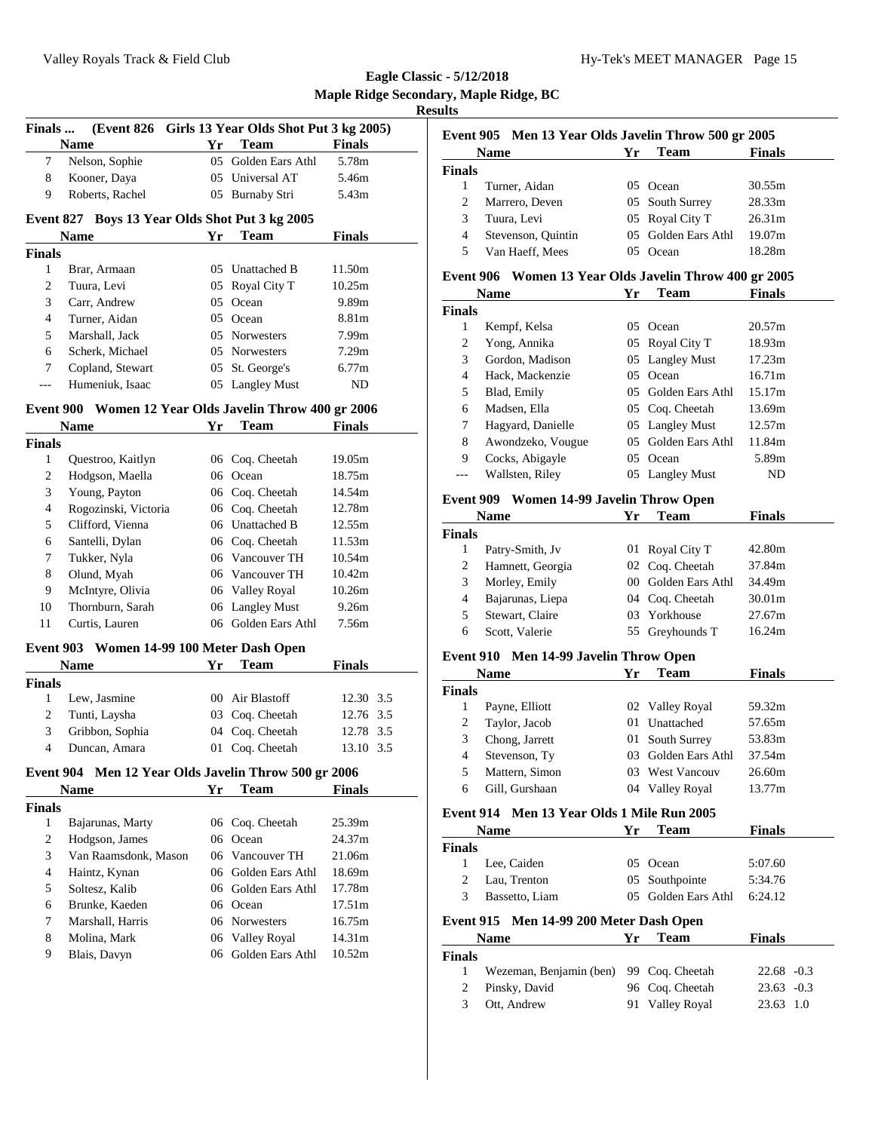| Finals           |                                                        |    | (Event 826 Girls 13 Year Olds Shot Put 3 kg 2005) |                 |  |
|------------------|--------------------------------------------------------|----|---------------------------------------------------|-----------------|--|
|                  | <b>Name</b>                                            | Yr | <b>Team</b>                                       | <b>Finals</b>   |  |
| 7                | Nelson, Sophie                                         | 05 | Golden Ears Athl                                  | 5.78m           |  |
| 8                | Kooner, Daya                                           | 05 | Universal AT                                      | 5.46m           |  |
| 9                | Roberts, Rachel                                        | 05 | Burnaby Stri                                      | 5.43m           |  |
|                  |                                                        |    |                                                   |                 |  |
| <b>Event 827</b> |                                                        |    | Boys 13 Year Olds Shot Put 3 kg 2005              |                 |  |
|                  | <b>Name</b>                                            | Yr | Team                                              | <b>Finals</b>   |  |
| <b>Finals</b>    |                                                        |    |                                                   |                 |  |
| 1                | Brar, Armaan                                           |    | 05 Unattached B                                   | 11.50m          |  |
| 2                | Tuura, Levi                                            | 05 | Royal City T                                      | 10.25m          |  |
| 3                | Carr. Andrew                                           | 05 | Ocean                                             | 9.89m           |  |
| 4                | Turner, Aidan                                          | 05 | Ocean                                             | 8.81m           |  |
| 5                | Marshall, Jack                                         | 05 | <b>Norwesters</b>                                 | 7.99m           |  |
| 6                | Scherk, Michael                                        | 05 | Norwesters                                        | 7.29m           |  |
| 7                | Copland, Stewart                                       | 05 | St. George's                                      | 6.77m           |  |
| ---              | Humeniuk, Isaac                                        | 05 | <b>Langley Must</b>                               | ND              |  |
|                  | Event 900 Women 12 Year Olds Javelin Throw 400 gr 2006 |    |                                                   |                 |  |
|                  | Name                                                   | Yr | <b>Team</b>                                       | <b>Finals</b>   |  |
| <b>Finals</b>    |                                                        |    |                                                   |                 |  |
| 1                | Questroo, Kaitlyn                                      |    | 06 Coq. Cheetah                                   | 19.05m          |  |
| 2                | Hodgson, Maella                                        |    | 06 Ocean                                          | 18.75m          |  |
| 3                | Young, Payton                                          |    | 06 Coq. Cheetah                                   | 14.54m          |  |
| 4                | Rogozinski, Victoria                                   |    | 06 Coq. Cheetah                                   | 12.78m          |  |
| 5                | Clifford, Vienna                                       |    | 06 Unattached B                                   | 12.55m          |  |
| 6                | Santelli, Dylan                                        |    | 06 Coq. Cheetah                                   | 11.53m          |  |
| 7                | Tukker, Nyla                                           |    | 06 Vancouver TH                                   | 10.54m          |  |
| 8                |                                                        |    | 06 Vancouver TH                                   | 10.42m          |  |
|                  | Olund, Myah                                            |    |                                                   |                 |  |
| 9                | McIntyre, Olivia                                       |    | 06 Valley Royal                                   | 10.26m<br>9.26m |  |
| 10<br>11         | Thornburn, Sarah<br>Curtis, Lauren                     | 06 | <b>Langley Must</b><br>06 Golden Ears Athl        | 7.56m           |  |
|                  |                                                        |    |                                                   |                 |  |
|                  | Event 903 Women 14-99 100 Meter Dash Open              |    |                                                   |                 |  |
|                  | Name                                                   | Yr | <b>Team</b>                                       | Finals          |  |
| <b>Finals</b>    |                                                        |    |                                                   |                 |  |
| 1                | Lew, Jasmine                                           |    | 00 Air Blastoff                                   | 12.30 3.5       |  |
| 2                | Tunti, Laysha                                          | 03 | Coq. Cheetah                                      | 12.76 3.5       |  |
| 3                | Gribbon, Sophia                                        | 04 | Coq. Cheetah                                      | 12.78 3.5       |  |
| 4                | Duncan, Amara                                          | 01 | Coq. Cheetah                                      | 13.10 3.5       |  |
|                  | Event 904 Men 12 Year Olds Javelin Throw 500 gr 2006   |    |                                                   |                 |  |
|                  | <b>Name</b>                                            | Yr | <b>Team</b>                                       | <b>Finals</b>   |  |
| <b>Finals</b>    |                                                        |    |                                                   |                 |  |
| 1                | Bajarunas, Marty                                       |    | 06 Coq. Cheetah                                   | 25.39m          |  |
| $\overline{c}$   | Hodgson, James                                         | 06 | Ocean                                             | 24.37m          |  |
| 3                | Van Raamsdonk, Mason                                   | 06 | Vancouver TH                                      | 21.06m          |  |
| $\overline{4}$   | Haintz, Kynan                                          | 06 | Golden Ears Athl                                  | 18.69m          |  |
| 5                | Soltesz, Kalib                                         |    | 06 Golden Ears Athl                               | 17.78m          |  |
| 6                | Brunke, Kaeden                                         |    | 06 Ocean                                          | 17.51m          |  |
| 7                | Marshall, Harris                                       |    | 06 Norwesters                                     | 16.75m          |  |
| 8                | Molina, Mark                                           | 06 | Valley Royal                                      | 14.31m          |  |
| 9                | Blais, Davyn                                           | 06 | Golden Ears Athl                                  | 10.52m          |  |
|                  |                                                        |    |                                                   |                 |  |

|        | Event 905 Men 13 Year Olds Javelin Throw 500 gr 2005 |        |                     |                    |
|--------|------------------------------------------------------|--------|---------------------|--------------------|
|        | <b>Name</b>                                          | Yг     | Team                | <b>Finals</b>      |
| Finals |                                                      |        |                     |                    |
|        | Turner, Aidan                                        |        | 05 Ocean            | 30.55m             |
| 2      | Marrero, Deven                                       |        | 05 South Surrey     | 28.33m             |
| 3      | Tuura, Levi                                          |        | 05 Royal City T     | 26.31 <sub>m</sub> |
| 4      | Stevenson, Quintin                                   |        | 05 Golden Ears Athl | 19.07m             |
| 5.     | Van Haeff, Mees                                      | $05 -$ | Ocean               | 18.28m             |
|        |                                                      |        |                     |                    |

## **Event 906 Women 13 Year Olds Javelin Throw 400 gr 2005**

|               | <b>Name</b>       | Yr            | <b>Team</b>         | <b>Finals</b> |  |
|---------------|-------------------|---------------|---------------------|---------------|--|
| <b>Finals</b> |                   |               |                     |               |  |
| 1             | Kempf, Kelsa      | $0.5^{\circ}$ | Ocean               | 20.57m        |  |
| 2             | Yong, Annika      |               | 05 Royal City T     | 18.93m        |  |
| 3             | Gordon, Madison   |               | 05 Langley Must     | 17.23m        |  |
| 4             | Hack, Mackenzie   | 05            | Ocean               | 16.71m        |  |
| 5             | Blad, Emily       |               | 05 Golden Ears Athl | 15.17m        |  |
| 6             | Madsen. Ella      |               | 05 Coq. Cheetah     | 13.69m        |  |
| 7             | Hagyard, Danielle |               | 05 Langley Must     | 12.57m        |  |
| 8             | Awondzeko, Vougue | 05            | Golden Ears Athl    | 11.84m        |  |
| 9             | Cocks, Abigayle   | 05            | Ocean               | 5.89m         |  |
|               | Wallsten, Riley   | 05            | <b>Langley Must</b> | ND            |  |

## **Event 909 Women 14-99 Javelin Throw Open**

| <b>Name</b>   |                  | Yг    | Team             | <b>Finals</b>      |  |
|---------------|------------------|-------|------------------|--------------------|--|
| <b>Finals</b> |                  |       |                  |                    |  |
|               | Patry-Smith, Jv  |       | 01 Royal City T  | 42.80m             |  |
| 2             | Hamnett, Georgia |       | 02 Coq. Cheetah  | 37.84m             |  |
| 3             | Morley, Emily    | $00-$ | Golden Ears Athl | 34.49m             |  |
| 4             | Bajarunas, Liepa |       | 04 Coq. Cheetah  | 30.01 <sub>m</sub> |  |
| 5             | Stewart, Claire  |       | 03 Yorkhouse     | 27.67m             |  |
| 6             | Scott, Valerie   |       | 55 Greyhounds T  | 16.24m             |  |

## **Event 910 Men 14-99 Javelin Throw Open**

|               | <b>Name</b>    | Yг  | Team                | <b>Finals</b> |
|---------------|----------------|-----|---------------------|---------------|
| <b>Finals</b> |                |     |                     |               |
|               | Payne, Elliott |     | 02 Valley Royal     | 59.32m        |
| 2             | Taylor, Jacob  | 01  | Unattached          | 57.65m        |
| 3             | Chong, Jarrett |     | 01 South Surrey     | 53.83m        |
| 4             | Stevenson, Ty  | 03. | Golden Ears Athl    | 37.54m        |
| 5             | Mattern, Simon | 03  | <b>West Vancouv</b> | 26.60m        |
| 6             | Gill, Gurshaan | 04  | <b>Valley Royal</b> | 13.77m        |

## **Event 914 Men 13 Year Olds 1 Mile Run 2005**

|                | <b>Name</b>                                            | Yг  | <b>Team</b>         | <b>Finals</b> |     |
|----------------|--------------------------------------------------------|-----|---------------------|---------------|-----|
| <b>Finals</b>  |                                                        |     |                     |               |     |
| 1              | Lee, Caiden                                            |     | 05 Ocean            | 5:07.60       |     |
| 2              | Lau, Trenton                                           |     | 05 Southpointe      | 5:34.76       |     |
| 3              | Bassetto, Liam                                         |     | 05 Golden Ears Athl | 6:24.12       |     |
|                | Event 915 Men 14-99 200 Meter Dash Open<br><b>Name</b> | Yг  | <b>Team</b>         | <b>Finals</b> |     |
| <b>Finals</b>  |                                                        |     |                     |               |     |
| 1              | Wezeman, Benjamin (ben)                                | 99. | Coq. Cheetah        | $22.68 - 0.3$ |     |
| $\overline{c}$ | Pinsky, David                                          |     | 96 Coq. Cheetah     | $23.63 - 0.3$ |     |
| 3              | Ott. Andrew                                            | 91  | <b>Valley Royal</b> | 23.63         | 1.0 |